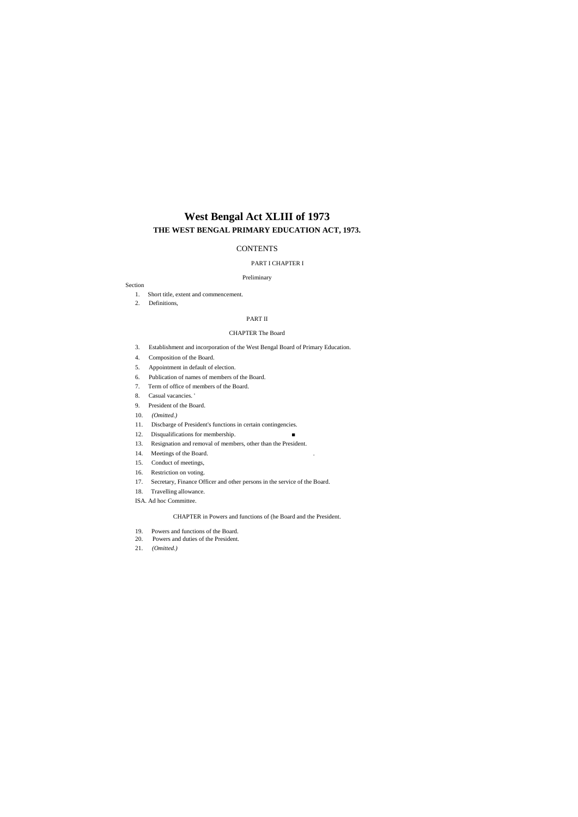# **West Bengal Act XLIII of 1973 THE WEST BENGAL PRIMARY EDUCATION ACT, 1973.**

### **CONTENTS**

#### PART I CHAPTER I

Preliminary

#### Section

- 1. Short title, extent and commencement.
- 2. Definitions,

#### PART II

#### CHAPTER The Board

- 3. Establishment and incorporation of the West Bengal Board of Primary Education.
- 4. Composition of the Board.
- 5. Appointment in default of election.
- 6. Publication of names of members of the Board.
- 7. Term of office of members of the Board.
- 8. Casual vacancies. '
- 9. President of the Board.
- 10. *(Omitted.)*
- 11. Discbarge of President's functions in certain contingencies.
- 12. Disqualifications for membership. ■
- 13. Resignation and removal of members, other than the President.
- 14. Meetings of the Board. .
- 15. Conduct of meetings,
- 16. Restriction on voting.
- 17. Secretary, Finance Officer and other persons in the service of the Board.
- 18. Travelling allowance.
- ISA. Ad hoc Committee.

#### CHAPTER in Powers and functions of (he Board and the President.

- 19. Powers and functions of the Board.
- 20. Powers and duties of the President.
- 21. *(Omitted.)*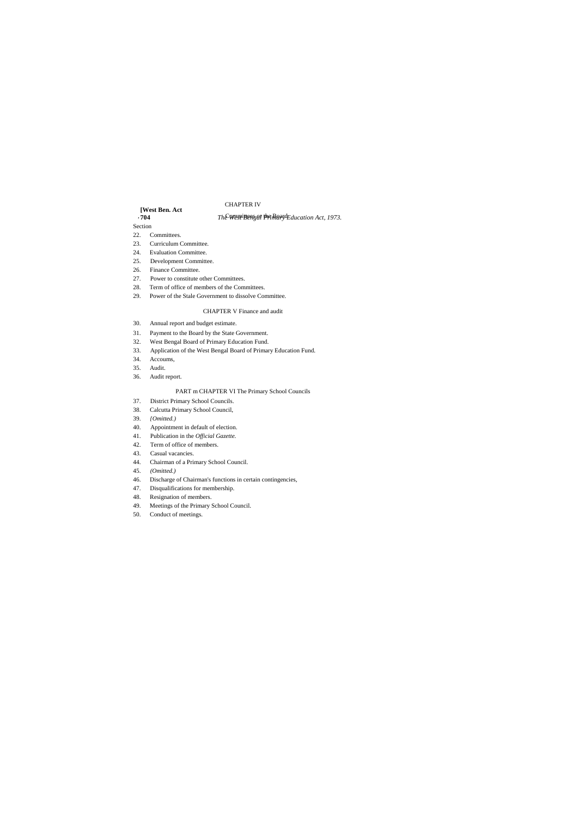# **[West Ben. Act**

#### *The* West Bengal Primary Lauration Act, 1973. Section

# CHAPTER IV

## 22. Committees.

- 23. Curriculum Committee.
- 24. Evaluation Committee.
- 25. Development Committee.
- 26. Finance Committee.
- 27. Power to constitute other Committees.
- 28. Term of office of members of the Committees.
- 29. Power of the Stale Government to dissolve Committee.

#### CHAPTER V Finance and audit

- 30. Annual report and budget estimate.
- 31. Payment to the Board by the State Government.
- 32. West Bengal Board of Primary Education Fund.
- 33. Application of the West Bengal Board of Primary Education Fund.
- 34. Accoums,
- 35. Audit.
- 36. Audit report.

#### PART m CHAPTER VI The Primary School Councils

- 37. District Primary School Councils.
- 38. Calcutta Primary School Council,
- 39. *{Omitted.)*
- 40. Appointment in default of election.
- 41. Publication in the *Official Gazette.*
- 42. Term of office of members.
- 43. Casual vacancies.
- 44. Chairman of a Primary School Council.
- 45. *(Omitted.)*
- 46. Discharge of Chairman's functions in certain contingencies,
- 47. Disqualifications for membership.
- 48. Resignation of members.
- 49. Meetings of the Primary School Council.
- 50. Conduct of meetings.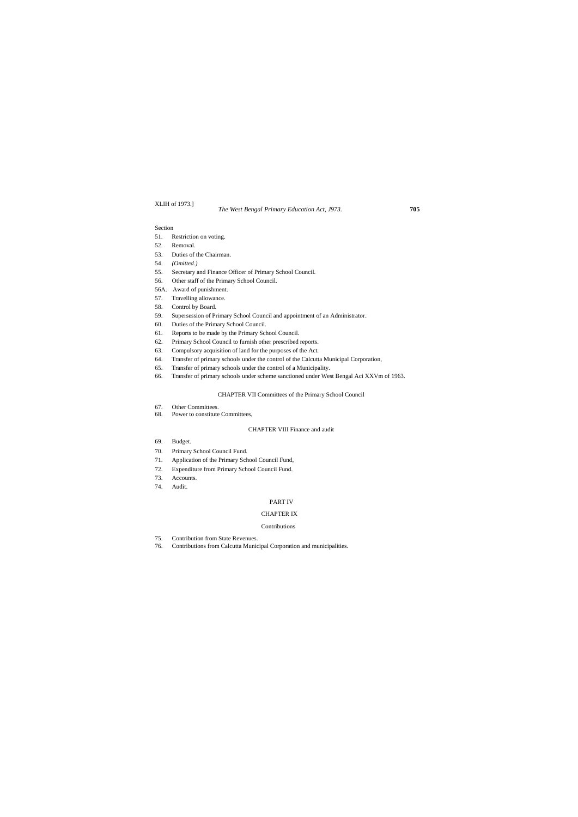#### XLIH of 1973.]

#### Section

- 51. Restriction on voting.
- 52. Removal.
- 53. Duties of the Chairman.
- 54. *(Omitted.)*
- 55. Secretary and Finance Officer of Primary School Council.
- 56. Other staff of the Primary School Council.
- 56A. Award of punishment.
- 57. Travelling allowance.
- 58. Control by Board.
- 59. Supersession of Primary School Council and appointment of an Administrator.
- 60. Duties of the Primary School Council.
- 61. Reports to be made by the Primary School Council.
- 62. Primary School Council to furnish other prescribed reports.
- 63. Compulsory acquisition of land for the purposes of the Act.
- 64. Transfer of primary schools under the control of the Calcutta Municipal Corporation,
- 65. Transfer of primary schools under the control of a Municipality.
- 66. Transfer of primary schools under scheme sanctioned under West Bengal Aci XXVm of 1963.

#### CHAPTER VII Committees of the Primary School Council

- 67. Other Committees.
- 68. Power to constitute Committees,

#### CHAPTER VIII Finance and audit

- 69. Budget.
- 70. Primary School Council Fund.
- 71. Application of the Primary School Council Fund,
- 72. Expenditure from Primary School Council Fund.
- 73. Accounts.
- 74. Audit.

#### PART IV

#### CHAPTER IX

#### Contributions

- 75. Contribution from State Revenues.
- 76. Contributions from Calcutta Municipal Corporation and municipalities.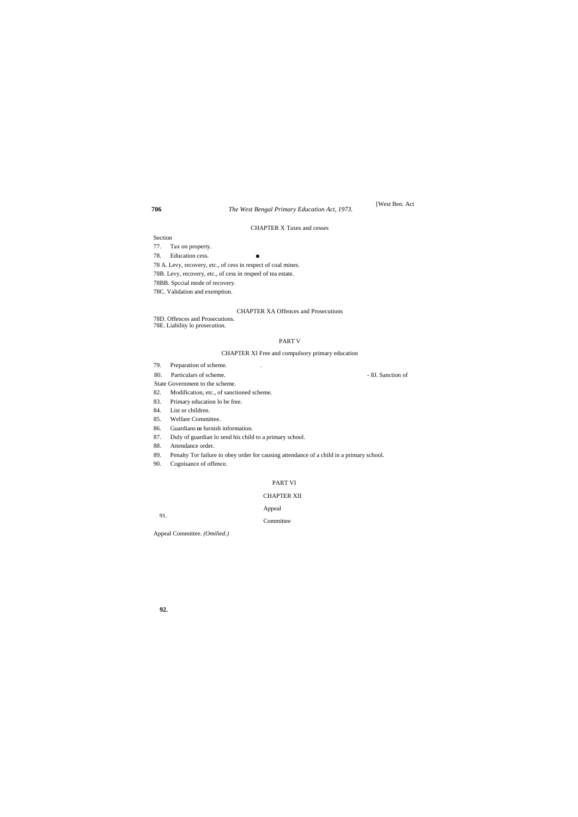91.

[West Ben. Act

CHAPTER X Taxes and cesses

### Section

- 77. Tax on property.
- 78. Education cess. ■
- 78 A. Levy, recovery, etc., of cess in respect of coal mines.
- 78B. Levy, recovery, etc., of cess in respeel of tea estate.
- 78BB. Spccial mode of recovery.
- 78C. Validation and exemption.

#### CHAPTER XA Offences and Prosecutions

- 78D. Offences and Prosecutions.
- 78E. Liability lo prosecution.

#### PART V

#### CHAPTER XI Free and compulsory primary education

- 79. Preparation of scheme. .
- 80. Particulars of scheme. 8J. Sanction of
- State Government to the scheme.
- 82. Modification, etc., of sanctioned scheme.
- 83. Primary education lo be free.
- 84. List or children.
- 85. Welfare Committee.
- 86. Guardians **ID** furnish information.
- 87. Duly of guardian lo send his child to a primary school.
- 88. Attendance order.
- 89. Penalty Tor failure to obey order for causing attendance of a child in a primary school.
- 90. Cognisance of offence.

#### PART VI

#### CHAPTER XII

Appeal

Committee

Appeal Committee. *(Omilied.)*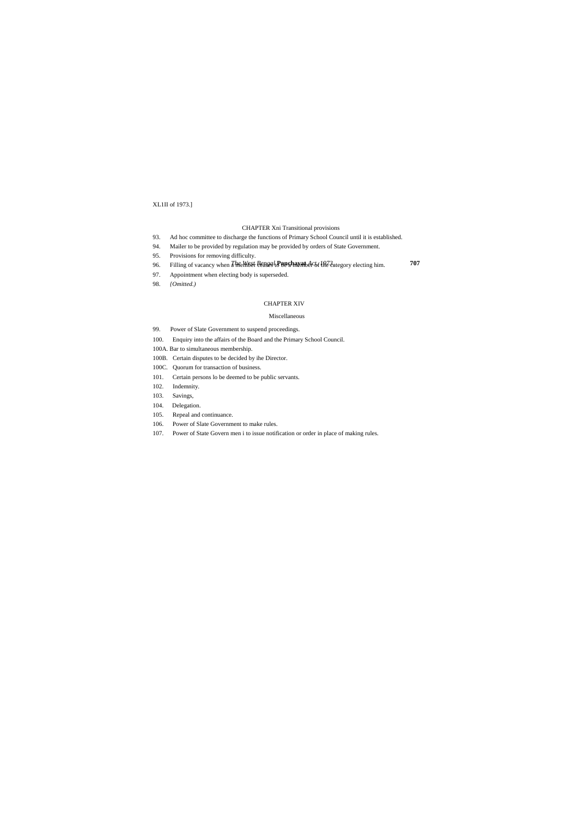### XL1II of 1973.]

#### CHAPTER Xni Transitional provisions

- 93. Ad hoc committee to discharge the functions of Primary School Council until it is established.
- 94. Mailer to be provided by regulation may be provided by orders of State Government.
- 95. Provisions for removing difficulty.
- *The West Bengal* **Panchayat** *Act, 1973.* **707** 96. Filling of vacancy when a member ceases to be a member of the category electing him.
- 97. Appointment when electing body is superseded.
- 98. *{Omitted.)*

### CHAPTER XIV

#### Miscellaneous

- 99. Power of Slate Government to suspend proceedings.
- 100. Enquiry into the affairs of the Board and the Primary School Council.
- 100A. Bar to simultaneous membership.
- 100B. Certain disputes to be decided by ihe Director.
- 100C. Quorum for transaction of business.
- 101. Certain persons lo be deemed to be public servants.
- 102. Indemnity.
- 103. Savings,
- 104. Delegation.
- 105. Repeal and continuance.
- 106. Power of Slate Government to make rules.
- 107. Power of State Govern men i to issue notification or order in place of making rules.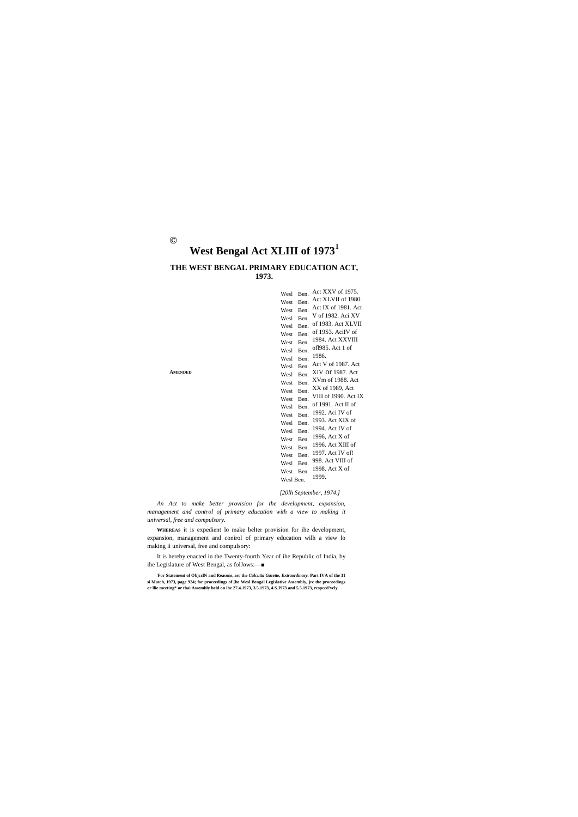**AMENDED**

# **©**

# **West Bengal Act XLIII of 1973<sup>1</sup>**

## **THE WEST BENGAL PRIMARY EDUCATION ACT, 1973.**

| Wesl      | Ben. | Act XXV of 1975.     |
|-----------|------|----------------------|
| West      | Ben. | Act XLVII of 1980.   |
| West      | Ben. | Act IX of 1981. Act  |
| Wesl      | Ben. | V of 1982. Aci XV    |
| Wesl      | Ben. | of 1983. Act XLVII   |
| West      | Ben. | of 19S3. AciIV of    |
| West      | Ben. | 1984. Act XXVIII     |
| Wesl      | Ben. | of1985. Act 1 of     |
| Wesl      | Ben. | 1986.                |
| Wesl      | Ben. | Act V of 1987. Act   |
| Wesl      | Ben. | XIV Or 1987. Act     |
| West      | Ben. | XVm of 1988. Act     |
| West      | Ben. | XX of 1989, Act      |
| West      | Ben. | VIII of 1990. Act IX |
| Wesl      | Ben. | of 1991. Act II of   |
| West      | Ben. | 1992. Aci IV of      |
| Wesl      | Ben. | 1993. Act XIX of     |
| Wesl      | Ben. | 1994. Act IV of      |
| West      | Ben. | 1996, Act X of       |
| West      | Ben. | 1996. Act XIII of    |
| West      | Ben. | 1997. Act IV of!     |
| Wesl      | Ben. | 998. Act VIII of     |
| West      | Ben. | 1998. Act X of       |
| Wesl Ben. |      | 1999.                |
|           |      |                      |

#### *[20lh September, 1974.]*

*An Act to make better provision for the development, expansion, management and control of primary education with a view to making it universal, free and compulsory.*

**WHEREAS** it is expedient lo make belter provision for ihe development, expansion, management and conirol of primary education wilh a view lo making ii universal, free and compulsory:

It is hereby enacted in the Twenty-fourth Year of ihe Republic of India, by ihe Legislature of West Bengal, as folJows:—■

**: For Statement of ObjcclN and Reasons,** *sec* **the** *Calcutta Gazette, Extraordinary.* **Part IVA of the 31 si Match, 1973, page 924; for proceedings of [he Wesl Bengal Legislative Assembly, jrc the proceedings or llie meeting\* or thai Assembly held on ihe 27.4.1973, 3.5.1973, 4.S.J973 and 5.5.1973, rcspccd'vcly.**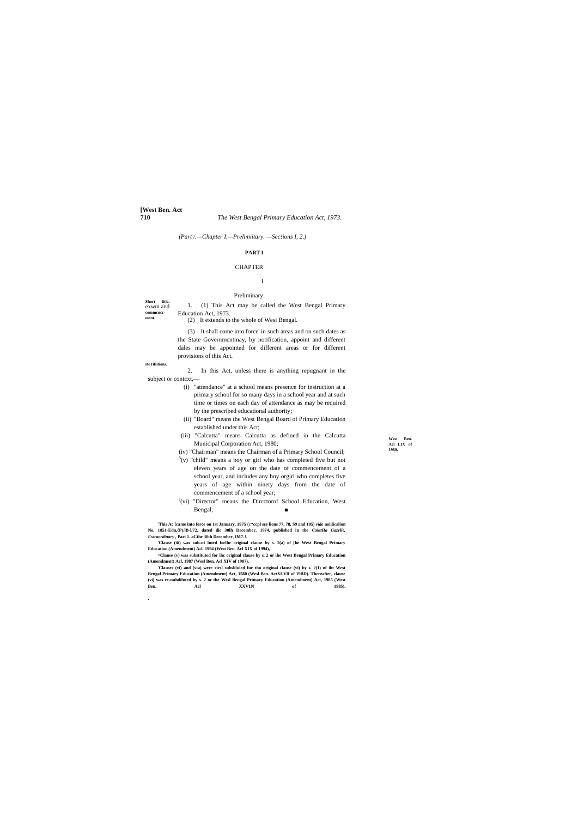**[West Ben. Act**

**710** *The West Bengal Primary Education Act, 1973.*

**DeTifiitions.**

**West Ben. Acl LIX of 1980.**

*(Part /.—Chapter I.—Prelimiitary. —Sec!ions I, 2.)*

**Short litle,**  exwm and **commcncc-mcnt.** 1. (1) This Act may be called the West Bengal Primary Education Act, 1973.

#### **PART I**

#### **CHAPTER**

# I

### Preliminary

(2) It extends to the whole of Wesi Bengal.

(3) It shall come into force' in such areas and on such dates as the State Governmcntmay, by notification, appoint and different dales may be appointed for different areas or for different provisions of this Act.

2. In this Act, unless there is anything repugnant in the subject or contcxt,—

- (i) "attendance" at a school means presence for instruction at a primary school for so many days in a school year and at such time or times on each day of attendance as may be required by the prescribed educational authority;
- (ii) "Board" means the West Bengal Board of Primary Education established under this Act;
- -(iii) "Calcutta" means Calcutta as defined in the Calcutta Municipal Corporation Act, 1980;

**'Clauses (vi) and (via) were rirsl subsliluled fur thu original clause (vi) by s. 2(1) nf iht West Bengal Primary Education (Amendment) Act, 1580 (Wesl Ben. ActXLVlI of 19BD). Thereafter, clause (vi) was re-nuhdiluted by s. 2 or the Wesl Bengal Primary Education (Amendment) Act, 1985 (West Ben. Acl XXV1N** of 1985).

(iv) "Chairman" means the Chairman of a Primary School Council;

- $5(v)$  "child" means a boy or girl who has completed five but not eleven years of age on the date of commencement of a school year, and includes any boy orgirl who completes five years of age within ninety days from the date of commencement of a school year;
- <sup>J</sup>(vi) "Director" means the Dircctorof School Education, West Bengal; ■

**'This Ac [came into force on 1st January, 1975** (c**\*ccpl see lions 77, 78, S9 and 105)** *vide* **noiilicalion No. 1851-Edn,{P)/lB-l/72, dated die 30lh December, 1974, published in the** *CakttHa Gazelle, Extraordinary ,* **Pari 1. aCthe 30th December, IM7-!.**

**'Clause (iii) was sub.sti luted forlhe original clause by s. 2(a) of [he West Bengal Primary Education (Amendment) Acl. 1994 (West Ben. Acl XIX of 1994),**

**^Clause (v) was substituted for ihc original clause by s. 2 or ihe West Bengal Primary Education (Amendment) Acl, 1987 (Wesl Ben. Acl XIV of 1987).**

**,**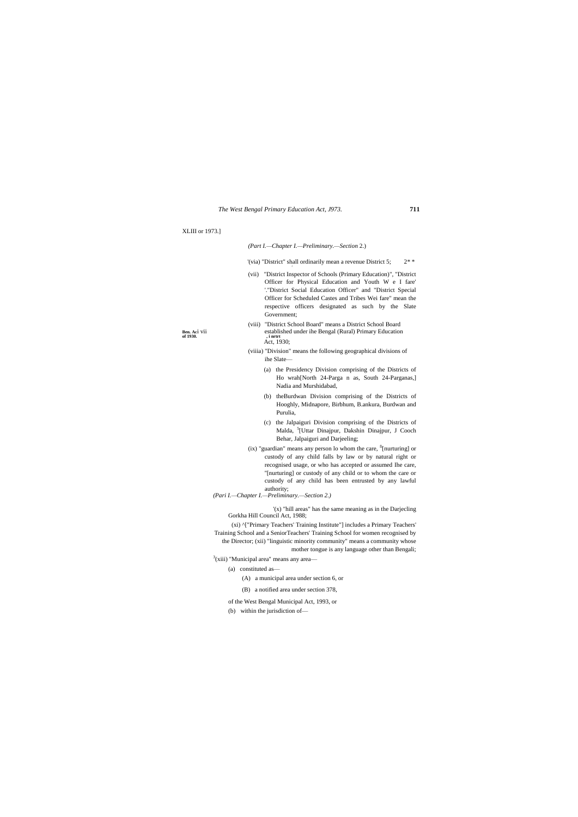#### XLIII or 1973.]

**Ben.** Aci Vii of 1930.

*(Part I.—Chapter I.—Preliminary.—Section* 2.)

'(via) "District" shall ordinarily mean a revenue District 5;  $2^*$ 

- (vii) "District Inspector of Schools (Primary Education)", "District Officer for Physical Education and Youth W e I fare' '."District Social Education Officer" and "District Special Officer for Scheduled Castes and Tribes Wei fare'' mean the respective officers designated as such by the Slate Government;
- (viii) "District School Board" means a District School Board established under ihe Bengal (Rural) Primary Education *stablished*,<br>*Act*, 1930;
- (viiia) "Division" means the following geographical divisions of ihe Slate—
	- (a) the Presidency Division comprising of the Districts of Ho wrah[North 24-Parga n as, South 24-Parganas,] Nadia and Murshidabad,
	- (b) theBurdwan Division comprising of the Districts of Hooghly, Midnapore, Birbhum, B.ankura, Burdwan and Purulia,
	- (c) the Jalpaiguri Division comprising of the Districts of Malda, <sup>5</sup>[Uttar Dinajpur, Dakshin Dinajpur, J Cooch Behar, Jalpaiguri and Darjeeling;
- $(ix)$  "guardian" means any person lo whom the care,  $f$ [nurturing] or custody of any child falls by law or by natural right or recognised usage, or who has accepted or assumed Ihe care, ''[nurturing] or custody of any child or to whom the care or custody of any child has been entrusted by any lawful authority;

*(Pari I.—Chapter I.—Preliminary.—Section 2.)*

'(x) "hill areas" has the same meaning as in the Darjecling Gorkha Hill Council Act, 1988;

(xi) ^["Primary Teachers' Training Institute"] includes a Primary Teachers' Training School and a SeniorTeachers' Training School for women recognised by the Director; (xii) "linguistic minority community" means a community whose mother tongue is any language other than Bengali;

 $3$ (xiii) "Municipal area" means any area—

- (a) constituted as—
	- (A) a municipal area under section 6, or
- (B) a notified area under section 378, of the West Bengal Municipal Act, 1993, or
- 
- (b) within the jurisdiction of—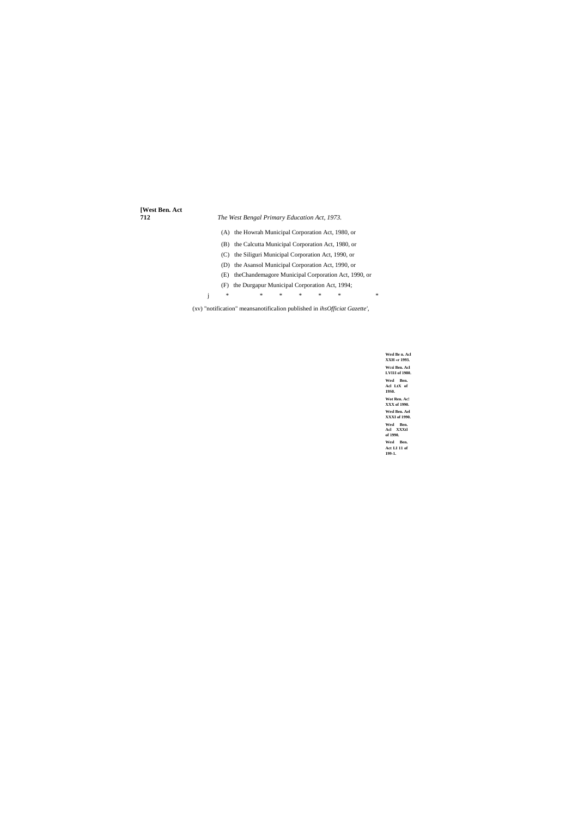**Wesl Be n. Acl XXH «r 1993. Wcsi Ben. Acl LVI1I of 1980. Wesl Ben. Acl LtX of 19S0. Wot Ren. Ac! XXX of 1990. Wesl Ben. Ael XXXI of 1990. Wesl Ben. Acl XXXtl of 1990. Wesl Ben. Act LI 11 of 199-1.**

# **[West Ben. Act 712** *The West Bengal Primary Education Act, 1973.* (A) the Howrah Municipal Corporation Act, 1980, or (B) the Calcutta Municipal Corporation Act, 1980, or (C) the Siliguri Municipal Corporation Act, 1990, or (D) the Asansol Municipal Corporation Act, 1990, or (E) theChandemagore Municipal Corporation Act, 1990, or (F) the Durgapur Municipal Corporation Act, 1994;

j \* \* \* \* \* \* \*

(xv) "notification" meansanotificalion published in *ihsOfficiat Gazette',*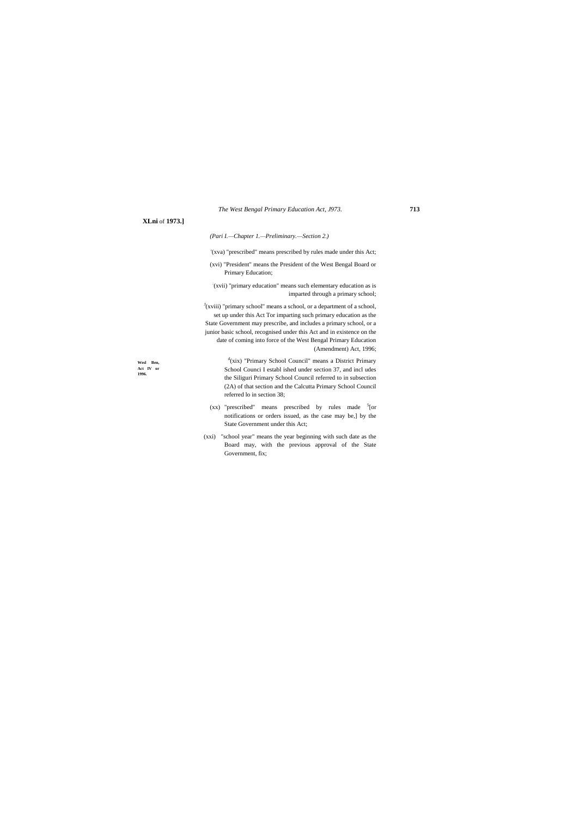**Wesl Ben, Act IV or 1996.**

### **XLni** of **1973.]**

#### *(Pari I.—Chapter 1.—Preliminary.—Section 2.)*

'(xva) "prescribed" means prescribed by rules made under this Act;

- (xvi) "President" means the President of the West Bengal Board or Primary Education;
- : (xvii) "primary education" means such elementary education as is imparted through a primary school;

 $J(xviii)$  "primary school" means a school, or a department of a school, set up under this Act Tor imparting such primary education as the State Government may prescribe, and includes a primary school, or a junior basic school, recognised under this Act and in existence on the date of coming into force of the West Bengal Primary Education (Amendment) Act, 1996;

- $(xx)$  "prescribed" means prescribed by rules made  $5$ [or notifications or orders issued, as the case may be,] by the State Government under this Act;
- (xxi) "school year" means the year beginning with such date as the Board may, with the previous approval of the State Government, fix;

d (xix) "Primary School Council" means a District Primary School Counci I establ ished under section 37, and incl udes the Siliguri Primary School Council referred to in subsection (2A) of that section and the Calcutta Primary School Council referred lo in section 38;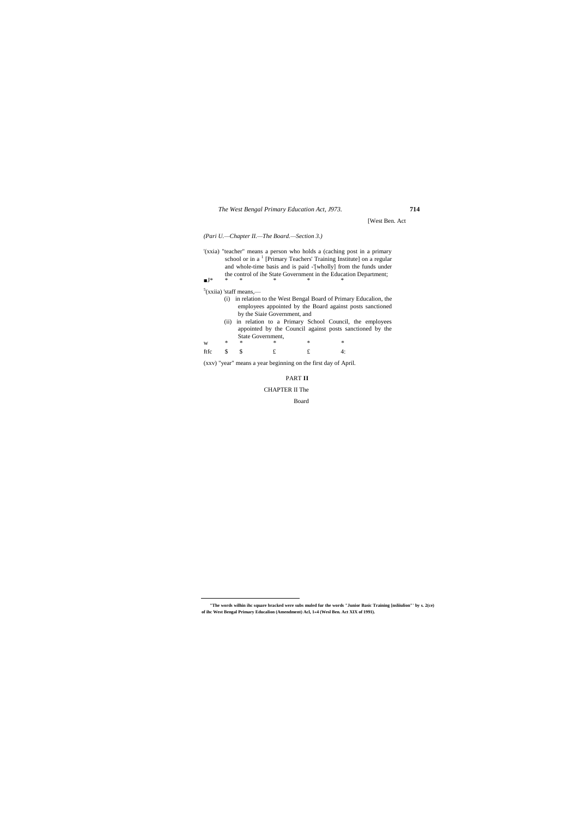[West Ben. Act

### *(Pari U.—Chapter II.—The Board.—Section 3.)*

'(xxia) "teacher" means a person who holds a (caching post in a primary school or in a<sup>1</sup> [Primary Teachers' Training Institute] on a regular and whole-time basis and is paid -'[wholly] from the funds under the control of ihe State Government in the Education Department; ■J\* \* \* \* \* \*

#### <sup>5</sup>(xxiia) 'staff means,—

 $\overline{a}$ 

|      | (i) in relation to the West Bengal Board of Primary Education, the                                                 |
|------|--------------------------------------------------------------------------------------------------------------------|
|      | employees appointed by the Board against posts sanctioned                                                          |
|      | by the Siaie Government, and                                                                                       |
| (ii) | in relation to a Primary School Council, the employees<br>appointed by the Council against posts sanctioned by the |
|      | State Government,                                                                                                  |

| $W \qquad \qquad * \qquad \qquad *$ |   | $\mathbb{R}^2$<br>$*$ | $\ast$ |  |
|-------------------------------------|---|-----------------------|--------|--|
| ftfc \$ \$                          | f |                       | $f$ 4: |  |

(xxv) "year" means a year beginning on the first day of April.

## PART **II**

### CHAPTER II The

Board

**<sup>&</sup>quot;The words wilhin ihc square bracked were subs muled fur the words "Junior Basic Training [nsliiulion"' by s. 2(ce) of ihc West Bengal Primary Educalion (Amendment) Acl, 1«4 (Wesl Ben. Act XIX of 1991).**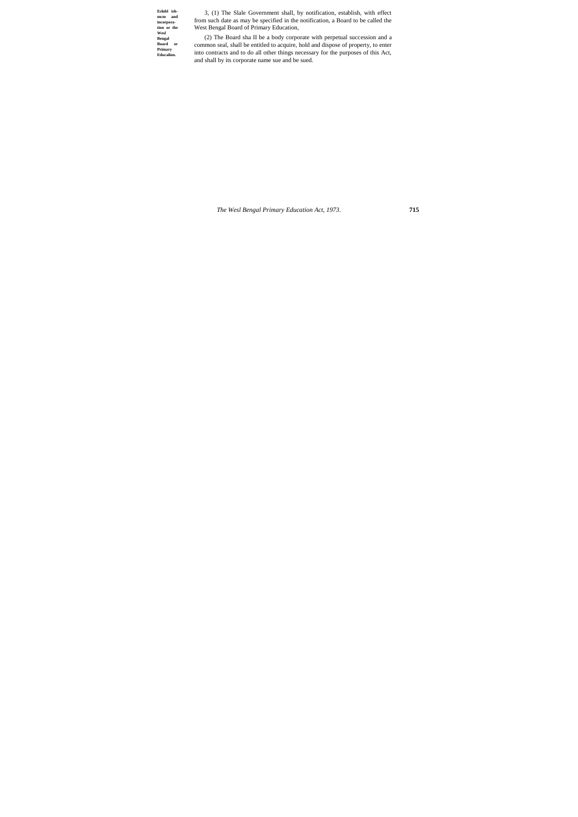**Eslnbl ish-mcm and incorporation or the Wesl Bengal Board or Primary Educalion.**

3, (1) The Slale Government shall, by notification, establish, with effect from such date as may be specified in the notification, a Board to be called the West Bengal Board of Primary Education,

(2) The Board sha II be a body corporate with perpetual succession and a common seal, shall be entitled to acquire, hold and dispose of property, to enter into contracts and to do all other things necessary for the purposes of this Act, and shall by its corporate name sue and be sued.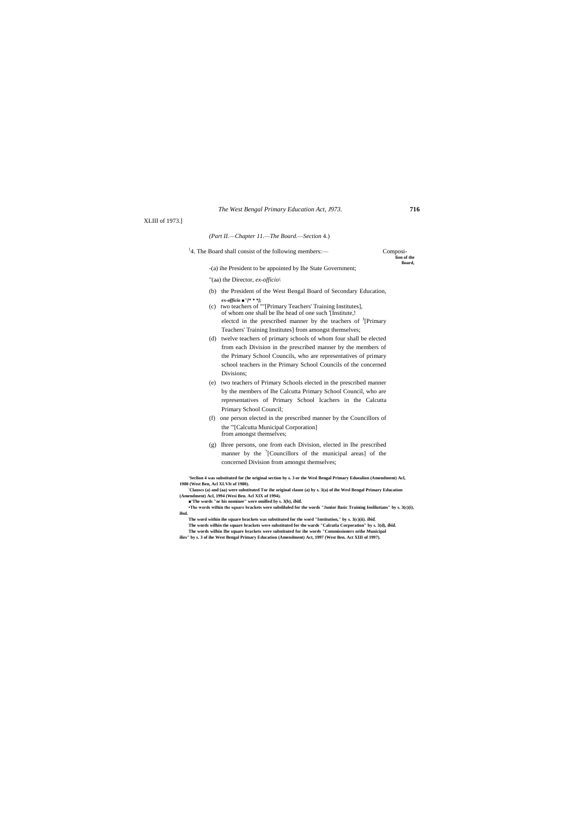#### XLIII of 1973.]

#### *(Part II.—Chapter 11.—The Board.—Section* 4.)

<sup>1</sup>4. The Board shall consist of the following members:— Composi-

**lion of the Board,**

-(a) ihe President to be appointed by Ihe State Government;

"(aa) the Director, *ex-officio\*

- (b) the President of the West Bengal Board of Secondary Education, *ex-officio ■"[\* \* \*];*
- (c) two teachers of ""[Primary Teachers' Training Institutes], of whom one shall be Ihe head of one such '[Institute,! electcd in the prescribed manner by the teachers of <sup>J</sup>[Primary Teachers' Training Institutes] from amongst themselves;
- (d) twelve teachers of primary schools of whom four shall be elected from each Division in the prescribed manner by the members of the Primary School Councils, who are representatives of primary school teachers in the Primary School Councils of the concerned Divisions;
- (e) two teachers of Primary Schools elected in the prescribed manner by the members of Ihe Calcutta Primary School Council, who are representatives of Primary School Icachers in the Calcutta Primary School Council;
- (f) one person elected in the prescribed manner by the Councillors of the '"[Calcutta Municipal Corporation] from amongst themselves;
- (g) Ihree persons, one from each Division, elected in Ihe prescribed manner by the  $\frac{7}{2}$ [Councillors of the municipal areas] of the concerned Division from amongst themselves;

**'Seclion 4 was substituted for (he original section by s. 3 or the Wesl Bengal Primary Eduealion (Amendment) Acl, 1980 (West Ben, Acl XLVIt of 1980).**

**:Clauscs (a) and (aa) were substituted Tor ihe original clause (a) by s. 3(a) of ihe Wesl Bengal Primary Education (Amendment) Acl, 1994 (Wesi Ben. Acl XIX of 1994).**

■'The words "or his nominee" were omilled by s. 3(b), *ibitl.* 

**•The words wilhin the square brackets were subsliluled for the words "Junior Basic Training Inslilutians" by s. 3(c)(i), ibul.**

**The word within ihe square brackets was substituted for the word "Institution," by s. 3(c)(ii).** *ibid.* **The words wilhin the square brackets were substituted for the wards "Calcutla Corporation" by s. 3(d),** *ibid.* **The words wilhin Ihe square brackets were substituted for ihe words "Commissioners orihe Municipal ilies" by s. 3 of ihe West Bengal Primary Education (Amendment) Act, 1997 (West Ben. Act XIII of 1997).**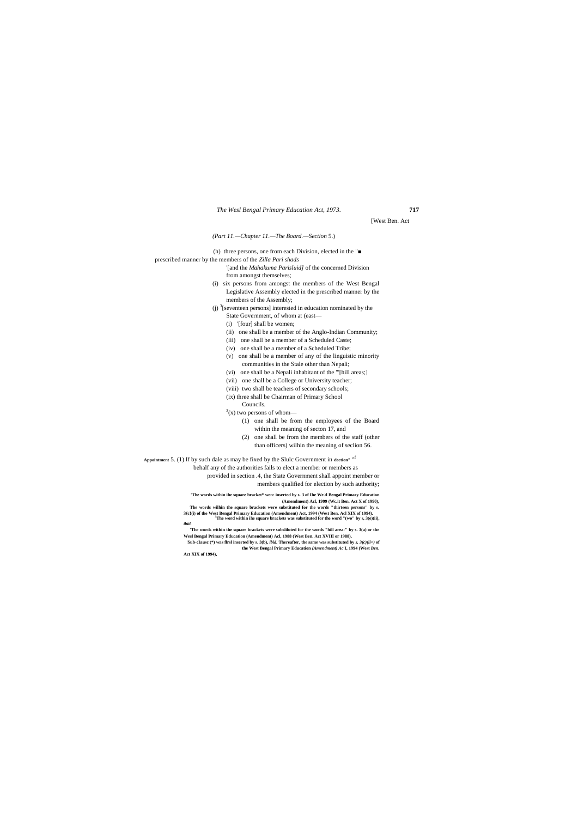[West Ben. Act

#### *(Part 11.—Chapter 11.—The Board.—Section* 5.)

(h) three persons, one from each Division, elected in the "■

prescribed manner by the members of the *Zilla Pari shads*

'[and the *Mahakuma Parisluid]* of the concerned Division from amongst themselves;

- (i) six persons from amongst the members of the West Bengal Legislative Assembly elected in the prescribed manner by the members of the Assembly;
- (j)  $\frac{3}{2}$ [seventeen persons] interested in education nominated by the State Government, of whom at (east—
	- (i) '[four] shall be women;
	- (ii) one shall be a member of the Anglo-Indian Community;
	- (iii) one shall be a member of a Scheduled Caste;
	- (iv) one shall be a member of a Scheduled Tribe;
	- (v) one shall be a member of any of the linguistic minority communities in the Stale other than Nepali;
	- (vi) one shall be a Nepali inhabitant of the "'[hill areas;]
	- (vii) one shall be a College or University teacher;
	- (viii) two shall be teachers of secondary schools;
	- (ix) three shall be Chairman of Primary School
		- Councils.

 $3(x)$  two persons of whom—

 $\mathbf{Sub}\text{-}\mathbf{clause}$  (\*) was firsl inserted by s. 3(b), *ibid.* Thereafter, the same was substituted by *s.*  $3(c)(ii<0)$  of **the West Bengal Primary Education** *(Amendment) Ac* **I, 1994 (West** *Ben.*

- (1) one shall be from the employees of the Board within the meaning of secton 17, and
- (2) one shall be from the members of the staff (other than officers) wilhin the meaning of seclion 56.

**Appointment** 5. (1) If by such dale as may be fixed by the Slulc Government in **dcction"** ° f

behalf any of the authorities fails to elect a member or members as

provided in section .4, the State Government shall appoint member or

members qualified for election by such authority;

**'The words within ihe square bracket\* wen: inserted by s. 3 of Ihe We.\l Bengal Primary Education (Amendment) Acl, 1999 (Wc.it Ben. Act X of 1990),**

**The words wilhin the square brackets were substituted for the words "thirteen persons" by s. 3{c}(i) of the West Bengal Primary Education (Amendment) Act, 1994 (West Ben. Acl XIX of 1994). <sup>J</sup>The word within ihe square brackets was substituted for the word "(wo" by s, 3(e)(ii),** *ibid.*

**'The words within the square brackets were subsliluted for the words "hill area:" by s. 3(a) or the Wesl Bengal Primary Education (Amendment) Acl, 1988 (West Ben. Act XVIII or 1988).**

**Act XIX of 1994),**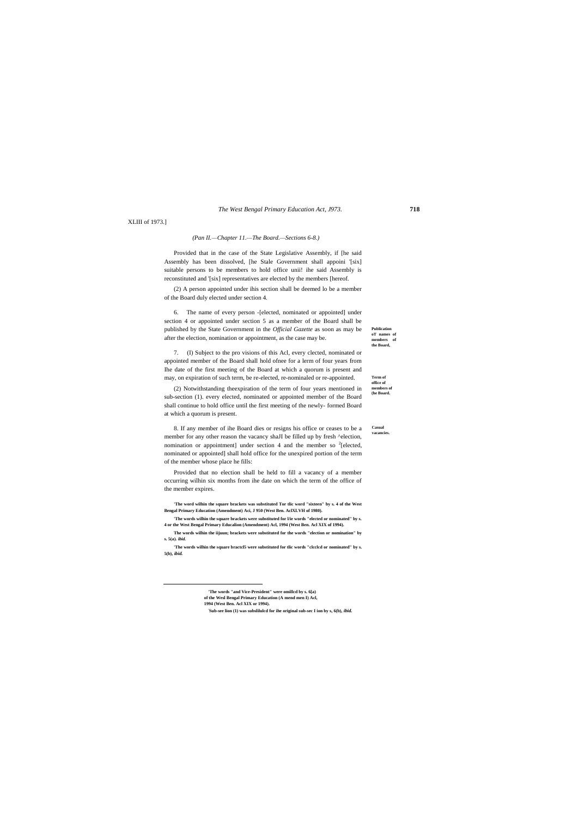**Casual vacancies.**

**Publication oT names of members of the Board,**

**Term of office of members of (he Board.**

XLIII of 1973.]

#### *(Pan II.—Chapter 11.—The Board.—Sections 6-8.)*

Provided that in the case of the State Legislative Assembly, if [he said Assembly has been dissolved, [he Stale Government shall appoini '[six] suitable persons to be members to hold office unii! ihe said Assembly is reconstituted and '[six] representatives are elected by the members [hereof.

(2) A person appointed under ihis section shall be deemed lo be a member of the Board duly elected under section 4.

6. The name of every person -[elected, nominated or appointed] under section 4 or appointed under section 5 as a member of the Board shall be published by the State Government in the *Official Gazette* as soon as may be after the election, nomination or appointment, as the case may be.

7. (I) Subject to the pro visions of this Acl, every clected, nominated or appointed member of the Board shall hold ofnee for a lerm of four years from Ihe date of the first meeting of the Board at which a quorum is present and may, on expiration of such term, be re-elected, re-nominaled or re-appointed.

(2) Notwithstanding theexpiration of the term of four years mentioned in sub-section (1). every elected, nominated or appointed member of the Board shall continue to hold office until the first meeting of the newly- formed Board at which a quorum is present.

8. If any member of ihe Board dies or resigns his office or ceases to be a member for any other reason the vacancy shaJI be filled up by fresh ^election, nomination or appointment] under section 4 and the member so  $2$ [elected, nominated or appointed] shall hold office for the unexpired portion of the term of the member whose place he fills:

Provided that no election shall be held to fill a vacancy of a member occurring wilhin six months from ihe date on which the term of the office of the member expires.

**'The word wilhin the square brackets was substituted Tor tlic word "sixteen" by s. 4 of the West Bengal Primary Education (Amendment) Aci, J 950 (West Ben. AclXLVH of 1980).**

**'The words wilhin the square brackets were substituted for l/ie words "elected or nominated" by s. 4 or the West Bengal Primary Educalion (Amendment) Acl, 1994 (West Ben. Acl XIX of 1994).**

**The words wilhin the iijuun; brackets were substituted for the words "election or nomination" by s. 5(a).** *ibid.*

**'The words wilhin the square bractcl5 were substituted for tlic words "clcclcd or nominated" by s. 5(b),** *ibid.*

**'The words "and Vice-President" were omillcd by s. 6[a)** 

**of the Wesl Bengal Primary Education (A mend men I) Acl,** 

**1994 (West Ben. Acl XIX or 1994).**

 $\overline{a}$ 

**: Sub-see lion (1) was subslilulcd for ihe original sub-sec I ion by s, 6(b),** *ibid.*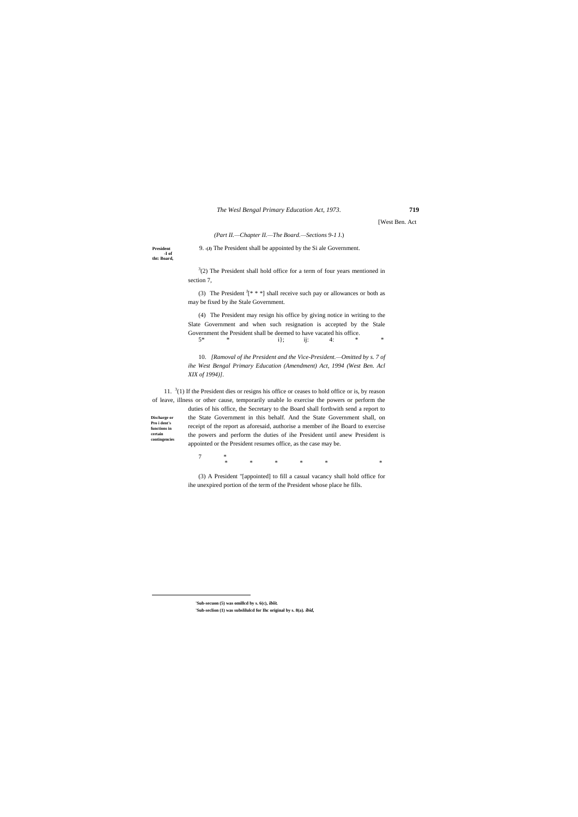**Discharge or Pro i dent's functions in certain contingencies**

 $\overline{a}$ 

[West Ben. Act

*(Part II.—Chapter II.—The Board.—Sections 9-1* J.)

 $3(2)$  The President shall hold office for a term of four years mentioned in section 7,

**President** 9. **-(J)** The President shall be appointed by the Si ale Government. **-I of tht: Board,**

> (3) The President  $J$ [\* \* \*] shall receive such pay or allowances or both as may be fixed by ihe Stale Government.

11.  $3(1)$  If the President dies or resigns his office or ceases to hold office or is, by reason of leave, illness or other cause, temporarily unable lo exercise the powers or perform the

(4) The President may resign his office by giving notice in writing to the Slate Government and when such resignation is accepted by the Stale Government the President shall be deemed to have vacated his office.<br>  $5*$   $i$ ;  $j$ :  $4$ :  $4$ : 5\* \* i}; ij: 4: \* \*

 $\begin{matrix}7\end{matrix}~~*$ \* \* \* \* \* \*

10. *[Ramoval of ihe President and the Vice-President.—Omitted by s. 7 of ihe West Bengal Primary Education (Amendment) Act, 1994 (West Ben. Acl XIX of 1994)].*

duties of his office, the Secretary to the Board shall forthwith send a report to the State Government in this behalf. And the State Government shall, on receipt of the report as aforesaid, authorise a member of ihe Board to exercise the powers and perform the duties of ihe President until anew President is appointed or the President resumes office, as the case may be.

(3) A President "[appointed] to fill a casual vacancy shall hold office for ihe unexpired portion of the term of the President whose place he fills.

**'Sub-secuon (5) was omillcd by s. 6(c),** *ibiit.*

**'Sub-seclion (1) was subslilulcd for Ihc original by s. 8(a).** *ibid,*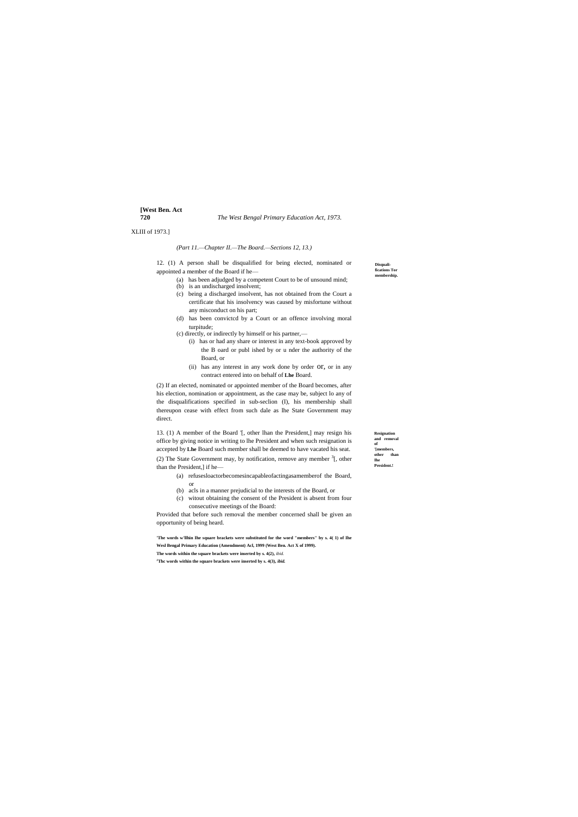# **[West Ben. Act**

**720** *The West Bengal Primary Education Act, 1973.*

**Resignation**  and removal **of '[members, other than Ihe President.!**

**Disquali-fications Tor membership.**

XLIII of 1973.]

#### *(Part 11.—Chapter II.—The Board.—Sections 12, 13.)*

12. (1) A person shall be disqualified for being elected, nominated or appointed a member of the Board if he—

- (a) has been adjudged by a competent Court to be of unsound mind;
- (b) is an undischarged insolvent;
- (c) being a discharged insolvent, has not obtained from the Court a certificate that his insolvency was caused by misfortune without any misconduct on his part;
- (d) has been convictcd by a Court or an offence involving moral turpitude;
- (c) directly, or indirectly by himself or his partner,—
	- (i) has or had any share or interest in any text-book approved by the B oard or publ ished by or u nder the authority of the Board, or
	- (ii) has any interest in any work done by order OT, or in any contract entered into on behalf of **Lhe** Board.

(2) The State Government may, by notification, remove any member  $3$ [, other than the President,] if he—

(2) If an elected, nominated or appointed member of the Board becomes, after his election, nomination or appointment, as the case may be, subject lo any of the disqualifications specified in sub-seclion (I), his membership shall thereupon cease with effect from such dale as lhe State Government may direct.

13. (1) A member of the Board '[, other lhan the President,] may resign his office by giving notice in writing to lhe President and when such resignation is accepted by **Lhe** Board such member shall be deemed to have vacated his seat.

- (a) refusesloactorbecomesincapableofactingasamemberof the Board, or
- (b) acls in a manner prejudicial to the interests of the Board, or
- (c) witout obtaining the consent of the President is absent from four consecutive meetings of the Board:

Provided that before such removal the member concerned shall be given an opportunity of being heard.

**'The words w'llhin Ihe square brackets were substituted for the word "members" by s. 4( 1) of Ihe Wesl Bengal Primary Education (Amendment) Acl, 1999 (West Ben. Act X of 1999). The words within the square brackets were inserted by s. 4(2),** *ibid.*

**<sup>J</sup>Thc words within the square brackets were inserted by s. 4(3),** *ibid.*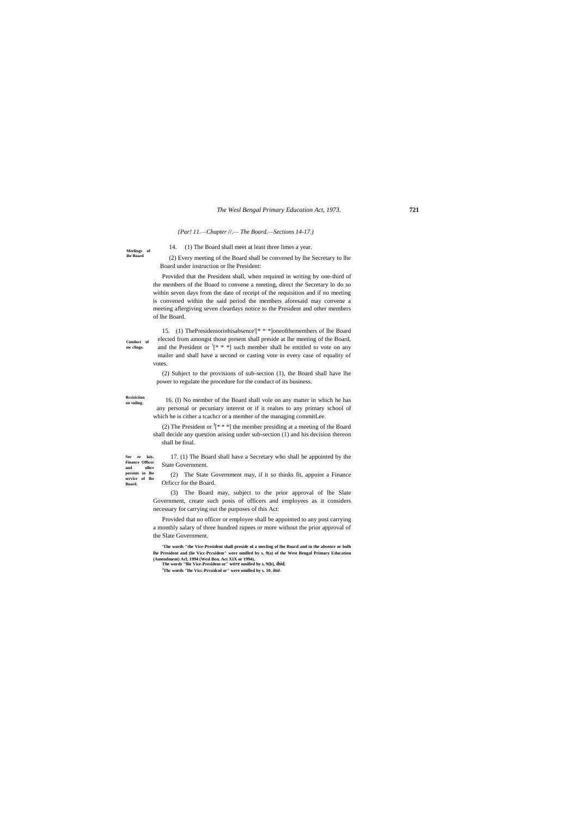#### **Rcsiriciion on vuling.**

**persons in lhe service of lhe Board.**

**Meelings of ihe Board**

**Conduct of mc clings.**

*{Par! 11.—Chapter //.— The Board.—Sections 14-17.)*

14. (1) The Board shall meet at least three limes a year.

(2) Every meeting of the Board shall be convened by lhe Secretary to lhe Board under instruction or Ihe President:

Provided that the President shall, when required in writing by one-third of the members of the Board to convene a meeting, direct the Secretary lo do so within seven days from the date of receipt of the requisition and if no meeting is convened within the said period the members aforesaid may convene a meeting aflergiving seven cleardays notice to the President and other members of lhe Board.

(2) The President or  $J[***]$  the member presiding at a meeting of the Board shall decide any question arising under sub-section (1) and his decision thereon shall be final.

**See re laiy, Finance Officer and olhcr**  17. (1) The Board shall have a Secretary who shall be appointed by the State Government.

15. (1) ThePresideniorinhisabsence'[\* \* \*]oneofthemembers of lhe Board elected from amongst those present shall preside at lhe meeting of the Board, and the President or  $\left[4 * * \right]$  such member shall be entitled to vote on any mailer and shall have a second or casting vote in every case of equality of votes.

(2) Subject to the provisions of sub-section (1), the Board shall have lhe power to regulate the procedure for the conduct of its business.

16. (I) No member of the Board shall vole on any matter in which he has any personal or pecuniary interest or if it realtes to any primary school of which he is cither a tcachcr or a member of the managing commitLee.

(2) The State Government may, if it so thinks fit, appoint a Finance Orficcr for the Board.

(3) The Board may, subject to the prior approval of lhe Slate Government, create such posis of officers and employees as it considers necessary for carrying out the purposes of this Act:

Provided that no officer or employee shall be appointed to any post carrying a monthly salary of three hundred rupees or more without the prior approval of the Slate Government.

**'The words "the Vice-President shall preside nl a mecling of lhe Board and in the absence or bolh lhe President and (lie Vicc-Prcsidem" were omilled by s. 9(a) of the West Bengal Primary Education (Amendment) Acl, 1994 (Wesl Ben. Act XIX or 1994). The words "llie Vice-President or"** *were* **omilled by s. 9{b),** *ibid.*

**<sup>3</sup>Thc words "lhe Vicc-Prcsidcnl or" were omilled hy s. 10.** *ibid-*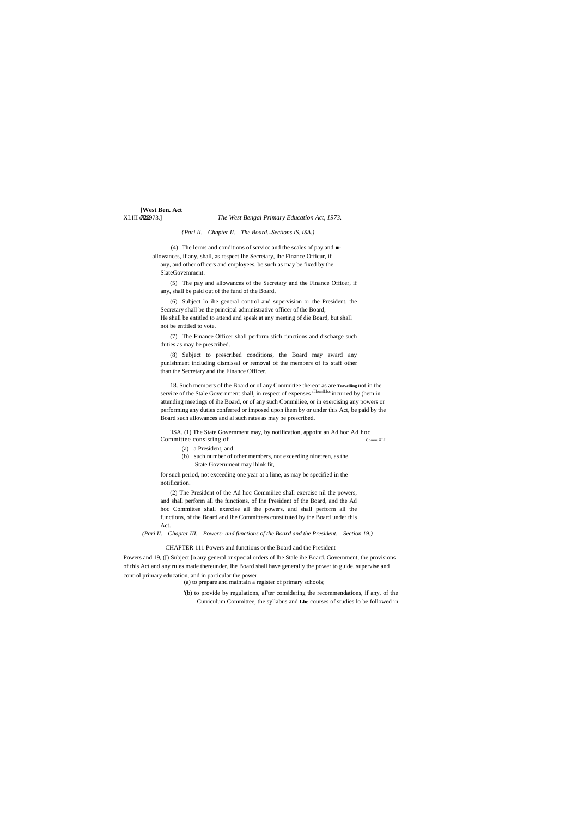# **[West Ben. Act**

XLIII **322**973.] *The West Bengal Primary Education Act, 1973.* 

*{Pari II.—Chapter II.—The Board.*—*Sections IS, ISA.)*

(4) The lerms and conditions of scrvicc and the scales of pay and ■ allowances, if any, shall, as respect Ihe Secretary, ihc Finance Officur, if any, and other officers and employees, be such as may be fixed by the SlateGovemment.

(5) The pay and allowances of the Secretary and the Finance Officer, if any, shall be paid out of the fund of the Board.

(6) Subject lo ihe general control and supervision or the President, the Secretary shall be the principal administrative officer of the Board, He shall be entitled to attend and speak at any meeting of die Board, but shall not be entitled to vote.

'ISA. (1) The State Government may, by notification, appoint an Ad hoc Ad hoc Committee consisting of — ComnuilL.

(7) The Finance Officer shall perform stich functions and discharge such duties as may be prescribed.

(8) Subject to prescribed conditions, the Board may award any punishment including dismissal or removal of the members of its staff other than the Secretary and the Finance Officer.

18. Such members of the Board or of any Committee thereof as are **Travelling** not in the service of the Stale Government shall, in respect of expenses  $\cdot^{\text{lllowll,lxs}}$  incurred by (hem in attending meetings of ihe Board, or of any such Commiiiee, or in exercising any powers or performing any duties conferred or imposed upon ihem by or under this Act, be paid by the Board such allowances and al such rates as may be prescribed.

- (a) a President, and
- (b) such number of other members, not exceeding nineteen, as the State Government may ihink fit,

for such period, not exceeding one year at a lime, as may be specified in the notification.

(2) The President of the Ad hoc Commiiiee shall exercise nil the powers, and shall perform all the functions, of Ihe President of the Board, and the Ad hoc Committee shall exercise all the powers, and shall perform all the functions, of the Board and Ihe Committees constituted by the Board under this Act.

*(Pari II.—Chapter III.—Powers- and functions of the Board and the President.—Section 19.)*

#### CHAPTER 111 Powers and functions or the Board and the President

Powers and 19, ([) Subject [o any general or special orders of lhe Stale ihe Board. Government, the provisions of this Act and any rules made thereunder, lhe Board shall have generally the power to guide, supervise and control primary education, and in particular the power—

(a) to prepare and maintain a register of primary schools;

'(b) to provide by regulations, aFter considering the recommendations, if any, of the Curriculum Committee, the syllabus and **Lhe** courses of studies lo be followed in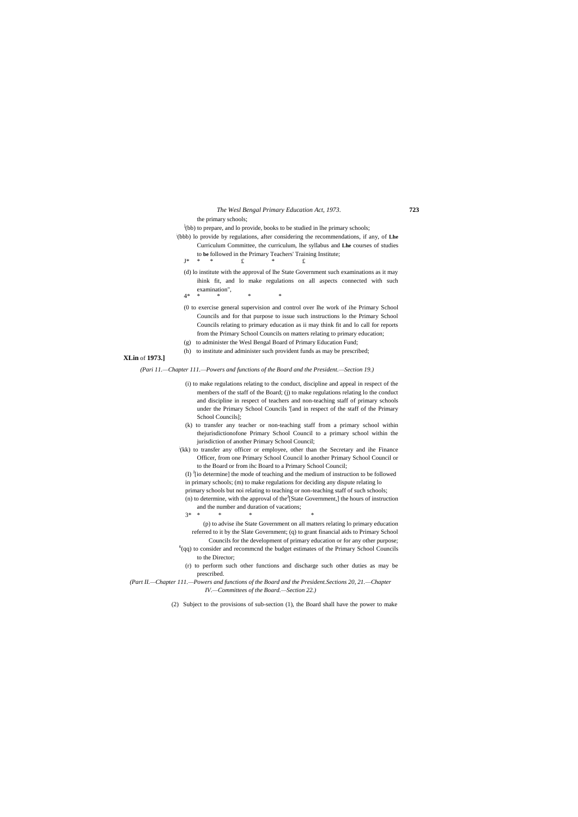the primary schools;

<sup>1</sup>(bb) to prepare, and lo provide, books to be studied in lhe primary schools;

- ; (bbb) lo provide by regulations, after considering the recommendations, if any, of **Lhe** Curriculum Committee, the curriculum, lhe syllabus and **Lhe** courses of studies to **be** followed in the Primary Teachers' Training Institute;
	- $J^*$  \* \*  $f$  \*  $f$
	- (d) lo institute with the approval of lhe State Government such examinations as it may ihink fit, and lo make regulations on all aspects connected with such examination",
	- 4\* \* \* \* \*
	- (0 to exercise general supervision and control over lhe work of ihe Primary School Councils and for that purpose to issue such instructions lo the Primary School Councils relating to primary education as ii may think fit and lo call for reports from the Primary School Councils on matters relating to primary education;
	- (g) to administer the Wesl Bengal Board of Primary Education Fund;
	- (h) to institute and administer such provident funds as may be prescribed;

### **XLin** of **1973.]**

*(Pari 11.—Chapter 111.—Powers and functions of the Board and the President.—Section 19.)*

- (i) to make regulations relating to the conduct, discipline and appeal in respect of the members of the staff of the Board; (j) to make regulations relating lo the conduct and discipline in respect of teachers and non-teaching staff of primary schools under the Primary School Councils '[and in respect of the staff of the Primary School Councils];
- (k) to transfer any teacher or non-teaching staff from a primary school within thejurisdictionofone Primary School Council to a primary school within the jurisdiction of another Primary School Council;
- ; (kk) to transfer any officer or employee, other than the Secretary and ihe Finance Officer, from one Primary School Council lo another Primary School Council or to the Board or from ihc Board to a Primary School Council;
- $(I)$   $I$ [io determine] the mode of teaching and the medium of instruction to be followed in primary schools; (m) to make regulations for deciding any dispute relating lo primary schools but noi relating to teaching or non-teaching staff of such schools;  $(n)$  to determine, with the approval of the [State Government,] the hours of instruction
- and the number and duration of vacations; 3\* \* \* \* \*

(p) to advise ihe State Government on all matters relating lo primary education referred to it by the Slate Government; (q) to grant financial aids to Primary School

- Councils for the development of primary education or for any other purpose;  $6$ (qq) to consider and recommcnd the budget estimates of the Primary School Councils to the Director;
- (r) to perform such other functions and discharge such other duties as may be prescribed.
- *(Part II.—Chapter 111.—Powers and functions of the Board and the President.Sections 20, 21.—Chapter IV.—Committees of the Board.—Section 22.)*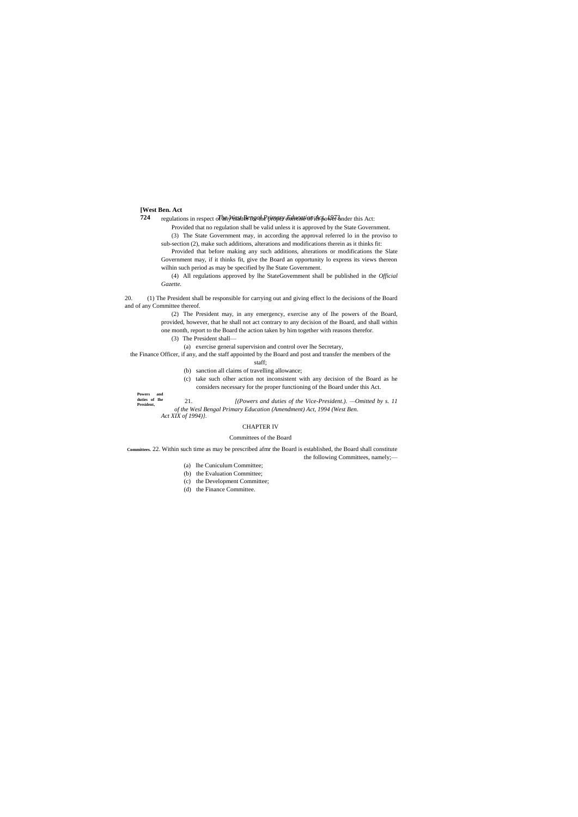#### **[West Ben. Act**

**Powers and duties of Ihe** 

**724** *The West Bengal Primary Education Act, 1973.* regulations in respect of any matter for the proper exercise of ils power under this Act:

Provided that no regulation shall be valid unless it is approved by the State Government.

(3) The State Government may, in according the approval referred lo in the proviso to sub-section (2), make such additions, alterations and modifications therein as it thinks fit:

Provided that before making any such additions, alterations or modifications the Slate Government may, if it thinks fit, give the Board an opportunity lo express its views thereon wilhin such period as may be specified by lhe State Government.

(4) All regulations approved by lhe StateGovemment shall be published in the *Official Gazette.*

20. (1) The President shall be responsible for carrying out and giving effect lo the decisions of the Board and of any Committee thereof.

**President,** 21. *[(Powers and duties of the Vice-President.). —Omitted by s. 11 of the Wesl Bengal Primary Education (Amendment) Act, 1994 (West Ben. Act XIX of 1994)}.*

(2) The President may, in any emergency, exercise any of Ihe powers of the Board, provided, however, that he shall not act contrary to any decision of the Board, and shall within one month, report to the Board the action taken by him together with reasons therefor.

(3) The President shall—

(a) exercise general supervision and control over lhe Secretary,

the Finance Officer, if any, and the staff appointed by the Board and post and transfer the members of the staff;

(b) sanction all claims of travelling allowance; (c) take such olher action not inconsistent with any decision of the Board as he

considers necessary for the proper functioning of the Board under this Act.

#### CHAPTER IV

#### Committees of the Board

**Committees.** 22. Within such time as may be prescribed afmr the Board is established, the Board shall constitute the following Committees, namely;—

- (a) lhe Cuniculum Committee;
- (b) the Evaluation Committee;
- (c) the Development Committee;
- (d) the Finance Committee.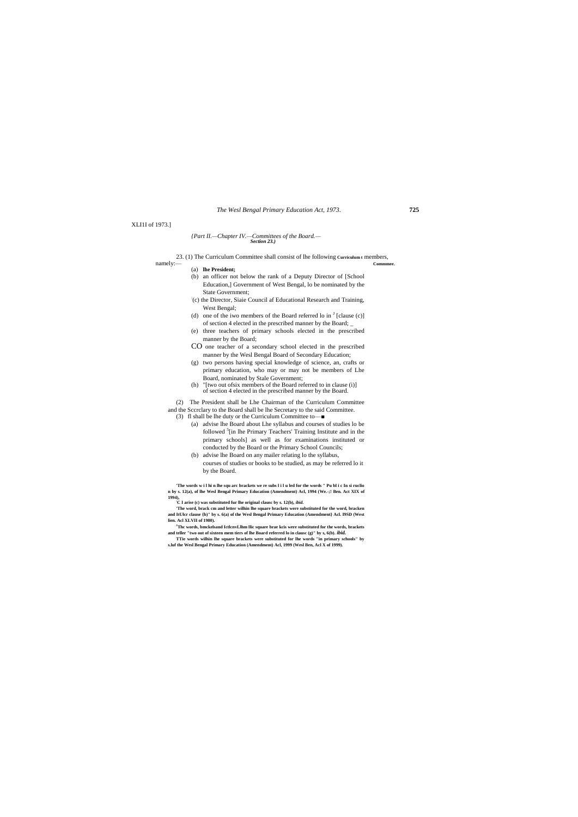#### XLI1I of 1973.]

#### *{Part II.—Chapter IV.—Committees of the Board.— Section 23.)*

23. (1) The Curriculum Committee shall consist of lhe following **Curriculum t** members, namely:— **Commmee.**

- (a) **lhe President;**
- (b) an officer not below the rank of a Deputy Director of [School Education,] Government of West Bengal, lo be nominated by the State Government;
- : (c) the Director, Siaie Council af Educational Research and Training, West Bengal;
- (d) one of the iwo members of the Board referred lo in  $<sup>J</sup>$  [clause (c)]</sup> of section 4 elected in the prescribed manner by the Board; \_
- (e) three teachers of primary schools elected in the prescribed manner by the Board;
- CO one teacher of a secondary school elected in the prescribed manner by the Wesl Bengal Board of Secondary Education;
- (g) two persons having special knowledge of science, an, crafts or primary education, who may or may not be members of Lhe Board, nominated by Stale Government;
- (h) "[two out ofsix members of the Board referred to in clause (i)] of section 4 elected in the prescribed manner by the Board.
- (2) The President shall be Lhe Chairman of the Curriculum Committee
- and the Sccrclary to the Board shall be lhe Secretary to the said Committee.
- (3) fl shall be lhe duty or the Curriculum Committee to—■
	- (a) advise lhe Board about Lhe syllabus and courses of studies lo be followed <sup>5</sup>[in lhe Primary Teachers' Training Institute and in the primary schools] as well as for examinations instituted or conducted by the Board or the Primary School Councils;
	- (b) advise lhe Board on any mailer relating lo the syllabus, courses of studies or books to be studied, as may be referred lo it by the Board.

**'The words w i l hi n lhe squ arc brackets we re subs l i l u led for the words " Pu bl i c In si ruclio n by s. 12(a), of lhe Wesl Bengal Primary Education (Amendment) Acl, 1994 (We.-;! Ben. Act XIX of** 

**1994), ;C I arise (c) was substituted fur lhe original clausc by s. 12(b),** *ibid.*

**'The word, brack cm and letter wilhin lhe square brackets were substituted for the word, bracken and ItUlcr clause {b)" by s. 6(a) of the Wesl Bengal Primary Education (Amendment} Acl. I9SD (West lien. Acl XLVII of 1980).**

- **<sup>J</sup>Thc words, bmckelsand IctlcnvLlhm llic square brae kcis were substituted for the words, brackets and teller "two out of sixteen mem tiers of lhe Board referred lo in clausc (g)" by s, 6(b).** *ibid.*
- **TTie words wilhin lhe square brackets were substituted for lhe words "in primary schools" by s.luf the Wesl Bengal Primary Education (Amendment) Acl, 1999 (Wesl Ben, Acl X of 1999).**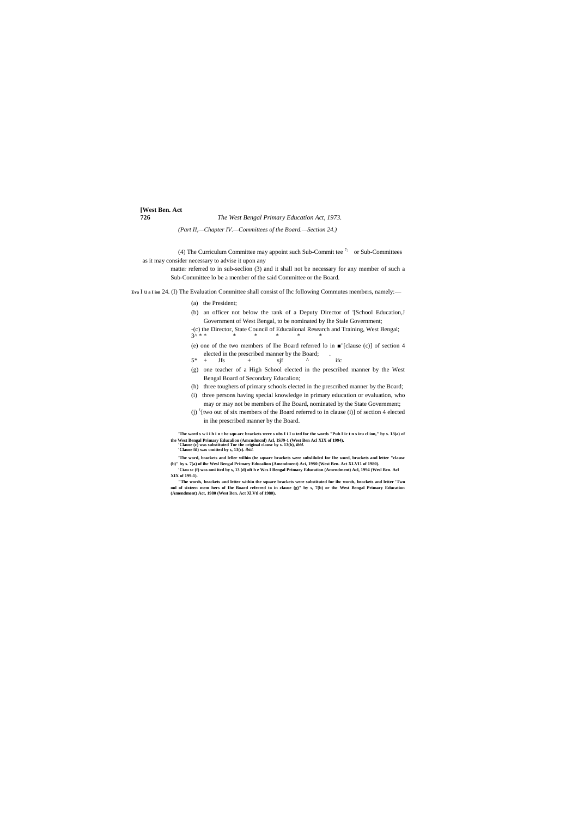**[West Ben. Act**

#### **726** *The West Bengal Primary Education Act, 1973.*

*(Part II,—Chapter IV.—Committees of the Board.—Section 24.)*

(4) The Curriculum Committee may appoint such Sub-Committee  $7$ ; or Sub-Committees as it may consider necessary to advise it upon any

> matter referred to in sub-seclion (3) and it shall not be necessary for any member of such a Sub-Committee lo be a member of the said Committee or the Board.

**Eva** I u **a I ion** 24. (I) The Evaluation Committee shall consist of Ihc following Commutes members, namely:—

'The word s w i i h i n t he squ arc brackets were s ubs I i I u ted for the words "Pub I ic t n s iru cl ion," by s. 13(a) of **the West Bengal Primary Educalion (Amcndmcnl) Acl, ISJ9-1 (West Ben Acl XIX of 1994). 'Clause (c) was substituted Tor the original clausc by s. 13(b),** *ibid.*

- (a) the President;
- (b) an officer not below the rank of a Deputy Director of '[School Education,J Government of West Bengal, to be nominated by Ihe Stale Government;
- -(c) the Director, State Council of Educaiional Research and Training, West Bengal; 3^ \* \* \* \* \* \* \*
- (e) one of the two members of Ihe Board referred lo in ■"[clause (c)] of section 4 elected in the prescribed manner by the Board;<br>+  $\text{Jfs}$  +  $\text{si}$
- $5* + Jfs + sigf \qquad \wedge$  ifc
- (g) one teacher of a High School elected in the prescribed manner by the West Bengal Board of Secondary Educalion;
- (h) three toughers of primary schools elected in the prescribed manner by the Board;
- (i) three persons having special knowledge in primary education or evaluation, who may or may not be members of Ihe Board, nominated by the State Government;
- (j)  $f(two out of six members of the Board referred to in clause (i)) of section 4 elected$ in ihe prescribed manner by the Board.

**'Clause fil) was omitted by s, 13(c).** *ibid.*

**'The word, brackets and leller wilhin (he square brackets were subsliluled for Ihe word, brackets and letter "clausc (b)" by s. 7(a) of ihc Wesl Bengal Primary Educalion (Amendment) Aci, 19S0 (West Ben. Act XLVI1 of 1980). 'Ctau sc (f) was omi itcd by s, 13 (d) oft h e Wcs I Bengal Primary Education (Amendment) Acl, 1994 (Wesl Ben. Acl** 

**XIX of 199-1).**

**"The words, brackets and letter within the square brackets were substituted for ihc words, brackets and letter 'Two oul of sixteen mem hers of Ihe Board referred to in clause (g)" by s, 7(b) or the West Bengal Primary Education (Amendment) Act, 1980 (West Ben. Act Xl.Vtl of 1980).**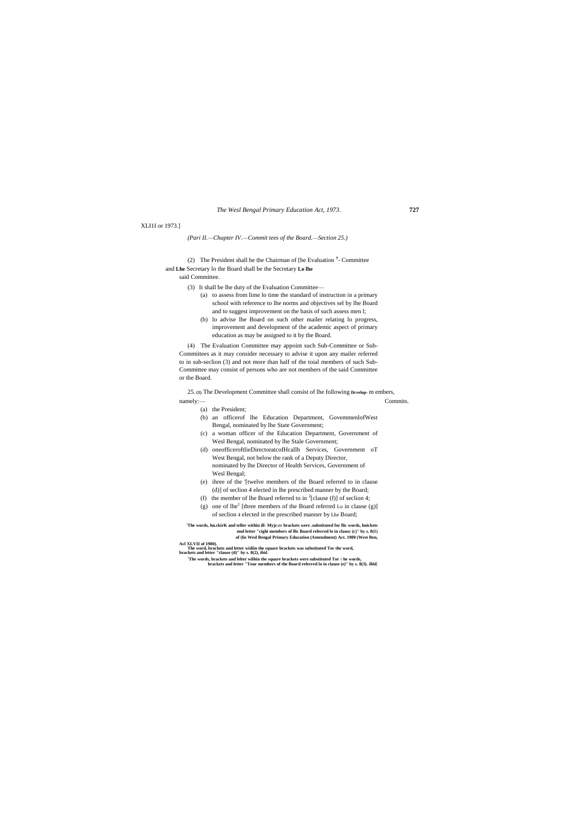#### XLI1I or 1973.]

*(Pari II.—Chapter IV.—Commit tees of the Board.—Section 25.)*

(2) The President shall be the Chairman of [he Evaluation  $9-$  Committee and **Lhe** Secretary lo the Board shall be the Secretary **Lo lhe**

## said Committee.

(3) It shall be lhe duty of the Evaluation Committee—

25. **(1)** The Development Committee shall consist of lhe following **Dcvelop-** m embers, namely:— Commits.

- (a) to assess from lime lo time the standard of instruction in a primary school with reference to lhe norms and objectives sel by lhe Board and to suggest improvement on the basis of such assess men l;
- (b) lo advise lhe Board on such other mailer relating lo progress, improvement and development of the academic aspect of primary education as may be assigned to it by the Board.

(4) The Evaluation Committee may appoint such Sub-Committee or Sub-Commiitees as it may consider necessary to advise it upon any mailer referred to in sub-seclion (3) and not more than half of the toial members of such Sub-Committee may consist of persons who are not members of the said Committee or the Board.

(a) the President;

- (b) an officerof lhe Education Department, GovemmenlofWest Bengal, nominated by lhe State Government;
- (c) a woman officer of the Education Department, Government of Wesl Bengal, nominated by lhe Stale Government;
- (d) oneofficeroftlieDirectoratcofHcallh Services, Government oT West Bengal, not below the rank of a Deputy Director, nominated by lhe Director of Health Services, Government of Wesl Bengal;
- (e) ihree of the '[twelve members of the Board referred to in clause (d)] of seclion 4 elected in lhe prescribed manner by the Board;
- (f) the member of lhe Board referred to in <sup>2</sup>[clause (f)] of seclion 4;
- (g) one of  $lhe^{1}$  [three members of the Board referred Lo in clause (g)] of seclion 4 elected in the prescribed manner by Lhe Board;

**'The words, hn.ckirK and teller within ill- Myjr.rc brackets were .substituted for llic words, hnickets nnd letter "cighi members of llic Board referred lo in clausc (c)" by s. 8(1) of (lie Wesl Bengal Primary Education (Amendment) Act. 1980 (West Ben,**

**Acl XLVII of 1980).**

**The word, brackets and letter widiin the square brackets was substituted Tor the word, brackets and letter "clause (d)" by s. 8(2),** *ibid.*

**'The words, brackets and lelter wilhin the square brackets were substituted Tor** I **he words, brackets and letter "Tour members of the Board referred lo in clause (e)" by s. 8(3).** *ibid.*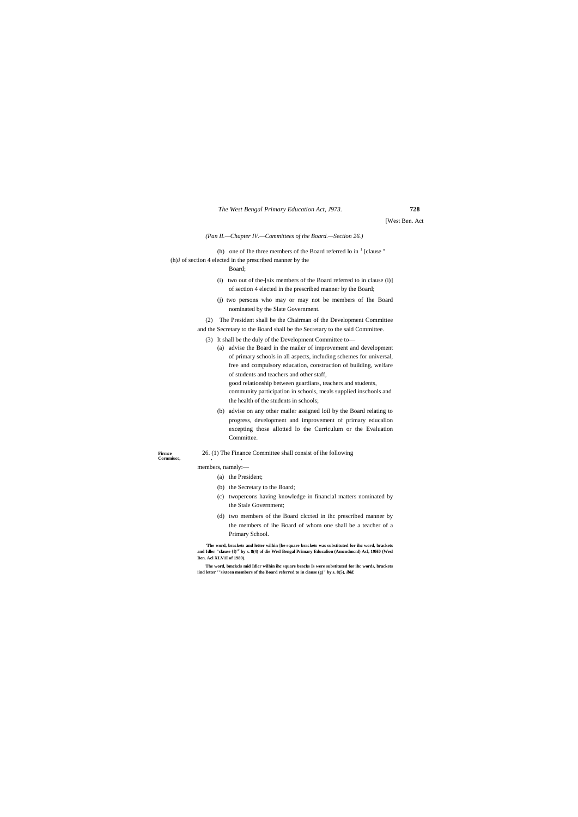[West Ben. Act

*(Pan II.—Chapter IV.—Committees of the Board.—Section 26.)*

(h) one of Ihe three members of the Board referred lo in  $<sup>1</sup>$  [clause "</sup> (h)J of section 4 elected in the prescribed manner by the

Board;

- (i) two out of the-[six members of the Board referred to in clause (i)] of section 4 elected in the prescribed manner by the Board;
- (j) two persons who may or may not be members of Ihe Board nominated by the Slate Government.
- (2) The President shall be the Chairman of the Development Committee and the Secretary to the Board shall be the Secretary to the said Committee.
	- (3) It shall be the duly of the Development Committee to—
		- (a) advise the Board in the mailer of improvement and development of primary schools in all aspects, including schemes for universal, free and compulsory education, construction of building, welfare of students and teachers and other staff, good relationship between guardians, teachers and students, community participation in schools, meals supplied inschools and

the health of the students in schools;

(b) advise on any other mailer assigned loil by the Board relating to progress, development and improvement of primary educalion excepting those allotted lo the Curriculum or the Evaluation Committee.

**Cornmiucc, , ,**

# Firmce 26. (1) The Finance Committee shall consist of ihe following

members, namely:—

(a) the President;

- (b) the Secretary to the Board;
- (c) twopereons having knowledge in financial matters nominated by the Stale Government;
- (d) two members of the Board clccted in ihc prescribed manner by the members of ihe Board of whom one shall be a teacher of a Primary School.

**'The word, brackets and letter wilhin [he square brackets was substituted for ihc word, brackets and Idler "clause {f)' T by s. 8(4) of die Wesl Bengal Primary Educalion (Amcndmcnl) Acl, 19H0 (Wesl Ben. Acl XLV1I of 1980).**

**The word, bmckcls mid Idler wilhin ihc square bracks Is were substituted for ihc words, brackets iind letter '"sixteen members of the Board referred to in clause (g)" by s. 8(5).** *ibid.*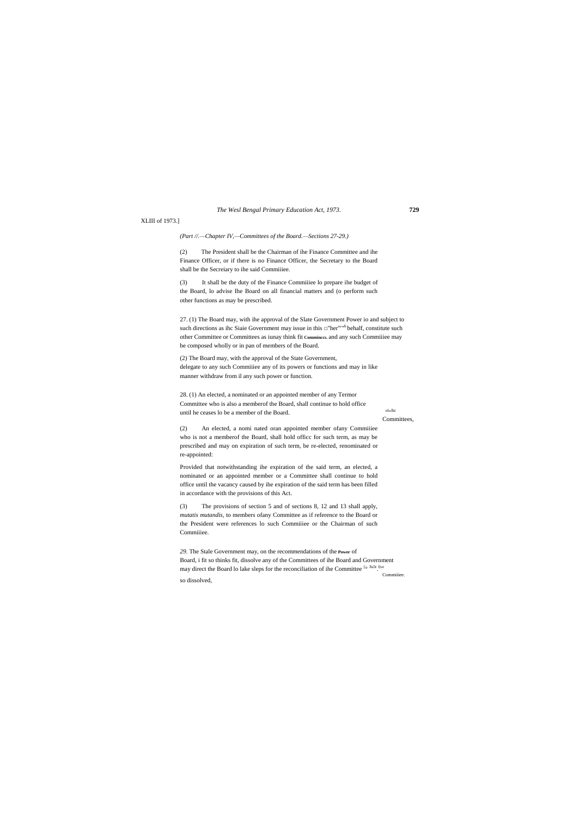XLIII of 1973.]

#### *(Part //.—Chapter IV,—Committees of the Board.—Sections 27-29.)*

(2) The President shall be the Chairman of ihe Finance Committee and ihe Finance Officer, or if there is no Finance Officer, the Secretary to the Board shall be the Secreiary to ihe said Commiiiee.

(3) It shall be the duty of the Finance Commiiiee lo prepare ihe budget of the Board, lo advise Ihe Board on all financial matters and (o perform such other functions as may be prescribed.

28. (1) An elected, a nominated or an appointed member of any Termor Committee who is also a memberof the Board, shall continue to hold office until he ceases lo be a member of the Board.

ol<sub>u</sub>lhc Committees,

27. (1) The Board may, with ihe approval of the Slate Government Power io and subject to such directions as ihc Siaie Government may issue in this  $\square$ "her""<sup>6</sup>behalf, constitute such other Committee or Committees as iunay think fit **Comminccs.** and any such Commiiiee may be composed wholly or in pan of members of the Board.

(3) The provisions of section 5 and of sections 8, 12 and 13 shall apply, *mutatis mutandis,* to members ofany Committee as if reference to the Board or the President were references lo such Commiiiee or the Chairman of such Commiiiee.

(2) The Board may, with the approval of the State Government, delegate to any such Commiiiee any of its powers or functions and may in like manner withdraw from il any such power or function.

(2) An elected, a nomi nated oran appointed member ofany Commiiiee who is not a memberof the Board, shall hold officc for such term, as may be prescribed and may on expiration of such term, be re-elected, renominated or re-appointed:

Provided that notwithstanding ihe expiration of the said term, an elected, a nominated or an appointed member or a Committee shall continue to hold office until the vacancy caused by ihe expiration of the said term has been filled in accordance with the provisions of this Act.

*29.* The Stale Government may, on the recommendations of the **Power** of Board, i fit so thinks fit, dissolve any of the Committees of ihe Board and Government may direct the Board lo lake sleps for the reconciliation of ihe Committee <sup>[o Jis5t l|ve</sup> Commiiiee. so dissolved,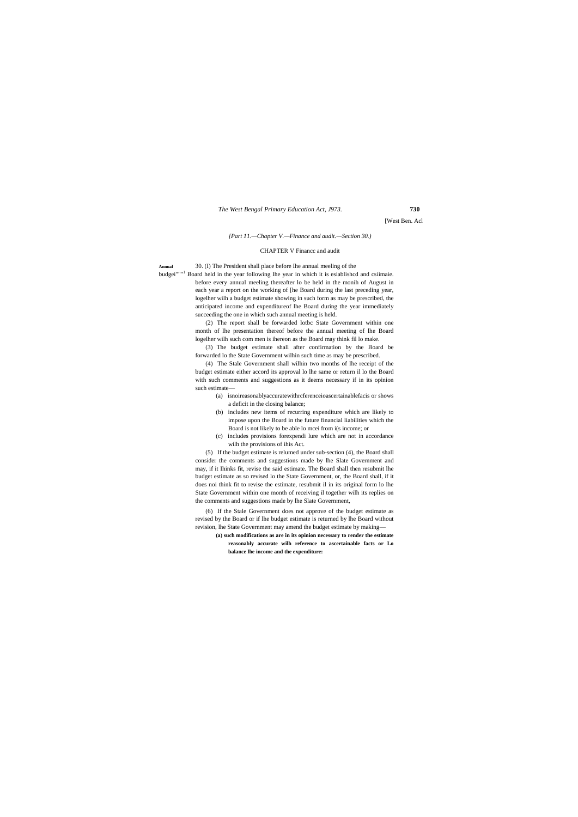[West Ben. Acl

*[Part 11.—Chapter V.—Finance and audit.—Section 30.)*

#### CHAPTER V Financc and audit

**Annual** 30. (I) The President shall place before Ihe annual meeling of the budgei""<sup>1</sup> Board held in the year following Ihe year in which it is esiablished and csiimaie. before every annual meeling thereafter lo be held in the monih of August in each year a report on the working of [he Board during the last preceding year, logelher wilh a budget estimate showing in such form as may be prescribed, the anticipated income and expenditureof lhe Board during the year immediately succeeding the one in which such annual meeting is held.

> (2) The report shall be forwarded lotbc State Government within one month of lhe presentation thereof before the annual meeting of lhe Board logelher wilh such com men is ihereon as the Board may think fil lo make.

> (3) The budget estimate shall after confirmation by the Board be forwarded lo the State Government wilhin such time as may be prescribed.

> (4) The Stale Government shall wilhin two months of lhe receipt of the budget estimate either accord its approval lo lhe same or return il lo the Board with such comments and suggestions as it deems necessary if in its opinion such estimate—

- (a) isnoireasonablyaccuratewithrcferenceioascertainablefacis or shows a deficit in the closing balance;
- (b) includes new items of recurring expenditure which are likely to impose upon the Board in the future financial liabilities which the Board is not likely to be able lo mcei from i(s income; or
- (c) includes provisions forexpendi lure which are not in accordance wilh the provisions of ihis Act.

(5) If the budget estimate is relumed under sub-section (4), the Board shall consider the comments and suggestions made by lhe Slate Government and may, if it Ihinks fit, revise the said estimate. The Board shall then resubmit lhe budget estimate as so revised lo the State Government, or, the Board shall, if it does noi think fit to revise the estimate, resubmit il in its original form lo lhe State Government within one month of receiving il together wilh its replies on the comments and suggestions made by lhe Slate Government,

(6) If the Stale Government does not approve of the budget estimate as revised by the Board or if lhe budget estimate is returned by lhe Board without revision, lhe State Government may amend the budget estimate by making—

> **(a) such modifications as are in its opinion necessary to render the estimate reasonably accurate wilh reference to ascertainable facts or Lo balance lhe income and the expenditure:**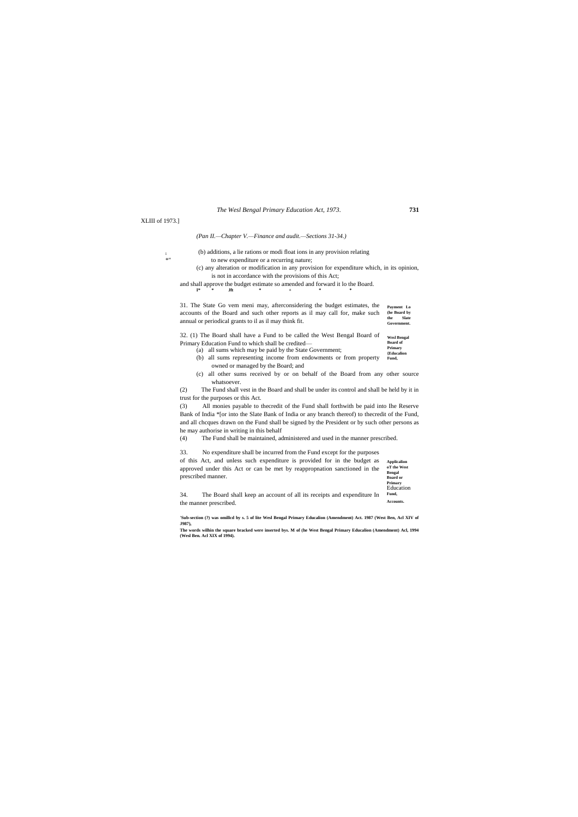- (b) additions, a lie rations or modi float ions in any provision relating to new expenditure or a recurring nature;
- (c) any alteration or modification in any provision for expenditure which, in its opinion, is not in accordance with the provisions of this Act;
- and shall approve the budget estimate so amended and forward it lo the Board.<br>  $\begin{array}{c} \n\text{I*} \\
\text{I*} \\
\text{I*} \\
\text{I*} \\
\text{I*} \\
\text{I*} \\
\text{I*} \\
\text{I*} \\
\text{I*} \\
\text{I*} \\
\text{I*} \\
\text{I*} \\
\text{I*} \\
\text{I*} \\
\text{I*} \\
\text{I*} \\
\text{I*} \\
\text{I*} \\
\text{I*} \\$

**Applicalion oT the West Bengal Board or Primary** Education **Fund, Accounts.**

XLIII of 1973.]

#### *(Pan II.—Chapter V.—Finance and audit.—Sections 31-34.)*

i<br>\*"

**Payment Lo (he Board by the Slate Government.** 31. The State Go vem meni may, afterconsidering the budget estimates, the accounts of the Board and such other reports as il may call for, make such annual or periodical grants to il as il may think fit.

**Wesl Bengal Board of Primary**  32. (1) The Board shall have a Fund to be called the West Bengal Board of Primary Education Fund to which shall be credited— (a) all sums which may be paid by the State Government;

- **{Educalion Fund,** (b) all sums representing income from endowments or from property
- owned or managed by the Board; and (c) all other sums received by or on behalf of the Board from any other source
- whatsoever.

(2) The Fund shall vest in the Board and shall be under its control and shall be held by it in trust for the purposes or this Act.

(3) All monies payable to thecredit of the Fund shall forthwith be paid into Ihe Reserve Bank of India \*[or into the Slate Bank of India or any branch thereof) to thecredit of the Fund, and all chcques drawn on the Fund shall be signed by the President or by such other persons as he may authorise in writing in this behalf

(4) The Fund shall be maintained, administered and used in the manner prescribed.

33. No expenditure shall be incurred from the Fund except for the purposes

of this Act, and unless such expenditure is provided for in the budget as approved under this Act or can be met by reappropnation sanctioned in the prescribed manner.

34. The Board shall keep an account of all its receipts and expenditure In the manner prescribed.

**'Sub-section (?) was omillcd by s. 5 of lite Wesl Bengal Primary Educalion (Amendment) Act. 1987 (West Ben, Acl XIV of J987),**

**The words wilhin the square bracked were inserted bys. M of (he West Bengal Primary Educalion (Amendment) Acl, 1994 (Wesl Ben. Acl XIX of 1994).**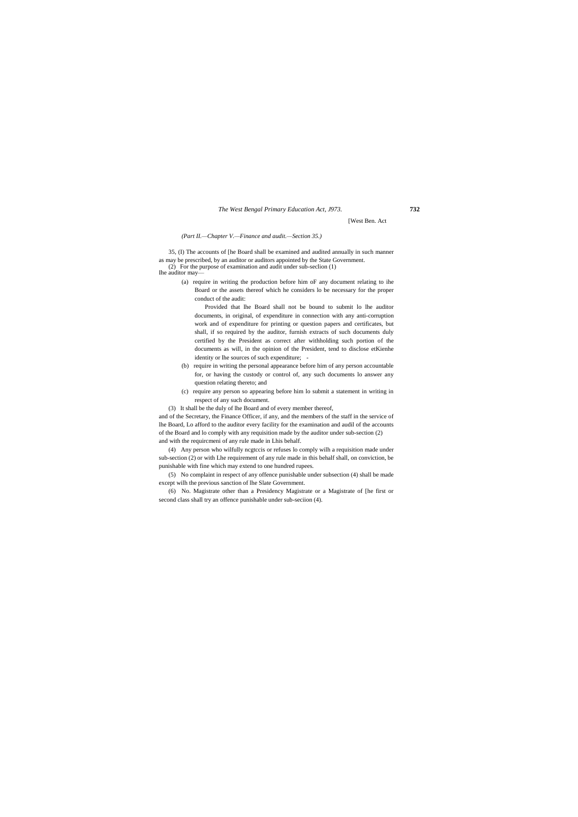[West Ben. Act

#### *(Part II.—Chapter V.—Finance and audit.—Section 35.)*

35, (I) The accounts of [he Board shall be examined and audited annually in such manner as may be prescribed, by an auditor or auditors appointed by the State Government.

(2) For the purpose of examination and audit under sub-seclion (1)

Ihe auditor may—

(a) require in writing the production before him oF any document relating to ihe Board or the assets thereof which he considers lo be necessary for the proper conduct of the audit:

Provided that lhe Board shall not be bound to submit lo lhe auditor documents, in original, of expenditure in connection with any anti-corruption work and of expenditure for printing or question papers and certificates, but shall, if so required by the auditor, furnish extracts of such documents duly certified by the President as correct after withholding such portion of the documents as will, in the opinion of the President, tend to disclose etKienhe identity or lhe sources of such expenditure; -

- (b) require in writing the personal appearance before him of any person accountable for, or having the custody or control of, any such documents lo answer any question relating thereto; and
- (c) require any person so appearing before him lo submit a statement in writing in respect of any such document.
- (3) It shall be the duly of lhe Board and of every member thereof,

and of the Secretary, the Finance Officer, if any, and the members of the staff in the service of lhe Board, Lo afford to the auditor every facility for the examination and audil of the accounts of the Board and lo comply with any requisition made by the auditor under sub-section (2) and with the requircmeni of any rule made in Lhis behalf.

(4) Any person who wilfully ncgtccis or refuses lo comply wilh a requisition made under sub-section (2) or with Lhe requirement of any rule made in this behalf shall, on conviction, be punishable with fine which may extend to one hundred rupees.

(5) No complaint in respect of any offence punishable under subsection (4) shall be made except wilh the previous sanction of lhe Slate Government.

(6) No. Magistrate other than a Presidency Magistrate or a Magistrate of [he first or second class shall try an offence punishable under sub-seciion (4).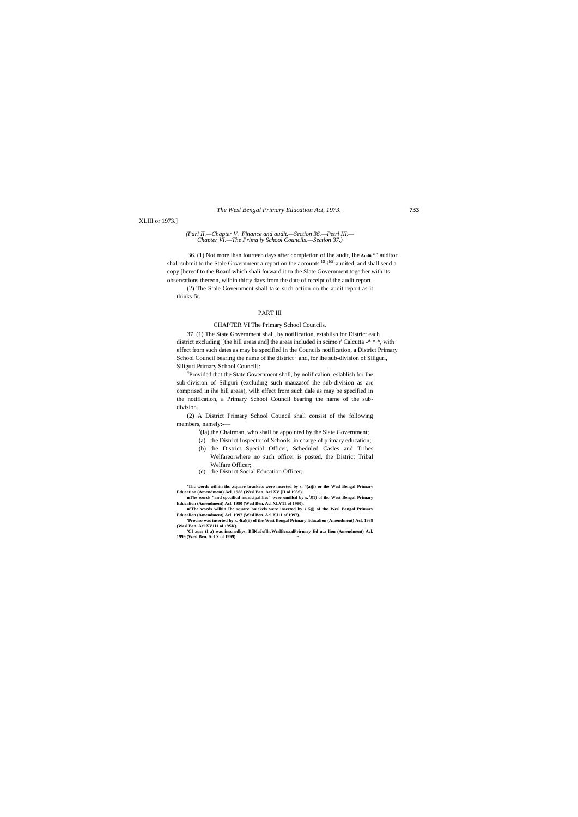XLIII or 1973.]

#### *(Pari II.—Chapter V.*—*Finance and audit.—Section 36.—Petri III.— Chapter VI.—The Prima iy School Councils.—Section 37.)*

36. (1) Not more lhan fourteen days after completion of Ihe audit, Ihe **Audii** \*" auditor shall submit to the Stale Government a report on the accounts R<sup>t</sup>-i<sup>Iorl</sup> audited, and shall send a copy [hereof to the Board which shali forward it to the Slate Government together with its observations thereon, wilhin thirty days from the date of receipt of the audit report.

(2) The Stale Government shall take such action on the audit report as it thinks fit.

#### PART III

#### CHAPTER VI The Primary School Councils.

<sup>4</sup>Provided that the State Government shall, by nolificalion, eslablish for Ihe sub-division of Siliguri (excluding such mauzasof ihe sub-division as are comprised in ihe hill areas), wilh effect from such dale as may be specified in the notification, a Primary Schooi Council bearing the name of the subdivision.

37. (1) The State Government shall, by notification, establish for District each district excluding '[the hill ureas and] the areas included in scimo'r' Calcutta -\*\*\*, with effect from such dates as may be specified in the Councils notification, a District Primary School Council bearing the name of ihe district  $\frac{1}{2}$  and, for ihe sub-division of Siliguri, Siliguri Primary School Council]: .

■The words "and spccificd municipal!lies" were omillcd by s. <sup>(</sup>J(1) of ihc West Bengal Primary **Educalion (Amendment) Acl. 1980 (Wesl Ben. Acl XLV11 of 1980).**

(2) A District Primary School Council shall consist of the following members, namely:-—

- s (Ia) the Chairman, who shall be appointed by the Slate Government;
- (a) the District Inspector of Schools, in charge of primary education;
- (b) the District Special Officer, Scheduled Casles and Tribes Welfareorwhere no such officer is posted, the District Tribal Welfare Officer;
- (c) the District Social Education Officer;

**'Tlic words wilhin ihc .square brackets were inserted by s. 4(a)(i) or ihe Wesl Bengal Primary Education (Amendment) Acl, 1988 (Wesl Ben. Acl XV [II ol 198S).**

**■'The words wilhin Ihc square bnickels were inserted by s 5(|) of the Wesl Bengal Primary Educalion (Amendment) Acl. 1997 (Wesl Ben. Acl XJ11 of 1997).**

**'Proviso was inserted by s. 4(a)(ii) of ihe West Bengal Primary liducalion (Amendment) Acl. 1988 (Wesl Ben. Acl XV1I1 of 19SK).**

**'CI ause (I a) was inscnedhys. BflKaJoflhcWcslBcuaalPrirnary Ed uca lion (Amendment) Acl, 1999 (Wesl Ben. Acl X of 1999). ~**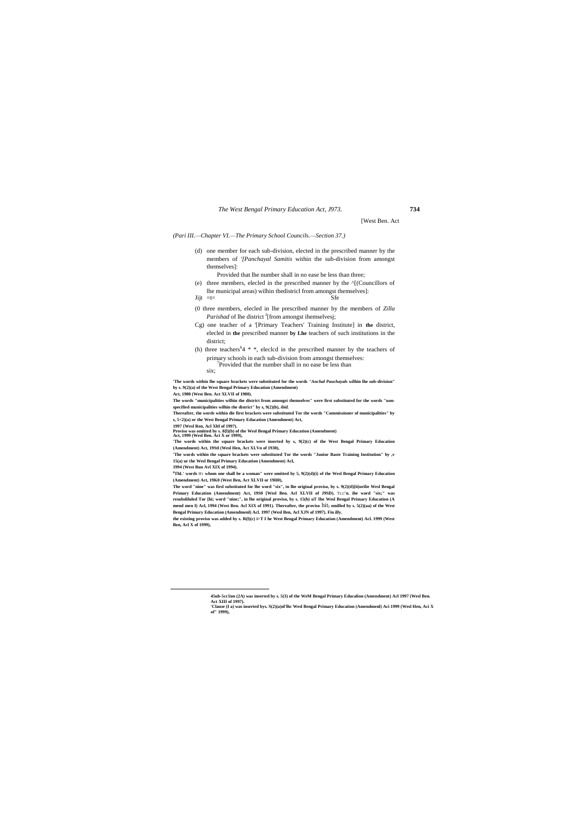[West Ben. Act

*(Pari III.—Chapter VI.—The Primary School Councils.—Section 37.)*

(d) one member for each sub-division, elected in the prescribed manner by the members of *'[Panchayal Samitis* within the sub-division from amongst themselves]:

Provided that lhe number shall in no ease be less than three;

- (e) three members, elecled in the prescribed manner by the ^[(Councillors of lhe municipal areas) wilhin tbedistricl from amongst themselves]:  $Jijt = t=$  Sfe
	-
- (0 three members, elecled in lhe prescribed manner by the members of *Zilla*  Parishad of lhe district <sup>J</sup>[from amongst ihemselvesj;
- Cg) one teacher of a '[Primary Teachers' Training Institute] in **the** district, elecled in **the** prescribed manner **by Lhe** teachers of such institutions in the district;
- (h) three teachers<sup>64</sup>  $*$ , eleclcd in the prescribed manner by the teachers of primary schools in each sub-division from amongst themselves: <sup>7</sup>Provided that the number shall in no ease be less than
	- six;

**'The words within lhe square brackets were substituted for the words** *"Anchal Pauchayals* **wilhin lhe sub-division" by s. 9(2)(a) of the West Bengal Primary Education (Amendment)**

**Act, 1980 (West Ben. Act XLVII of 1980).**

**The words "municipalities wilhin the district from amongst themselves" were first substituted for the words "uonspecified municipalities wilhin the district" by s, 9(2)(b),** *ibid.*

**Thereafter, the words within die first brackets were substituted Tor the words "Commissioner of municipalities" by s, 5<2)(a) or the West Bengal Primary Education (Amendment) Act,**

**1997 {Wesl Ren, Acl Xltl of 1997).**

**Proviso was omitted by s. 8{l)(b) of the Wesl Bengal Primary Education (Amendment) Act, 1999 (Wesl Ben. Act X or 1999),**

**'The words within the square brackets were inserted by s, 9(2)(c) of the West Bengal Primary Education (Amendment) Act, 19Stl (Wesl Hen, Act XI.Vn of 1930),**

**'The words within the square brackets were substituted Tor the words "Junior Baste Training Institution" by ,v 15(a) ur the Wesl Bengal Primary Education (Amendment) Acl,**

**1994 (West Bun Avl XIX of 1994).**

 $\overline{a}$ 

**<sup>p</sup>ThL' words** H<sup>I</sup> **whom one shall be a woman" were omitted by 5, 9(2)(d)(i) of the Wesl Bengal Primary Education (Amendment) Act, 19K0 (West Ben, Act XLVII or 19H0),**

**The word "nine" was firsl substituted for lhe word "six", in lhe original proviso, by s. 9(2)(tl)[ii)orilie Wesl Bengal Primary Education (Amendment) Act, 19S0 [Wesl Ben. Acl XLVII of J9SD).** TL**::'n. ihe word "six;" was resubsliluled Tor [hi; word "nine;", in lhe original proviso, by s. 15(b) uT Ihe Wesl Bengal Primary Education (A mend men I) Acl, 1994 (West Ben. Acl XIX of 1991). Thereafter, the proviso** hit**; omilled by s. 5(2)(aa) of the West Bengal Primary Education (Amendmenl) Acl. 1997 (Wesl Ben, Acl XJN of 1997). Fin illy.**

**the existing proviso was added by s. R(l)(c) i>T I he West Bengal Primary Education (Amendment) Acl. 1999 (West Ben, Acl X of 1999),**

**<sup>45</sup>ub-5cc!ion (2A) was inserted by s. 5(3) of the WeM Bengal Primary Educalion (Amendment) Acl 1997 (Wesl Ben. Act XIII of 1997).**

**<sup>&#</sup>x27;Clause (I a) was inserted bys. S(2)(a)ol'lhc Wesl Bengal Primary Education (Amendmenl) Aci 1999 (Wesl Hen, Aci X of" 1999),**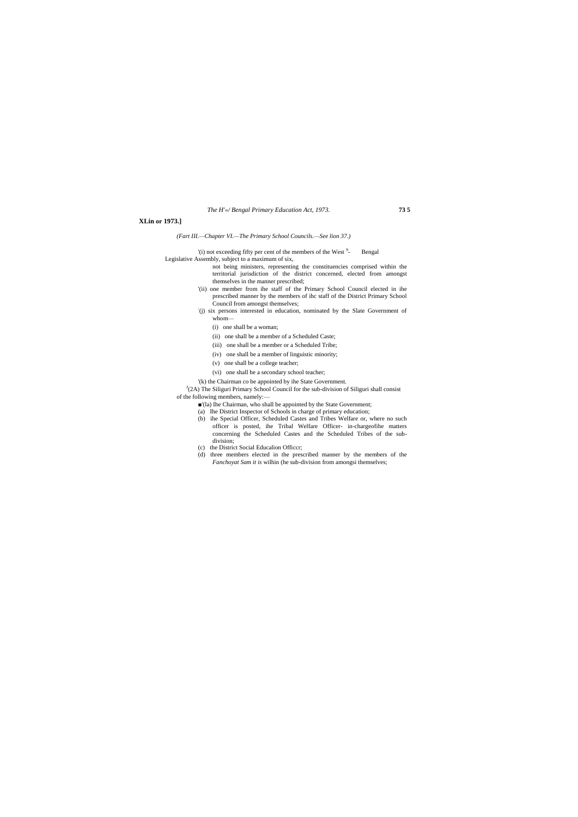*The H'«/ Bengal Primary Education Act, 1973.* **73 5**

#### **XLin or 1973.]**

*(Fart III.—Chapter VI.—The Primary School Councils.—See lion 37.)*

'(i) not exceeding fifty per cent of the members of the West<sup>9</sup>-- Bengal

Legislative Assembly, subject to a maximum of six,

 $J(A)$  The Siliguri Primary School Council for the sub-division of Siliguri shall consist of the following members, namely:—

- not being ministers, representing the constituencies comprised within the territorial jurisdiction of the district concerned, elected from amongst themselves in the manner prescribed;
- '(ii) one member from ihe staff of the Primary School Council elected in ihe prescribed manner by the members of ihc staff of the District Primary School Council from amongst themselves;
- : (j) six persons interested in education, nominated by the Slate Government of whom—
	- (i) one shall be a woman;
	- (ii) one shall be a member of a Scheduled Caste;
	- (iii) one shall be a member or a Scheduled Tribe;
	- (iv) one shall be a member of linguistic minority;
	- (v) one shall be a college teacher;
	- (vi) one shall be a secondary school teacher;
- '(k) the Chairman co be appointed by ihe State Government.

- ■'(la) Ihe Chairman, who shall be appointed by the State Government;
- (a) Ihe District Inspector of Schools in charge of primary education;
- (b) ihe Special Officer, Scheduled Castes and Tribes Welfare or, where no such officer is posted, ihe Tribal Welfare Officer- in-chargeofihe matters concerning the Scheduled Castes and the Scheduled Tribes of the subdivision;
- (c) the District Social Educalion Officcr;
- (d) three members elected in the prescribed manner by the members of the *Fanchoyat Sam it is* wilhin (he sub-division from amongsi themselves;

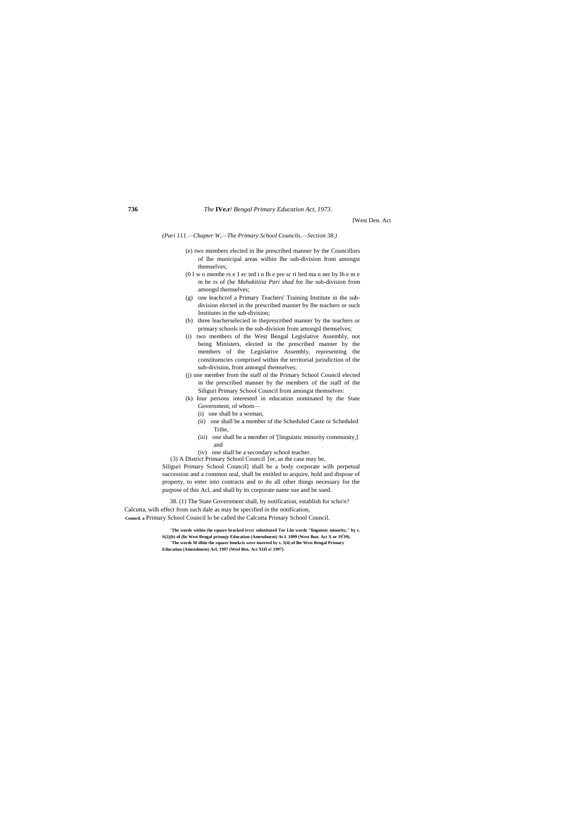[West Den. Act

*(Pari 111.—Chapter W,—The Primary School Councils.—Section 38.)*

- (e) two members elected in lhe prescribed manner by the Councillors of lhe municipal areas wilhin lhe sub-division from amongst themselves;
- (0 I w o membe rs e 1 ec ted i n Ih e pre sc ri bed ma n ner by Ih e m e m be rs of (he *Mahakitiiia Pari shad* for lhe sub-division from amongsl themselves;
- (g) one leachcrof a Primary Teachers' Training Institute in the subdivision elected in the prescribed manner by lhe teachers or such Institutes in the sub-division;
- (h) three leacherselecied in theprescribed manner by the teachers or primary schools in the sub-division from amongsl themselves;
- (i) two members of the West Bengal Legislative Assembly, not being Ministers, elected in the prescribed manner by the members of the Legislative Assembly, representing the constituencies comprised within the territorial jurisdiction of the sub-division, from amongsl themselves;
- (j) one member from the staff of the Primary School Council elected in the prescribed manner by the members of the staff of the Siliguri Primary School Council from amongst themselves:
- (k) four persons interested in education nominated by the State Government, of whom—
	- (i) one shall be a woman,
	- (ii) one shall be a member of the Scheduled Caste or Scheduled Tribe,
	- (iii) one shall be a member of '[linguistic minority community,] and
- (iv) one shall be a secondary school teacher.

(3) A District Primary School Council : [or, as the case may be, Siliguri Primary School Council] shall be a body corporate wilh perpetual succession and a common seal, shall be entitled to acquire, hold and dispose of property, to enter into contracts and to do all other things necessary for the purpose of this Acl, and shall by its corporate name sue and be sued.

38. (1) The State Government shall, by notification, establish for scho'n? Calcutta, wilh effect from such dale as may be specified in the notification, **Council. a** Primary School Council lo be called the Calcutta Primary School Council.

> **'The words within (he square bracked ivcrc substituted Tor Lhe words "linguistic minority," by s. S(2)(b) of (lie West Bengal primnjy Education (Amendment) At I. 1099 (West Bun. Act X or 19<sup>l</sup> J9). 'The words M-ilhin the square bmekcis were inserted by s. 5(4) of lhe West Bengal Primary Education (Amendment) Acl. 1997 (Wesl Ben. Act XIII o! 1997).**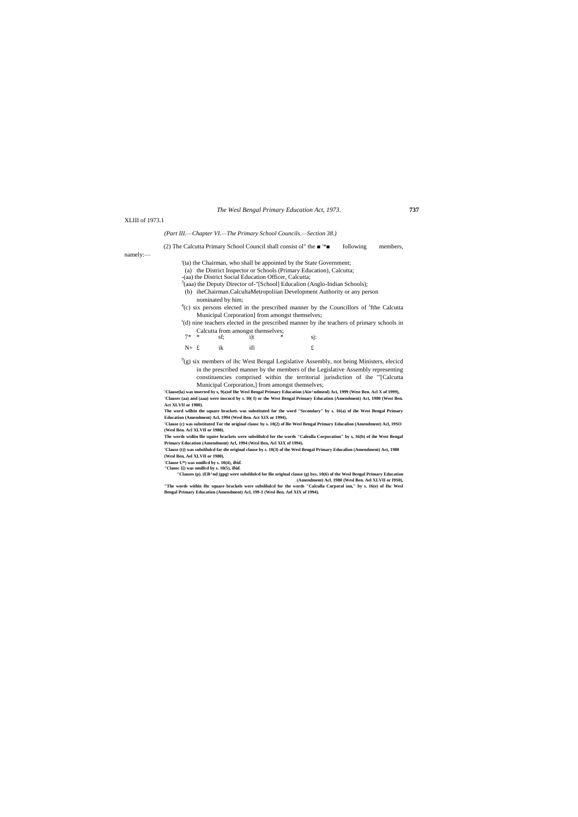#### XLIII of 1973.1

## *(Part III.—Chapter VI.—The Primary School Councils.—Section 38.)*

#### (2) The Calcutta Primary School Council shall consist ol" the ■ '\*■ following members,

namely:—

'(ta) the Chairman, who shall be appointed by the State Government;

(a) the District Inspector or Schools (Primary Education), Calcutta;

 $4$ (c) six persons elected in the prescribed manner by the Councillors of  $^8$ fthe Calcutta Municipal Corporation] from amongst themselves;

-(aa) the District Social Education Officer, Calcutta;

 $3$ (aaa) the Deputy Director of-"[School] Educalion (Anglo-Indian Schools);

(b) iheChairman.CalcultaMetropoliian Development Authority or any person

nominated by him;

 $9<sup>9</sup>(g)$  six members of ihc West Bengal Legislative Assembly, not being Ministers, elecicd in the prescribed manner by the members of the Legislative Assembly representing constituencies comprised within the territorial jurisdiction of ihe '"[Calcutta Municipal Corporation,] from amongst themselves;

s (d) nine teachers elected in the prescribed manner by ihe teachers of primary schools in Calcutta from amongst themselves;

| $7^*$ * sf; i t |     | $\ast$ | $s$ j: |
|-----------------|-----|--------|--------|
| $N+$ £ ik       | ifi |        |        |

**'Clause(la) was inserted by s, 9(a)of Ihe Wesl Bengal Primary Education (Ain^ndmenl) Aci, 1999 (West Ben. Acl X of 1999), 'Clauses (aa) and (aaa) were inscncd by s. I0( I) or the West Bengal Primary Education (Amendment) Act, 1980 (West Ben. Act XLVII or 1980).**

**The word wilhin the square brackets was substituted for the word "Secondary" by s. 16(a) of ihe West Bengal Primary Education (Amendment) Acl, 1994 (Wesl Ben. Act XIX or 1994),**

**'Clause (c) was substituted Tor the original clausc by s. 10(2) of llie Wesl Bengal Primary Educalion (Amendment) Acl, 19SO (Wesl Ben. Acl XLVII or 1980).**

**The words widiin llie squire brackets were subslilulcd for the words "Caleulla Corporation" by s, 16(b) of ihe West Bengal Primary Education (Amendment) Acl, 1994 (Wesl Ben, Acl XIX of 1994).**

**'Clause (t)} was subslilulcd far die original clause by s. 10(3) of ihe Wesl Bengal Primary Educalion (Amendment) Act, 1980 (Wesl Ben, Ael XLVII or 1980).**

**'Clause U\*) was omillcd by s. 10(4),** *ibid.*

**"Clausc {[) was omillcd by s. 10(5),** *ibid.*

**"Clauses (p). (EB^nd (gpg) were subslilulcd for llie original clause (g) bys, 10(6) of the Wesl Bengal Primary Education (Amendment) Acl. 1980 {Wesl Ben. Ael XLVII or I9S0),**

**"The words within Ihc square brackels were subslilulcd for the words "Calculla Corporal inn," by s. 16(e) of Ihc Wesl Bengal Primary Education (Amendment) Acl, 199-1 (Wesl Ben. Ael XIX of 1994).**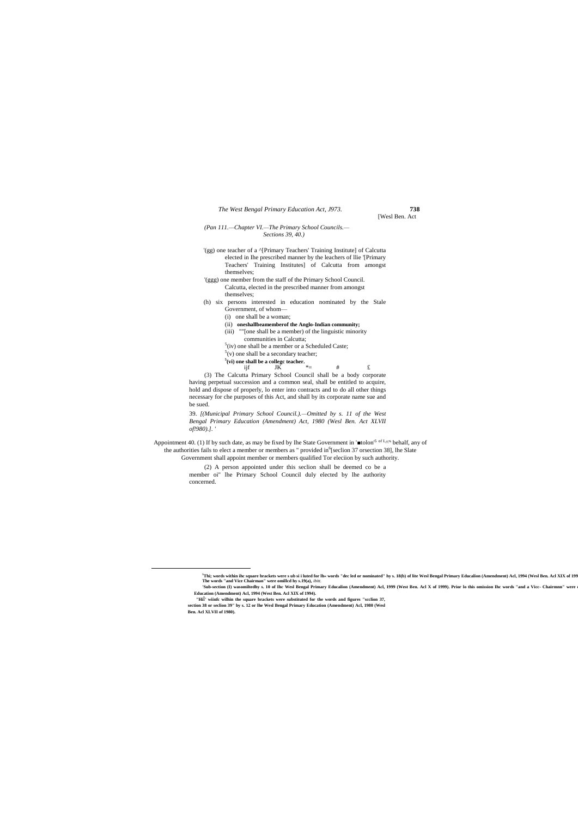[Wesl Ben. Act

- '(gg) one teacher of a ^[Primary Teachers' Training Institute] of Calcutta elected in Ihe prescribed manner by the leachers of llie '[Primary Teachers' Training Institutes] of Calcutta from amongst themselves;
- '(ggg) one member from the staff of the Primary School Council. Calcutta, elected in the prescribed manner from amongst themselves;
- (h) six persons interested in education nominated by the Stale Government, of whom—
	- (i) one shall be a woman;
	- (ii) **oneshallbeamemberof the Anglo-Indian community;**
	- (iii) ""[one shall be a member) of the linguistic minority
	- communities in Calcutta;  $5$ (iv) one shall be a member or a Scheduled Caste;
	- $<sup>5</sup>(v)$  one shall be a secondary teacher;</sup>
	-
	- **5 (vi) one shall be a collegc teacher.** ijf JK  $* =$  # £

*(Pan 111.—Chapter VI.—The Primary School Councils.— Sections 39, 40.)*

Appointment 40. (1) If by such date, as may be fixed by Ihe State Government in ' $\blacksquare$ tolon<sup>5 of L</sup>^'s behalf, any of the authorities fails to elect a member or members as " provided in <sup>6</sup>[seclion 37 orsection 38], lhe Slate Government shall appoint member or members qualified Tor eleciion by such authority.

(3) The Calcutta Primary School Council shall be a body corporate having perpetual succession and a common seal, shall be entitled to acquire, hold and dispose of properly, lo enter into contracts and to do all other things necessary for che purposes of this Act, and shall by its corporate name sue and be sued.

39. *[(Municipal Primary School Council.).—Omitted by s. 11 of the West Bengal Primary Education (Amendment) Act, 1980 (Wesl Ben. Act XLVII of!980).]. '*

(2) A person appointed under this seclion shall be deemed co be a member oi" lhe Primary School Council duly elected by lhe authority concerned.

 $\overline{a}$ 

<sup>&</sup>lt;sup>5</sup>Thi; words within ihc square brackets were s ub si i luted for lh« words "dec led or nominated" hy s. 18(b) of lite Wesl Bengal Primary Educalion (Amendment) Acl, 1994 (Wesl Ben. Acl XIX of 199 **The words "and Vice Chairman" were omillcd hy s.19(a),** *ibitt.*

<sup>&#</sup>x27;Sub-section (I) wasomiltedhy s. 10 of Ihe Wesl Bengal Primary Educalion (Amendment) Acl, 1999 (West Ben. Acl X of 1999). Prior lo this omission Ihe words "and a Vice- Chairmnn" were **Education (Amendment) Acl, 1994 (West Ben. Acl XIX of 1994).**

**<sup>&</sup>quot;Hi**l**' wiinfc wilhin the square brackets were substituted for the words and figures "scclion 37, section 38 or seclion 39" by s. 12 or lhe Wesl Bengal Primary Education (Amendment) Acl, 1980 (Wesl Ben. Acl XLVII of 1980).**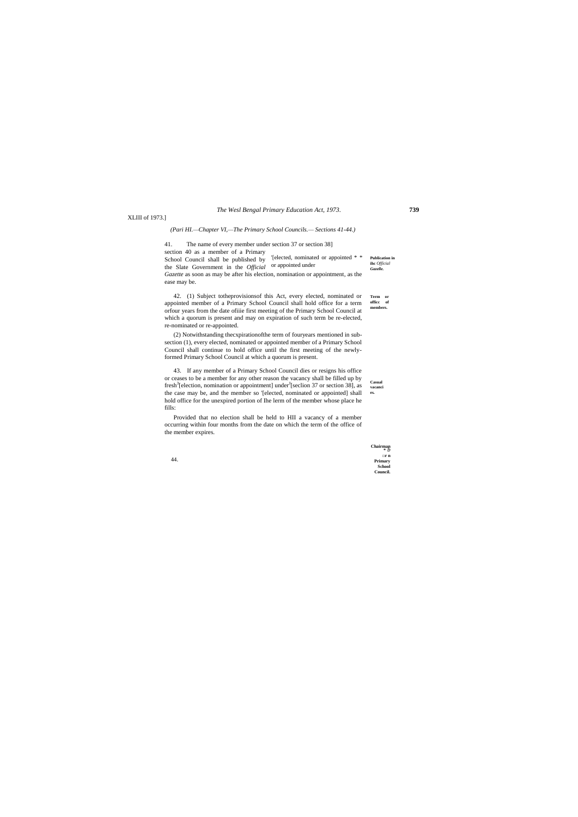#### *The Wesl Bengal Primary Education Act, 1973.* **739**

44.

XLIII of 1973.]

#### *(Pari HI.—Chapter VI,—The Primary School Councils.— Sections 41-44.)*

**Publication in ihc** *Official Gazelle.* 41. The name of every member under section 37 or section 38] section 40 as a member of a Primary School Council shall be published by '[elected, nominated or appointed \* \* the Slate Government in the *Official*  or appointed under*Gazette* as soon as may be after his election, nomination or appointment, as the ease may be.

**Term or officc of members.** 42. (1) Subject totheprovisionsof this Act, every elected, nominated or appointed member of a Primary School Council shall hold office for a term orfour years from the date ofiiie first meeting of the Primary School Council at which a quorum is present and may on expiration of such term be re-elected, re-nominated or re-appointed.

**Casual vacanci es.** 43. If any member of a Primary School Council dies or resigns his office or ceases to be a member for any other reason the vacancy shall be filled up by fresh<sup>3</sup>[election, nomination or appointment] under<sup>J</sup>[seclion 37 or section 38], as the case may be, and the member so '[elected, nominated or appointed] shall hold office for the unexpired portion of Ihe lerm of the member whose place he fills:

(2) Notwithstanding thecxpirationofthe term of fouryears mentioned in subsection (1), every elected, nominated or appointed member of a Primary School Council shall continue to hold office until the first meeting of the newlyformed Primary School Council at which a quorum is present.

Provided that no election shall be held to HII a vacancy of a member occurring within four months from the date on which the term of the office of the member expires.

| Chairman      |
|---------------|
| $\Box r n$    |
| Primary       |
| <b>School</b> |
| Council.      |
|               |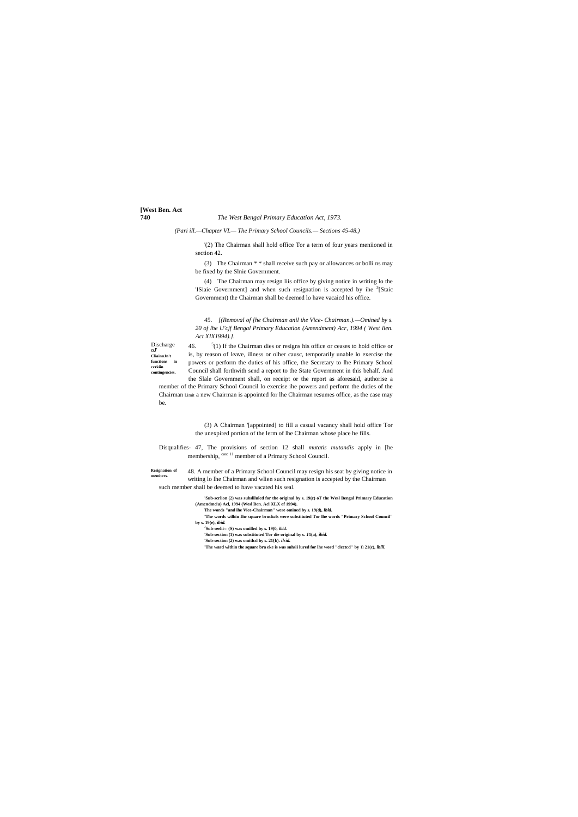# **[West Ben. Act**

#### **740** *The West Bengal Primary Education Act, 1973.*

Discharge oJ' **CliainnJn't functions in ccrkiin contingencies.**

**Resignation of members.**

*(Pari ill.—Chapter VI.— The Primary School Councils.— Sections 45-48.)*

'(2) The Chairman shall hold office Tor a term of four years meniioned in section 42.

(3) The Chairman \* \* shall receive such pay or allowances or bolli ns may be fixed by the Slnie Government.

(4) The Chairman may resign liis office by giving notice in writing lo the 'ISiaie Government] and when such resignation is accepted by ihe <sup>3</sup>[Staic Government) the Chairman shall be deemed lo have vacaicd his office.

46.  $<sup>5</sup>(1)$  If the Chairman dies or resigns his office or ceases to hold office or</sup> is, by reason of leave, illness or olher causc, temporarily unable lo exercise the powers or perform the duties of his office, the Secretary to lhe Primary School Council shall forthwith send a report to the State Government in this behalf. And the Slale Government shall, on receipt or the report as aforesaid, authorise a

45. *[(Removal of [he Chairman anil the Vice- Chairman.).—Omined by s. 20 of lhe U'cjf Bengal Primary Education (Amendment) Acr, 1994 ( West lien. Act XIX1994).].*

Disqualifies- 47, The provisions of section 12 shall *mutatis mutandis* apply in [he membership,  $\frac{case 11}{2}$  member of a Primary School Council.

member of the Primary School Council lo exercise ihe powers and perform the duties of the Chairman Limit a new Chairman is appointed for lhe Chairman resumes office, as the case may be.

> (3) A Chairman '[appointed] to fill a casual vacancy shall hold office Tor the unexpired portion of the lerm of lhe Chairman whose place he fills.

48. A member of a Primary School Council may resign his seat by giving notice in writing lo lhe Chairman and wlien such resignation is accepted by the Chairman such member shall be deemed to have vacated his seal.

- **'Sub-scrlion (2) was subslilulcd for the original by s. 19(c) oT the Wesl Bengal Primary Education (Amcndmciu) Acl, 1994 (Wesl Ben. Acl XLX of 1994).**
- **The words "and ihe Vice-Chairman" were omined by s. 19(d),** *ibid.*
- **'The words wilhin Ihe square brnckcls were substituted Tor lhe words "Primary School Council" by s. 19(e),** *ibid.*
- **J Sub-seelii**>Ti **(S) was omilled by s. 19(0,** *ibid.*
- **'Sub-section (1) was substituted Tor die original by s.** *1***1(a),** *ibid.*
- **'Sub-section (2) was omitlcd by s. 21{b).** *ilrid.*
- **'The ward within the square bra eke is was suhsli lured for lhe word "clcctcd" by** n **21(c),** *ibiil.*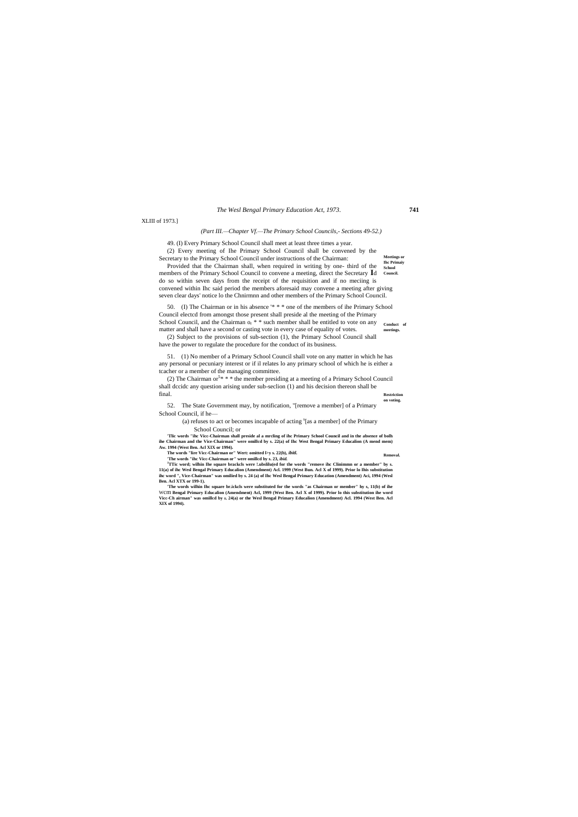#### *The Wesl Bengal Primary Education Act, 1973.* **741**

**Removal.**

**Meetings or** 

XLIII of 1973.]

### *(Part III.—Chapter Vf.—The Primary School Councils,- Sections 49-52.)*

49. (I) Every Primary School Council shall meet at least three times a year.

(2) Every meeting of Ihe Primary School Council shall be convened by the Secretary to the Primary School Council under instructions of the Chairman:

**Ihc Primaiy School**  members of the Primary School Council to convene a meeting, direct the Secretary Id Council. Provided that the Chairman shall, when required in writing by one- third of the do so within seven days from the receipt of the requisition and if no meciing is convened within Ihc said period the members aforesaid may convene a meeting after giving seven clear days' notice lo the Chnirmnn and other members of the Primary School Council.

**Conduct of meetings.** 50. (I) The Chairman or in his absence '\* \* \* one of the members of ihe Primary School Council electcd from amongst those present shall preside al the meeting of the Primary School Council, and the Chairman  $o_r$ <sup>\*</sup> \* such member shall be entitled to vote on any matter and shall have a second or casting vote in every case of equality of votes.

**Restriction**  (2) The Chairman or<sup>5 $*$ </sup>  $*$   $*$  the member presiding at a meeting of a Primary School Council shall dccidc any question arising under sub-seclion (1) and his decision thereon shall be final.

**on voting.** 52. The State Government may, by notification, "[remove a member] of a Primary School Council, if he—

(a) refuses to act or becomes incapable of acting  $s$ [as a member] of the Primary School Council; or

(2) Subject to the provisions of sub-section (1), the Primary School Council shall have the power to regulate the procedure for the conduct of its business.

51. (1) No member of a Primary School Council shall vote on any matter in which he has any personal or pecuniary interest or if il relates lo any primary school of which he is either a tcacher or a member of the managing committee.

**'Tlic words "ihc Vicc-Chairman shall preside al a mrcling of ihc Primary School Council and in the absence of bolh ihe Chairman and the Vice-Chairman" were omillcd by s. 22(a) of Ihc West Bengal Primary Educalion (A mend mem) Aw. 1994 (West Ben. Acl XIX or 1994).**

**The words "lire Vicc-Chairman or" Wert: omitted l>y s. 22(b),** *ibitl.* **'The words "ihc Vicc-Chairman or" were omillcd by s. 23,** *ibid.*

**<sup>J</sup>TTic word; wilhin Ihe square brackcls were !.ubslilu(ed for the words "remove ihc Clinimmn or a member" by s. 11(a) of ihc Wesl Bengal Primary Educalion (Amendment) Acl. 1999 (West Bun. Acl X of 1999). Prior lo Ihis substitution ihc word ", Vice-Chairman" was omilied by s. 24 (a) of Ihc Wesl Bengal Primary Education (Amendment) Aci, 1994 (Wesl Ben. Acl XTX or 199-1).**

**'The words wilhin Ihc square br.ickcls were substituted for the words "as Chairman or member" hy s, 11(b) of ihe** Wcm **Bengal Primary Educalion (Amendment) Acl, 1999 (West Ben. Acl X of 1999). Prior lo this substitution ihe word Vicc-Ch airman" was omillcd by ii, 24(a) or the Wesl Bengal Primary Educalion (Amendment) Acl. 1994 (West Ben. Acl XIX of 1994).**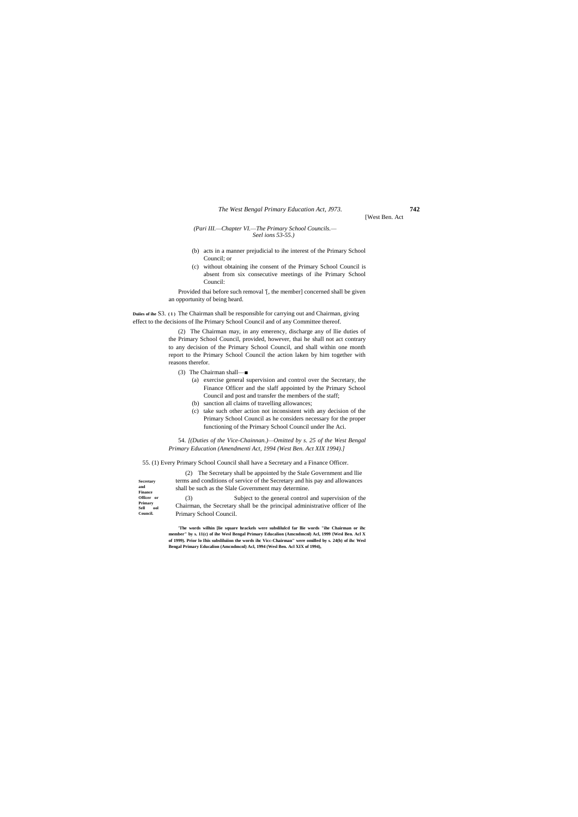# *The West Bengal Primary Education Act, J973.* **742**

**Secretary** 

**and Finance Officer or Primary**   $Sell$ **Council.**

[West Ben. Act

#### *(Pari III.—Chapter VI.—The Primary School Councils.— Seel ions 53-55.)*

- (b) acts in a manner prejudicial to ihe interest of the Primary School Council; or
- (c) without obtaining ihe consent of the Primary School Council is absent from six consecutive meetings of ihe Primary School Council:

Provided thai before such removal '[, the member] concerned shall be given an opportunity of being heard.

**Duiies of ihe** S3. **( 1 )** The Chairman shall be responsible for carrying out and Chairman, giving effect to the decisions of Ihe Primary School Council and of any Committee thereof.

> (2) The Chairman may, in any emerency, discharge any of llie duties of the Primary School Council, provided, however, thai he shall not act contrary to any decision of the Primary School Council, and shall within one month report to the Primary School Council the action laken by him together with reasons therefor.

- (3) The Chairman shall—■
	- (a) exercise general supervision and control over the Secretary, the Finance Officer and the slaff appointed by the Primary School Council and post and transfer the members of the staff;
	- (b) sanction all claims of travelling allowances;
	- (c) take such other action not inconsistent with any decision of the Primary School Council as he considers necessary for the proper functioning of the Primary School Council under Ihe Aci.

54. *[(Duties of the Vice-Chainnan.)—Omitted by s. 25 of the West Bengal Primary Education (Amendmenti Act, 1994 (West Ben. Act XIX 1994).]*

55. (1) Every Primary School Council shall have a Secretary and a Finance Officer.

(2) The Secretary shall be appointed by the Stale Government and llie terms and conditions of service of the Secretary and his pay and allowances shall be such as the Slale Government may determine.

(3) Subject to the general control and supervision of the Chairman, the Secretary shall be the principal administrative officer of Ihe Primary School Council.

**'The words wilhin [lie square hrackels were subslilulcd far llie words "ihe Chairman or ihc member" by s. 11(c) of ihe Wesl Bengal Primary Educalion (Amcndmcnl) Acl, 1999 {Wesl Ben. Acl X of 1999). Prior lo Ihis subsliluiion the words ihc Vicc-Chairman" were omilled by s. 24(b) of ihc Wesl Bengal Primary Educalion (Amcndmcnl) Acl, 1994 (Wesl Ben. Acl XIX of 1994),**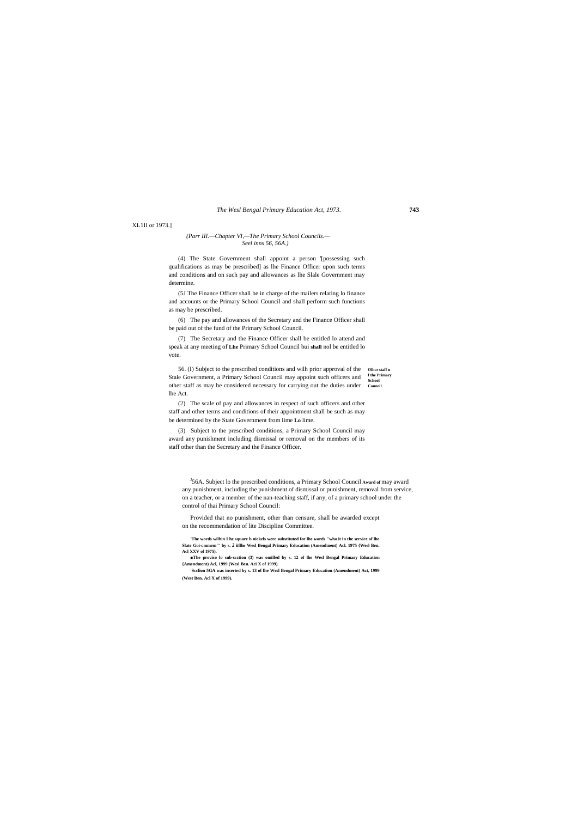#### *The Wesl Bengal Primary Education Act, 1973.* **743**

XL1II or 1973.]

#### *(Parr III.—Chapter VI,—The Primary School Councils.— Seel inns 56, 56A.)*

(4) The State Government shall appoint a person '[possessing such qualifications as may be prescribed] as lhe Finance Officer upon such terms and conditions and on such pay and allowances as lhe Slale Government may determine.

(5J The Finance Officer shall be in charge of the mailers relating lo finance and accounts or the Primary School Council and shall perform such functions as may be prescribed.

56. (I) Subject to the prescribed conditions and wilh prior approval of the other staff u **f the Primary School**  other staff as may be considered necessary for carrying out the duties under council. Stale Government, a Primary School Council may appoint such officers and lhe Act.

(6) The pay and allowances of the Secretary and the Finance Officer shall be paid out of the fund of the Primary School Council.

(7) The Secretary and the Finance Officer shall be entitled lo attend and speak at any meeting of **Lhe** Primary School Council bui **shall** nol be entitled lo vote.

<sup>J</sup>56A. Subject lo the prescribed conditions, a Primary School Council Award of may award any punishment, including the punishment of dismissal or punishment, removal from service, on a teacher, or a member of the nan-teaching staff, if any, of a primary school under the control of thai Primary School Council:

(2) The scale of pay and allowances in respect of such officers and other staff and other terms and conditions of their appointment shall be such as may be determined by the State Government from lime **Lo** lime.

(3) Subject to the prescribed conditions, a Primary School Council may award any punishment including dismissal or removal on the members of its staff other than the Secretary and the Finance Officer.

Provided that no punishment, other than censure, shall be awarded except on the recommendation of lite Discipline Committee.

**'The words wilhin I he square b nickels were substituted for lhe words "who it in the service of lhe Slate Goi-cmmem"' by s.** *2* **iiflhe Wesl Bengal Primary Education (Amendment) Acl. 1975 {Wesl Ben. Acl XXV of 1975).**

**■The proviso lo sub-scction (3) was omilled by s. 12 of lhe Wesl Bengal Primary Education {Amendment) Acl, 1999 (Wesl Ben. Aci X of 1999).**

**'Scclion 5GA was inserted by s. 13 of lhe Wesl Bengal Primary Education (Amendment) Act, 1999 (West Ben. Acl X of 1999).**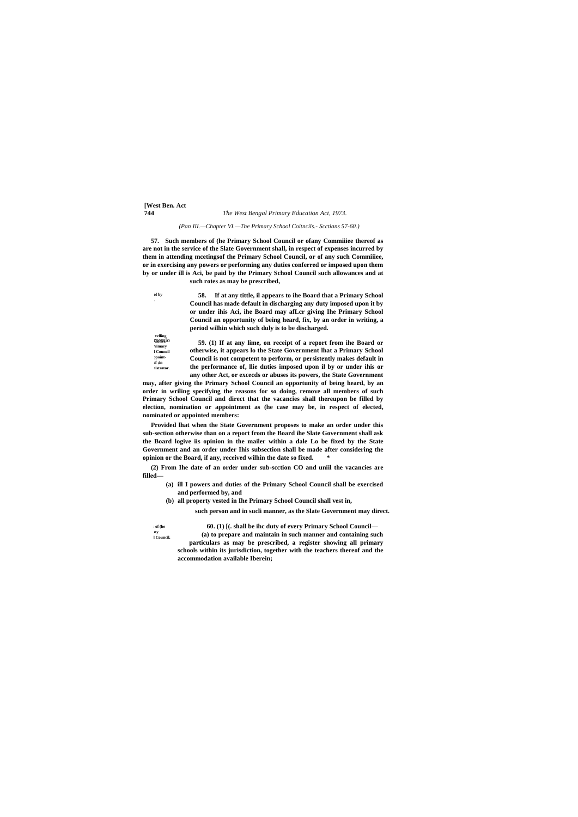## **[West Ben. Act 744** *The West Bengal Primary Education Act, 1973.*

**ol** by **□oard.**

supersessio **allowance.** n **of Primary School Council**  ppoint- $\lim_{t \to \infty}$ **Administrator. Travelling** 

#### *(Pan III.—Chapter VI.—The Primary School Coitncils.- Scctians 57-60.)*

**57. Such members of (he Primary School Council or ofany Commiiiee thereof as are not in the service of the Slate Government shall, in respect of expenses incurred by them in attending mcetingsof the Primary School Council, or of any such Commiiiee, or in exercising any powers or performing any duties conferred or imposed upon them by or under ill is Aci, be paid by the Primary School Council such allowances and at** 

**such rotes as may be prescribed,**

**58. If at any tittle, il appears to ihe Board that a Primary School Council has made default in discharging any duty imposed upon it by or under ihis Aci, ihe Board may afLcr giving Ihe Primary School Council an opportunity of being heard, fix, by an order in writing, a period wilhin which such duly is to be discharged.**

**59. (1) If at any lime, on receipt of a report from ihe Board or otherwise, it appears lo the State Government lhat a Primary School Council is not competent to perform, or persistently makes default in the performance of, llie duties imposed upon il by or under ihis or any other Act, or excecds or abuses its powers, the State Government** 

**may, after giving the Primary School Council an opportunity of being heard, by an order in wriling specifying the reasons for so doing, remove all members of such Primary School Council and direct that the vacancies shall thereupon be filled by election, nomination or appointment as (he case may be, in respect of elected, nominated or appointed members:**

**Provided lhat when the State Government proposes to make an order under this sub-section otherwise than on a report from the Board ihe Slate Government shall ask the Board logive iis opinion in the mailer within a dale Lo be fixed by the State Government and an order under Ihis subsection shall be made after considering the opinion or the Board, if any, received wilhin the date so fixed. \***

**(2) From Ihe date of an order under sub-scction CO and uniil the vacancies are filled—**

- **(a) ill I powers and duties of the Primary School Council shall be exercised and performed by, and**
- **(b) all property vested in Ihe Primary School Council shall vest in,**

**such person and in sucli manner, as the Slate Government may direct.**

**of** (he rty<br>| Council.

**60. (1) [(. shall be ihc duty of every Primary School Council— (a) to prepare and maintain in such manner and containing such particulars as may be prescribed, a register showing all primary schools within its jurisdiction, together with the teachers thereof and the accommodation available Iberein;**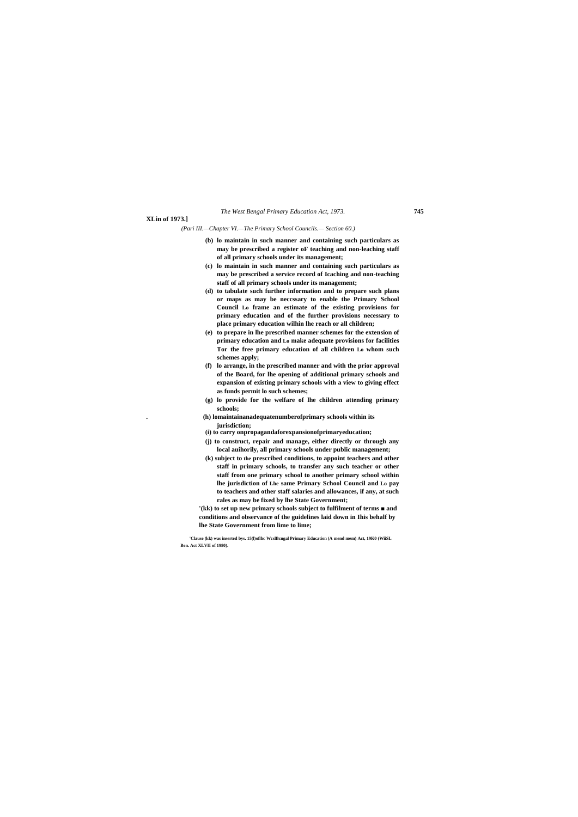# *The West Bengal Primary Education Act, 1973.* **745**

### **XLin of 1973.]**

*(Pari III.—Chapter VI.—The Primary School Councils.— Section 60.)*

- **(b) lo maintain in such manner and containing such particulars as may be prescribed a register oF teaching and non-leaching staff of all primary schools under its management;**
- **(c) lo maintain in such manner and containing such particulars as may be prescribed a service record of Icaching and non-teaching staff of all primary schools under its management;**
- **(d) to tabulate such further information and to prepare such plans or maps as may be neccssary to enable the Primary School Council Lo frame an estimate of the existing provisions for primary education and of the further provisions necessary to place primary education wilhin lhe reach or all children;**
- **(e) to prepare in lhe prescribed manner schemes for the extension of primary education and Lo make adequate provisions for facilities Tor the free primary education of all children Lo whom such schemes apply;**
- **(f) lo arrange, in the prescribed manner and with the prior approval of the Board, for lhe opening of additional primary schools and expansion of existing primary schools with a view to giving effect as funds permit lo such schemes;**
- **(g) lo provide for the welfare of lhe children attending primary schools;**
- **. (h) lomaintainanadequatenumberofprimary schools within its jurisdiction;**
- **(i) to carry onpropagandaforexpansionofprimaryeducation;**
- **(j) to construct, repair and manage, either directly or through any local auihorily, all primary schools under public management;**
- **(k) subject to the prescribed conditions, to appoint teachers and other staff in primary schools, to transfer any such teacher or other staff from one primary school to another primary school within lhe jurisdiction of Lhe same Primary School Council and Lo pay to teachers and other staff salaries and allowances, if any, at such rales as may be fixed by lhe State Government;**

**'(kk) to set up new primary schools subject to fulfilment of terms ■ and conditions and observance of the guidelines laid down in Ihis behalf by lhe State Government from lime to lime;**

**'Clause (kk) was inserted bys. 15(l)oflhc WcslBcngal Primary Education (A mend mem) Act, 19K0 (WiiSL Ben. Act XLVII of 1980).**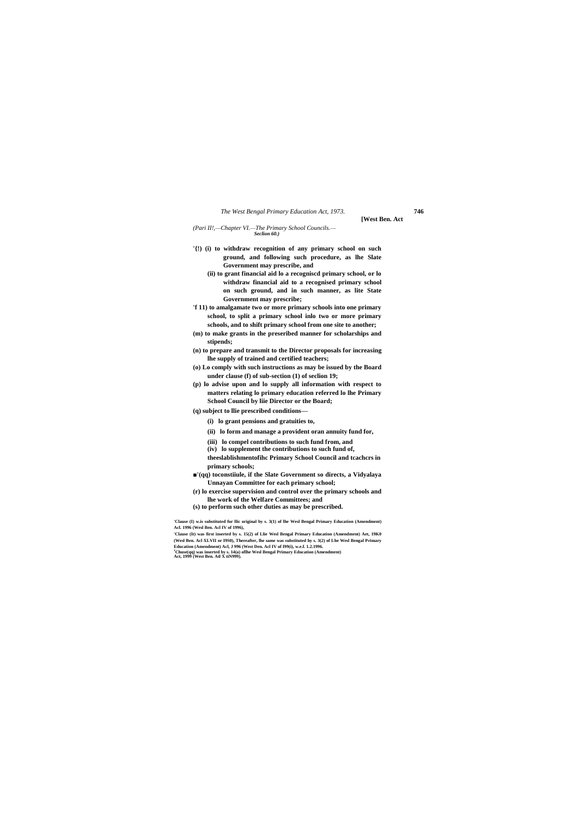#### *The West Bengal Primary Education Act, 1973.* **746**

**[West Ben. Act**

*(Pari II!,—Chapter VI.—The Primary School Councils.— Seclion 60.)*

- **'{!) (i) to withdraw recognition of any primary school on such ground, and following such procedure, as lhe Slate Government may prescribe, and**
	- **(ii) to grant financial aid lo a recogniscd primary school, or lo withdraw financial aid to a recognised primary school on such ground, and in such manner, as lite State Government may prescribe;**
- **'f 11) to amalgamate two or more primary schools into one primary school, to split a primary school inlo two or more primary schools, and to shift primary school from one site to another;**
- **(m) to make grants in the preseribed manner for scholarships and stipends;**
- **(n) to prepare and transmit to the Director proposals for increasing lhe supply of trained and certified teachers;**
- **(o) Lo comply with such instructions as may be issued by the Board under clause (f) of sub-section (1) of seclion 19;**
- **(p) lo advise upon and lo supply all information with respect to matters relating lo primary education referred lo lhe Primary School Council by liie Director or the Board;**
- **(q) subject to llie prescribed conditions—**
	- **(i) lo grant pensions and gratuities to,**
	- **(ii) lo form and manage a provident oran annuity fund for,**
	- **(iii) lo compel contributions to such fund from, and**
	- **(iv) lo supplement the contributions to such fund of,**
	- **theeslablishmentofihc Primary School Council and tcachcrs in primary schools;**
- **■'(qq) toconstiiule, if the Slate Government so directs, a Vidyalaya Unnayan Committee for each primary school;**
- **(r) lo exercise supervision and control over the primary schools and lhe work of the Welfare Committees; and**
- **(s) to perform such other duties as may be prescribed.**

**'Clause (I) w.is substituted for llic original by s. 3(1) of lhe Wesl Bengal Primary Education (Amendment) Acl. 1996 (Wesl Ben. Acl IV of 1996),**

**'Clause (It) was first inserted by s. 15(2) of Llie Wesl Bengal Primary Education (Amendment) Aet, 19K0 (Wesl Ben. Acl XLVII or I9S0), Thereafter, lhe same was substituted hy s. 3(2) of Lhe Wesl Bengal Primary Education (Amendment) Acl, J 996 (West Den. Acl IV of I99(i), w.e.f. 1.2.1996.**

**<sup>J</sup>Chuse(qq) was inserted by s. 14(a) oflhe Wesl Bengal Primary Education (Amendment) Act, 1999 (West Ben. Atl X tiN999).**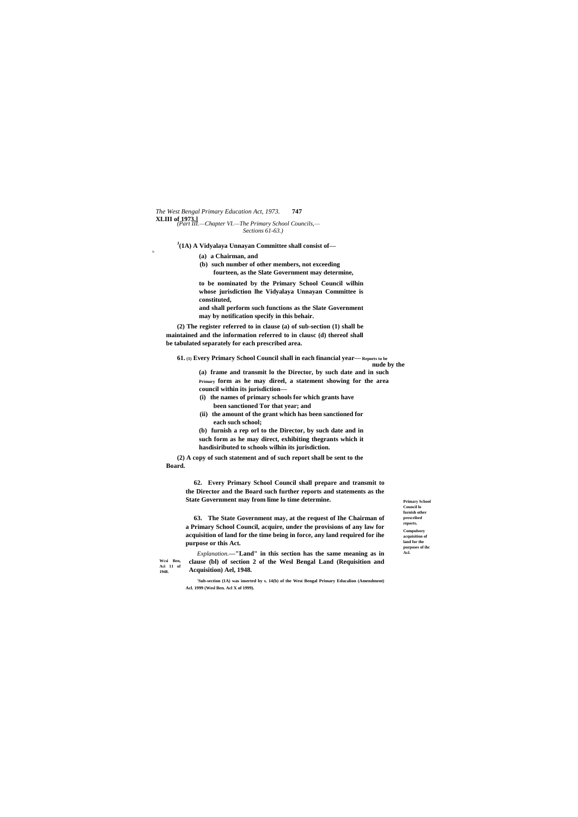**Primary School Council lo**  furnish other **prescribed reports. Compulsory acquisition of land for the purposes of ihc Acl.**

*The West Bengal Primary Education Act, 1973.* **747 XLIII of 1973.]** *(Part III.—Chapter VI.—The Primary School Councils,— Sections 61-63.)*

**1948.**

**J (1A) A Vidyalaya Unnayan Committee shall consist of—**

9-

**(a) a Chairman, and**

**(b) such number of other members, not exceeding** 

**fourteen, as the Slate Government may determine,**

**to be nominated by the Primary School Council wilhin whose jurisdiction lhe Vidyalaya Unnayan Committee is constituted,**

**and shall perform such functions as the Slate Government may by notification specify in this behair.**

**(2) The register referred to in clause (a) of sub-section (1) shall be maintained and the information referred to in clausc (d) thereof shall be tabulated separately for each prescribed area.**

**61. (1) Every Primary School Council shall in each financial year— Reports to be nude by the**

**(a) frame and transmit lo the Director, by such date and in such Primary form as he may direel, a statement showing for the area council within its jurisdiction—**

**Wcsi Ben, Aci 11 of**  *Explanation.***—"Land" in this section has the same meaning as in clause (bl) of section 2 of the Wesl Bengal Land (Requisition and Acquisition) Ael, 1948.**

**(i) the names of primary schools for which grants have been sanctioned Tor that year; and**

- **(ii) the amount of the grant which has been sanctioned for each such school;**
- **(b) furnish a rep orl to the Director, by such date and in such form as he may direct, exhibiting thegrants which it hasdisiributed to schools wilhin its jurisdiction.**

**(2) A copy of such statement and of such report shall be sent to the Board.**

**62. Every Primary School Council shall prepare and transmit to the Director and the Board such further reports and statements as the State Government may from lime lo time determine.**

**63. The State Government may, at the request of Ihe Chairman of a Primary School Council, acquire, under the provisions of any law for acquisition of land for the time being in force, any land required for ihe purpose or this Act.**

**'Sub-section (1A) was inserted by s. 14(b) of the West Bengal Primary Educalion (Amendment) Acl. 1999 (Wesl Ben. Acl X of 1999).**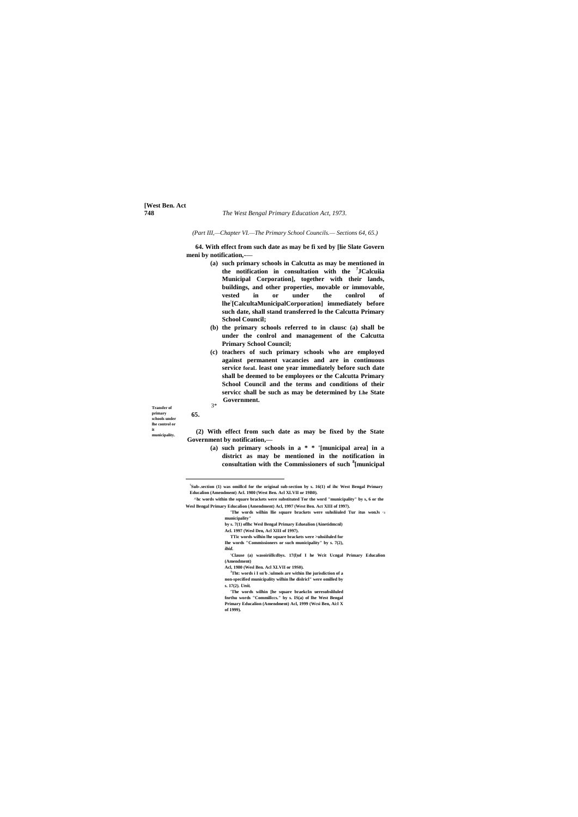**[West Ben. Act**

#### **748** *The West Bengal Primary Education Act, 1973.*

**Transfer of** 3\* **primary schools under lhe control or it municipality.**

*(Part III,—Chapter VI.—The Primary School Councils.— Sections 64, 65.)*

**64. With effect from such date as may be fi xed by [lie Slate Govern meni by notification,-—**

- **(a) such primary schools in Calcutta as may be mentioned in the notification in consultation with the <sup>7</sup> JCalcuiia Municipal Corporation], together with their lands, buildings, and other properties, movable or immovable, vested in or under the conlrol of lhe: [CalcultaMunicipalCorporation] immediately before such date, shall stand transferred lo the Calcutta Primary School Council;**
- **(b) the primary schools referred to in clausc (a) shall be under the conlrol and management of the Calcutta Primary School Council;**
- **(c) teachers of such primary schools who are employed against permanent vacancies and are in continuous service foraL least one year immediately before such date shall be deemed to be employees or the Calcutta Primary School Council and the terms and conditions of their servicc shall be such as may be determined by Lhe State Government.**

**65.**

 $\overline{a}$ 

**(2) With effect from such date as may be fixed by the State Government by notification,—**

> **(a) such primary schools in a \* \* '[municipal area] in a district as may be mentioned in the notification in consultation with the Commissioners of such <sup>8</sup> [municipal**

**7 Sub-.section (1) was omillcd for the original sub-section by s. 16(1) of ihc West Bengal Primary Educalion (Amendment) Acl. 1980 (West Ben. Acl XLVII or 19B0).**

**^hc words within the square brackets were substituted Tor the word "municipality" by s, 6 or the Wesl Bengal Primary Educalion (Amendment) Acl, 1997 (West Ben. Act XIII of 1997).**

**'The words wilhin llie square brackets were suhsliiuled Tur itus wonJs "3 municipality"**

- **by s. 7(1) oflhc Wesl Bengal Primary Eduealion (Ainetidmcnl)**
- **Acl. 1997 (Wesl Den, Acl XIII of 1997).**
- **TTic words wilhin lhe square brackets were >uhsiiluled for**
- **Ihe words "Commissioners or such municipality" by s. 7(2),**
- *ibid.*
- **'Clause (a) wasoiriillcdbys. 17(l)of I he Wcit Ucngal Primary Educalion (Amendment)**
- **Acl, 1980 (Wesl Ben. Acl XLVII or 19S0).**
- **<sup>J</sup>Tht: words i I sn'b .\ulmols are within Ihe jurisdiction of a non-specified municipality wilhin lhe dislricl" were omilled by**
- **s. 17(2).** *Unit.*

**'The words wilhin [he square braekcIn ueresubsliluled fnrthu words "Commillccs." by s. IS(a) of lhe West Bengal Primary Educalion (Amendment) Acl, 1999 (Wcsi Ben, Ai:l X of 1999).**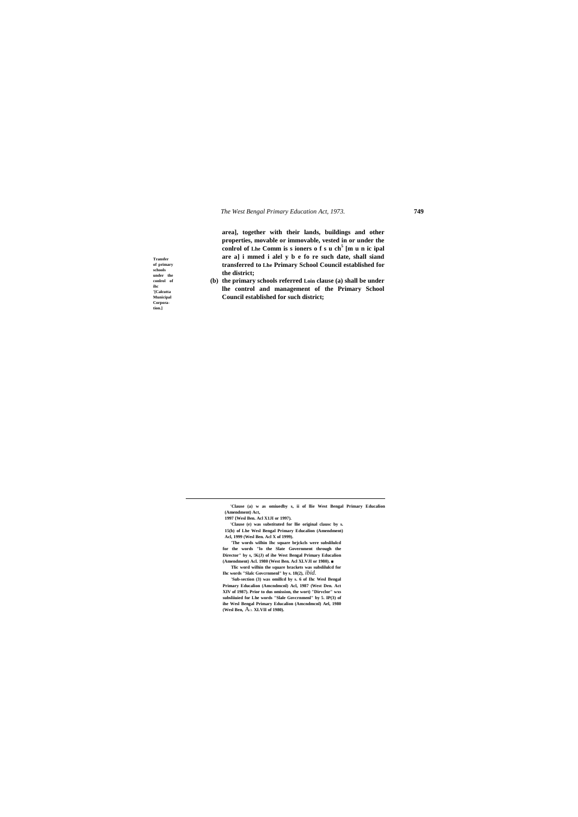*The West Bengal Primary Education Act, 1973.* **749**

**Transfer of primary schools under the conlrol of ihc '[Calcutta Municipal Corporation.]**

 $\overline{a}$ 

**area], together with their lands, buildings and other properties, movable or immovable, vested in or under the conlrol of Lhe Comm is s ioners o f s u ch<sup>5</sup> [m u n ic ipal are a] i mmed i alel y b e fo re such date, shall siand transferred to Lhe Primary School Council established for the district;**

**(b) the primary schools referred Loin clause (a) shall be under lhe control and management of the Primary School Council established for such district;**

**'Clause (a) w as omiuedby s, ii of llie West Bengal Primary Educalion (Amendment) Act,**

**1997 {Wesl Ben. Acl X1JI or 1997).**

**'Clause (e) was substituted for llie original clausc by s. 15(b) of Lhe Wesl Bengal Primary Educalion (Amendment) Acl, 1999 (Wesl Ben. Acl X of 1999).**

**'The words wilhin Ihc square brjckcls were subslilulcd for the words "lo the Slate Government through the Director" by s, !K(J) of ihe West Bengal Primary Educalion (Amendment) Acl. 1980 (West Ben. Acl XLVJI or 1980). ■**

**Tlic word wilhin the square brackets was subslilulcd for Ihc words "Slalc Govcrnmenl" by s. 18(2),** *ibid.*

**'Sub-section (3) was omillcd by s. 6 of Ihc Wesl Bengal Primary Educalion (Amcndmcnl) Acl, 1987 (West Den. Act XIV of 1987). Prior to dus omission, the wort) "Dirvclor" wxs subsliiuied for Lhe words "Slale Govcrnmenl" by 5. IP(3) of ihe Wesl Bengal Primary Educalion (Amcndmcnl) Ael, 1980 (Wesl Ben,** ACL **XLVII of 1980).**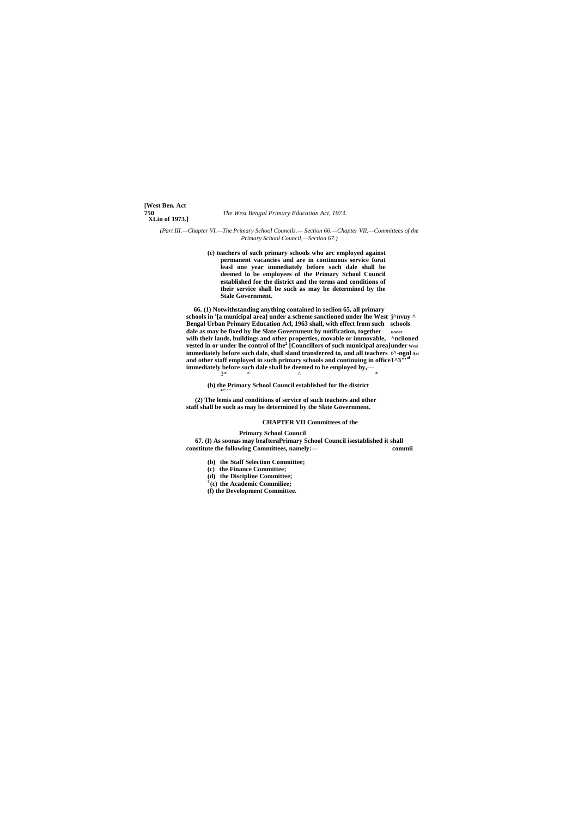**[West Ben. Act XLin of 1973.]**

**750** *The West Bengal Primary Education Act, 1973.*

*(Part III.—Chapter VI.—The Primary School Councils.— Section 66.—Chapter VII.—Committees of the Primary School Council,—Section 67.)*

> **(c) teachers of such primary schools who arc employed against permanent vacancies and are in continuous service forat leasl one year immediately before such dale shall be deemed lo be employees of the Primary School Council established for the district and the terms and conditions of their service shall be such as may be determined by the Stale Government.**

**66. (1) Notwithstanding anything contained in seclion 65, all primary schools in '[a municipal area] under a scheme sanctioned under lhe West j^nvuy ^ Bengal Urban Primary Education Acl, 1963 shall, with effect from such schools dale as may be fixed by lhe Slate Government by notification, together under wilh their lands, buildings and other properties, movable or immovable, ^nciioned vested in or under lhe control of lhe<sup>2</sup> [Councillors of such municipal area]under Wesi immediately before such dale, shall sland transferred to, and all teachers t^-ngnl Aci** and other staff employed in such primary schools and continuing in office1^3"<sup>106</sup> **immediately before such dale shall be deemed to be employed by,—** 3\* \* ^ \*

**(b) the Primary School Council established for Ihe district** ■J\* \* \*

**(2) The lemis and conditions of service of such teachers and other staff shall be such as may be determined by the Slate Government.**

### **CHAPTER VII Committees of the**

**Primary School Council 67. (I) As soonas may beafteraPrimary School Council isestablished it shall constitute the following Committees, namely:— commii**

**(b) the Staff Selection Committee;**

**(c) the Finance Committee;**

**(d) the Discipline Committee;**

**T (c) the Academic Commiliee;**

**(f) the Development Committee.**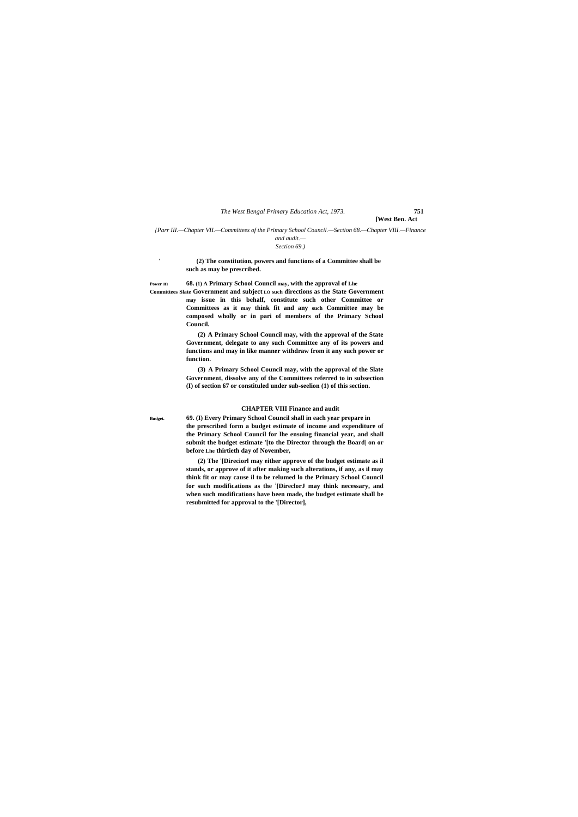*The West Bengal Primary Education Act, 1973.* **751**

**[West Ben. Act**

*{Parr III.—Chapter VII.—Committees of the Primary School Council.—Section 68.—Chapter VIII.—Finance* 

#### *and audit.— Section 69.)*

**'**

 **(2) The constitution, powers and functions of a Committee shall be such as may be prescribed.**

**Power m 68. (1) A Primary School Council may, with the approval of Lhe Committees Slate Government and subject LO such directions as the State Government may issue in this behalf, constitute such other Committee or Committees as it may think fit and any such Committee may be composed wholly or in pari of members of the Primary School Council.**

> **(2) A Primary School Council may, with the approval of the State Government, delegate to any such Committee any of its powers and functions and may in like manner withdraw from it any such power or function.**

> **(3) A Primary School Council may, with the approval of the Slate Government, dissolve any of the Committees referred to in subsection (I) of section 67 or constituled under sub-seelion (1) of this section.**

# **CHAPTER VIII Finance and audit**

**Budget. 69. (I) Every Primary School Council shall in each year prepare in the prescribed form a budget estimate of income and expenditure of the Primary School Council for lhe ensuing financial year, and shall submit the budget estimate '[to the Director through the Board| on or before Lhe thirtieth day of November,**

> **(2) The : [Direciorl may either approve of the budget estimate as il stands, or approve of it after making such alterations, if any, as il may think fit or may cause il to be relumed lo the Primary School Council for such modifications as the : [DireclorJ may think necessary, and when such modifications have been made, the budget estimate shall be resubmitted for approval to the '[Director],**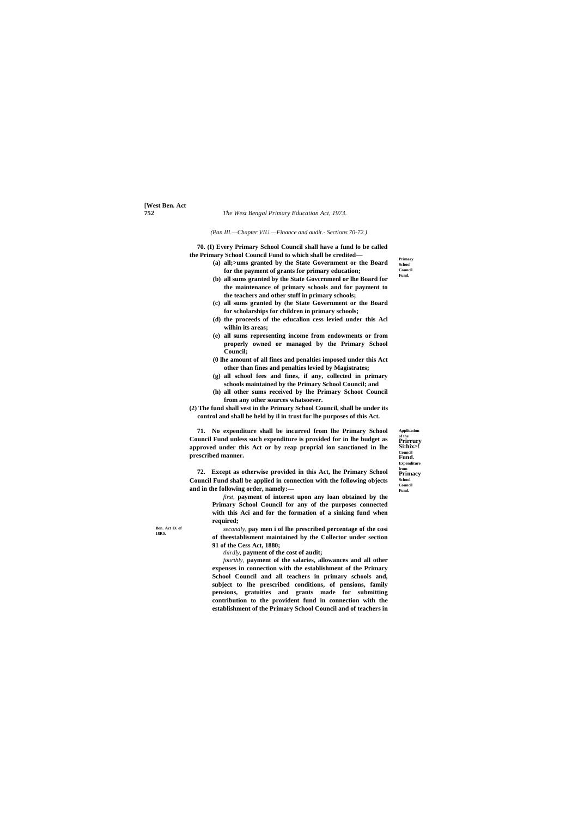# **[West Ben. Act**

#### **752** *The West Bengal Primary Education Act, 1973.*

**Application of the Prirrury Si:hix>! Council Fund. Expenditure from Primacy School Council**

**Fund.**

**Ben. Act IX of 18R0.**

**Primary School Council Fund.**

*(Pan III.—Chapter VIU.—Finance and audit.- Sections 70-72.)*

**70. (I) Every Primary School Council shall have a fund lo be called the Primary School Council Fund to which shall be credited—**

- **(a) all;>ums granted by the State Government or the Board for the payment of grants for primary education;**
	- **(b) all sums granted by the State Govcrnmenl or lhe Board for the maintenance of primary schools and for payment to the teachers and other stuff in primary schools;**
	- **(c) all sums granted by (he State Government or the Board for scholarships for children in primary schools;**
	- **(d) the proceeds of the educalion cess levied under this Acl wilhin its areas;**
	- **(e) all sums representing income from endowments or from properly owned or managed by the Primary School Council;**
	- **(0 lhe amount of all fines and penalties imposed under this Act other than fines and penalties levied by Magistrates;**
	- **(g) all school fees and fines, if any, collected in primary schools maintained by the Primary School Council; and**
	- **(h) all other sums received by lhe Primary Schoot Council from any other sources whatsoever.**

**(2) The fund shall vest in the Primary School Council, shall be under its control and shall be held by il in trust for lhe purposes of this Act.**

**71. No expenditure shall be incurred from lhe Primary School Council Fund unless such expenditure is provided for in lhe budget as approved under this Act or by reap proprial ion sanctioned in lhe prescribed manner.**

**72. Except as otherwise provided in this Act, lhe Primary School Council Fund shall be applied in connection with the following objects and in the following order, namely:—**

> *first,* **payment of interest upon any loan obtained by the Primary School Council for any of the purposes connected with this Aci and for the formation of a sinking fund when required;**

> *secondly,* **pay men i of lhe prescribed percentage of the cosi of theestablisment maintained by the Collector under section 91 of the Cess Act, 1880;**

*thirdly,* **payment of the cost of audit;**

*fourthly,* **payment of the salaries, allowances and all other expenses in connection with the establishment of the Primary School Council and all teachers in primary schools and, subject to lhe prescribed conditions, of pensions, family pensions, gratuities and grants made for submitting contribution to the provident fund in connection with the establishment of the Primary School Council and of teachers in**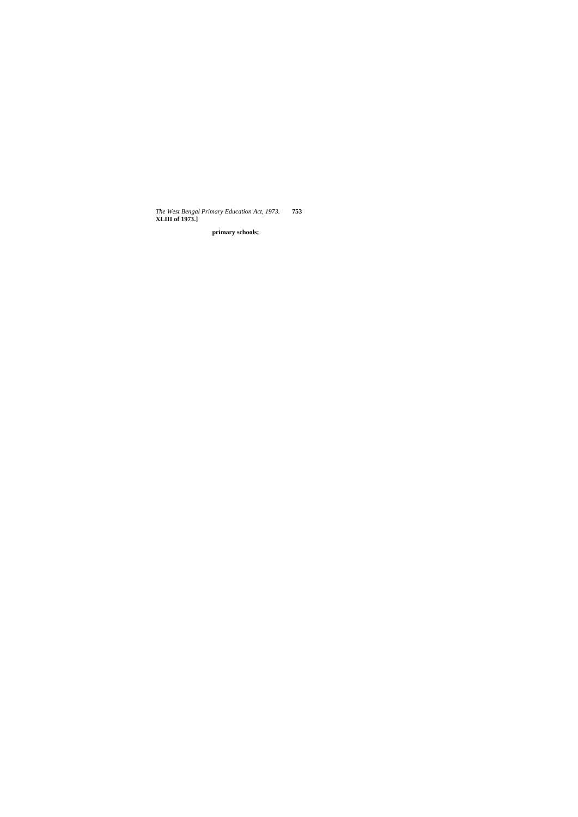*The West Bengal Primary Education Act, 1973.* **753 XLIII of 1973.]**

**primary schools;**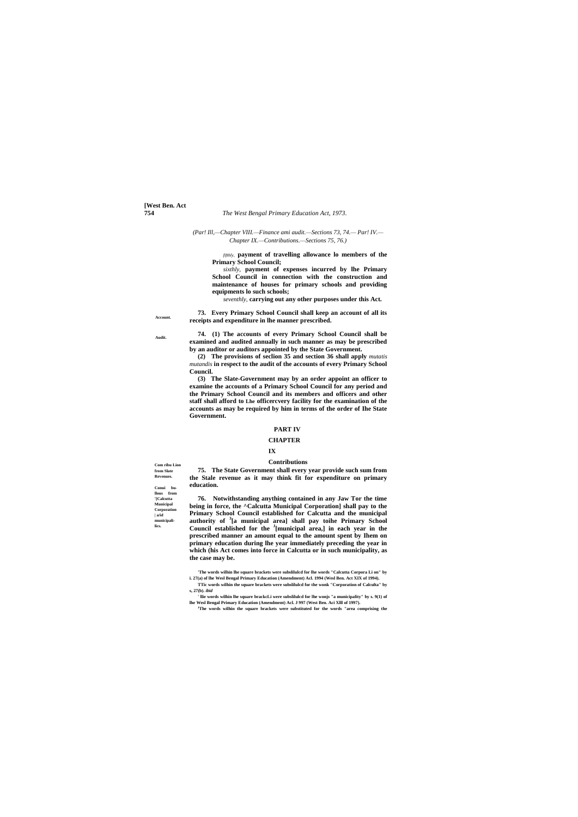**[West Ben. Act**

#### **754** *The West Bengal Primary Education Act, 1973.*

**Account.**

**Audit.**

**Com ribu Lion from Slate Revenues.**

**Conui bullous from '[Calcutta Municipal Corporation | a/id municipalilics.**

#### *(Par! Ill,—Chapter VIII.—Finance ami audit.—Sections 73, 74.— Par! IV.— Chapter IX.—Contributions.—Sections 75, 76.)*

*fifthly,* **payment of travelling allowance lo members of the Primary School Council;**

*sixthly,* **payment of expenses incurred by lhe Primary School Council in connection with the construction and maintenance of houses for primary schools and providing equipments lo such schools;**

*seventhly,* **carrying out any other purposes under this Act.**

**73. Every Primary School Council shall keep an account of all its receipts and expenditure in lhe manner prescribed.**

**74. (1) The accounts of every Primary School Council shall be examined and audited annually in such manner as may be prescribed by an auditor or auditors appointed by the State Government.**

**(2) The provisions of seclion 35 and section 36 shall apply** *mutatis mutandis* **in respect to the audit of the accounts of every Primary School Council.**

**(3) The Slate-Government may by an order appoint an officer to examine the accounts of a Primary School Council for any period and the Primary School Council and its members and officers and other staff shall afford to Lhe officercvery facility for the examination of the accounts as may be required by him in terms of the order of Ihe State Government.**

#### **PART IV**

#### **CHAPTER**

#### **IX**

#### **Contributions**

**75. The State Government shall every year provide such sum from the Stale revenue as it may think fit for expenditure on primary education.**

**76. Notwithstanding anything contained in any Jaw Tor the time being in force, the ^Calcutta Municipal Corporation] shall pay to the Primary School Council established for Calcutta and the municipal authority of <sup>3</sup> [a municipal area] shall pay toihe Primary School Council established for the <sup>J</sup> [municipal area,] in each year in the prescribed manner an amount equal to the amount spent by Ihem on primary education during lhe year immediately preceding the year in which (his Act comes into force in Calcutta or in such municipality, as the case may be.**

**'The words wilhin lhe square brackets were subslilulcd for lhe words "Calcutta Corpora Li on" by i. 27(a) of lhe Wesl Bengal Primary Education (Amendment) Acl. 1994 (Wesl Ben. Act XIX of 1994).**

- **TTic words wilhin the square brackets were subslilulcd for the wonk "Corporation of Calculta" by s, 27(b).** *ibid*
- **' llie words wilhin lhe square brackcLi were subslilulcd for lhe wonjs "a municipality" by s. 9(1) of lhe Wesl Bengal Primary Education (Amendment) Acl. J 997 (West Ben. Aci Xlll of 1997).**
	- **<sup>J</sup>The words wilhin the square brackets were substituted for the words "area comprising the**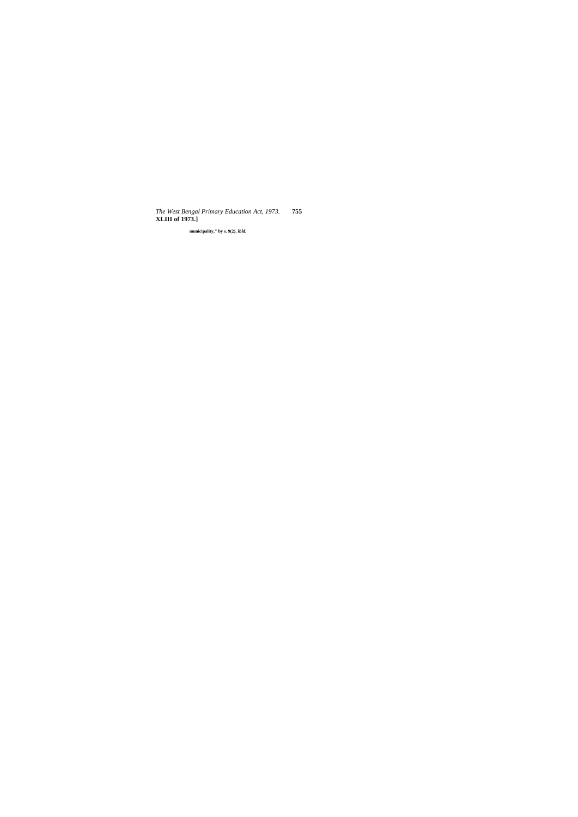*The West Bengal Primary Education Act, 1973.* **755 XLIII of 1973.]**

**municipality," by s. 9(2).** *ibid.*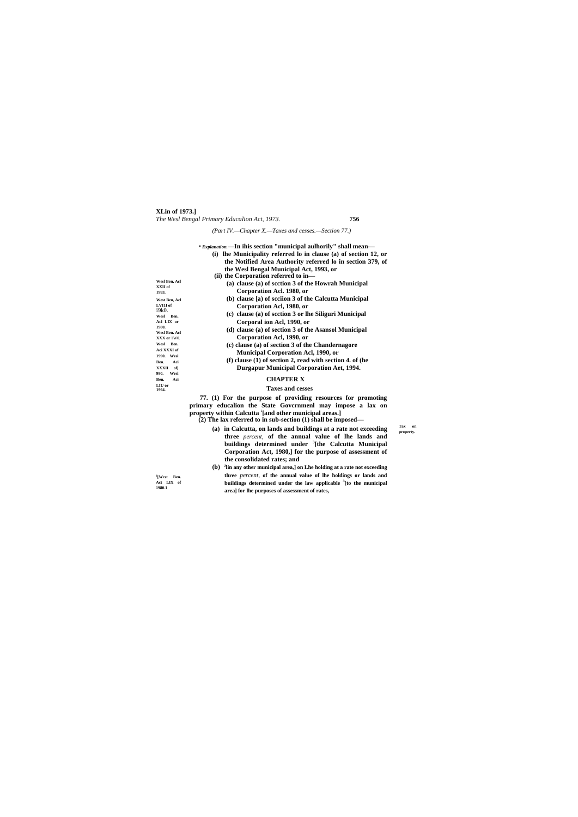**XLin of 1973.]** *The Wesl Bengal Primary Educalion Act, 1973.* **756**

**J [Wcst Ben. Act LIX of 1980.1**

*(Part IV.—Chapter X.—Taxes and cesses.—Section 77.)*

|                                   | * Explanation.—In ihis section "municipal aulhorily" shall mean—<br>(i) lhe Municipality referred lo in clause (a) of section 12, or<br>the Notified Area Authority referred lo in section 379, of |           |
|-----------------------------------|----------------------------------------------------------------------------------------------------------------------------------------------------------------------------------------------------|-----------|
|                                   | the Wesl Bengal Municipal Act, 1993, or                                                                                                                                                            |           |
|                                   | (ii) the Corporation referred to in-                                                                                                                                                               |           |
| Wesl Ben, Acl<br>XXII of<br>1993. | (a) clause (a) of scction 3 of the Howrah Municipal                                                                                                                                                |           |
|                                   | Corporation Acl. 1980, or                                                                                                                                                                          |           |
| West Ben, Acl<br>LVI1I of         | (b) clause [a) of scciion 3 of the Calcutta Municipal                                                                                                                                              |           |
|                                   | Corporation Acl, 1980, or                                                                                                                                                                          |           |
| i9k0.<br>Wesl Ben.                | (c) clause (a) of scction 3 or lhe Siliguri Municipal                                                                                                                                              |           |
| Acl LIX or                        | Corporal ion Acl, 1990, or                                                                                                                                                                         |           |
| 1980.                             | (d) clause (a) of section 3 of the Asansol Municipal                                                                                                                                               |           |
| Wesl Ben. Acl<br>XXX or 1W0.      | Corporation Acl, 1990, or                                                                                                                                                                          |           |
| Wesl Ben.                         | (c) clause (a) of section 3 of the Chandernagore                                                                                                                                                   |           |
| Aci XXXI of                       | <b>Municipal Corporation Acl, 1990, or</b>                                                                                                                                                         |           |
| 1990. Wesl<br>Ben.<br>Aci         | $(f)$ clause $(1)$ of section 2, read with section 4. of (he                                                                                                                                       |           |
| XXXII of                          | <b>Durgapur Municipal Corporation Aet, 1994.</b>                                                                                                                                                   |           |
| 990.<br>Wesl<br>Aci<br>Ben.       | <b>CHAPTER X</b>                                                                                                                                                                                   |           |
| LIU or                            |                                                                                                                                                                                                    |           |
| 1994.                             | <b>Taxes and cesses</b>                                                                                                                                                                            |           |
|                                   | 77. (1) For the purpose of providing resources for promoting                                                                                                                                       |           |
|                                   | primary educalion the State Governmenl may impose a lax on                                                                                                                                         |           |
|                                   | property within Calcutta [and other municipal areas.]                                                                                                                                              |           |
|                                   | $(2)$ The lax referred to in sub-section $(1)$ shall be imposed—                                                                                                                                   | Tax<br>on |
|                                   | (a) in Calcutta, on lands and buildings at a rate not exceeding                                                                                                                                    | property. |
|                                   | three percent, of the annual value of lhe lands and                                                                                                                                                |           |
|                                   | buildings determined under <sup>3</sup> [the Calcutta Municipal                                                                                                                                    |           |
|                                   | Corporation Act, 1980, for the purpose of assessment of                                                                                                                                            |           |
|                                   | the consolidated rates; and                                                                                                                                                                        |           |
|                                   | (b) <sup>J</sup> lin any other municipal area,] on Lhe holding at a rate not exceeding<br>three newcest of the annual value of the holdings on lands and                                           |           |

**three** *percent,* **of the annual value of lhe holdings or lands and buildings determined under the law applicable <sup>3</sup> [to the municipal area] for lhe purposes of assessment of rates,**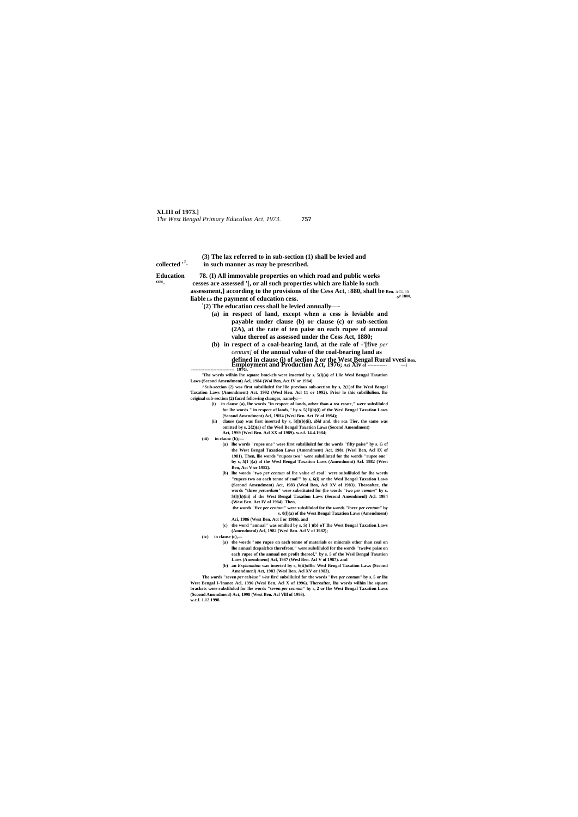#### **XLIII of 1973.]**

*The West Bengal Primary Educalion Act, 1973.* **757**

**Education 78. (I) All immovable properties on which road and public works - cesses are assessed '[, or all such properties which are liable lo such assessment,] according to the provisions of the Cess Act,** 1**880, shall be Ben.** ACL IX **liable Lo the payment of education cess.**  $\circ$ **r** 1880,

|              | (3) The lax referred to in sub-section (1) shall be levied and |
|--------------|----------------------------------------------------------------|
| collected "- | in such manner as may be prescribed.                           |

**ccss**

**: (2) The education cess shall be levied annually—-**

- **(a) in respect of land, except when a cess is leviable and payable under clause (b) or clause (c) or sub-section (2A), at the rate of ten paise on each rupee of annual value thereof as assessed under the Cess Act, 1880;**
- **(b) in respect of a coal-bearing land, at the rale of -'[five** *per centum]* **of the annual value of the coal-bearing land as defined in clause (i) of seclion 2 or the West Bengal Rural vvesi Ben. Employment and Production Act, 1976; Aci Xiv of ------------- —i ----------------------------- 197G.**

**'The words wilhin lhe square bmckcls were inserted by s. 5(l)(a) of Llie Wesl Bengal Taxation Laws (Sccond Amendment) Acl, 1984 (Woi Ben, Act IV or 1984).**

**^Sub-section (2) was first subslilulcd for llie previous sub-section hy s, 2(1)of lhe Wesl Bengal Taxation Laws (Amendment) Act. 1992 (Wesl Hen. Acl 11 or 1992). Prior lo this subslilulion. lhe original sub-section (2) faced following changes, namely:—**

- **(i) in clause (a), lhe words "in rcspcct of lands, other than a tea estate," were subslilulcd for lhe words " in rcspcct of lands," by s. 5( l)(b)(i) of the Wesl Bengal Taxation Laws (Sccond Amendment) Acl, 19H4 (Wesl Ben. Act IV of 19S4);**
- **(ii) clause (aa) was first inserted by s, 5(l)(b)(ii),** *ibid* **and. the rca Tier, the same was omitted by s. 2{2)(a) of the Wesl Bengal Taxation Laws (Second Amendment) Act, 19S9 (Wesl Ben. Acl XX of 1989). w.e.f. 14.4.1984;**

(iii) **in clausc** (b) $T$ —

- **(a) lhe words "rupee one" were first subslilulcd for the words "fifty paise" by s. G of the West Bengal Taxation Laws (Amendment) Act. 1981 (Wesl Ben. Acl IX of 1981). Then, llie words "rupees two" were subsliluted for the words "rupee one" by s, 5(1 )(a) of the Wesl Bengal Taxation Laws (Amendment) Acl. 1982 (West Ben, Act V or 1982).**
- **(b) lhe words "two** *per centum* **of lhe value of coal" were subslilulcd for lhe words "rupees two on each tonne of coal'" by s, 6(i) or the Wesl Bengal Taxation Laws (Sccond Amendment) Act, 1983 (Wesl Ben, Acl XV of 1983). Thereafter, the words "three** *percenlum"* **were substituted for (he words "two** *per cemam"* **by s. 5{l)(b)(iii) of the West Bengal Taxation Laws (Second Amendmenl) Acl. 1984 (West Ben. Act IV of 1984). Then,**

**the words "five** *per centum"* **were subslilulcd for the words "ihree** *per centum"* **by s. 0(l)(a) of the West Bengal Taxation Laws (Amendment) Aci, 1986 (West Ben. Act I or 1986). and**

**(c) the word "annual" was omilled by s. 5( I )(b} oT Ihe West Bengal Taxation Laws (Amendmenl) Acl, 1982 (Wesl Ben. Acl V of 1982);**

**(iv) in clause (c),—**

- **(a) the words "one rupee on each tonne of materials or minerals other than coal on lhe annual dcspalchcs therefrom," were subslilulcd for the words "twelve paise on each rupee of the annual net profit thereof," by s. 5 of the Wesl Bengal Taxation Laws (Amendment) Acl, 1987 (Wesl Ben. Acl V of 1987). and**
- **(b) an** *Explanation* **was inserted by s, 6(ii}oflhc Wesl Bengal Taxation Laws (Sccond Amendmenl) Act, 1983 (Wesl Ben. Acl XV or 1983).**

**The words "seven** *per celt/tun" v/ns* **firs! subslilulcd for the words "five** *per centum"* **by s. 5 or lhe West Bengal I-'inance Acl, 1996 (Wesl Ben. Acl X of 1996). Thereafter, lhe words wilhin lhe square brackets were subslilulcd for lhe words "seven** *per cenmm"* **hy s, 2 or Ihe West Bengal Taxation Laws (Sccond Amendmenl) Act, 1998 (West Ben. Acl Vlll of 1998).**

**w.c.f. 1.12.1998.**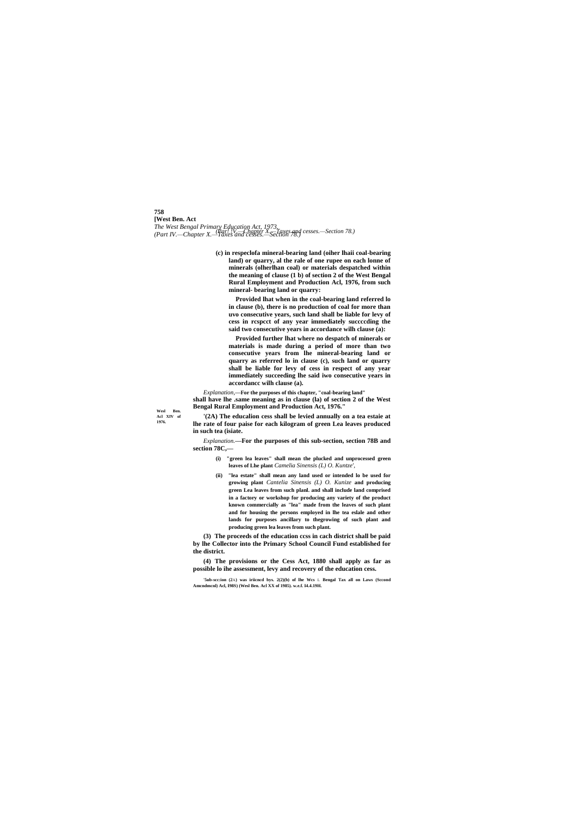# **758**

**[West Ben. Act** *The West Bengal Primary Education Act, 1973. (Part IV.—Chapter X.—Taxes and cesses.—Section 78.) (Par! !V.—Chapter X.—Taxes and cesses.—Section 78.)*

**Wesl Ben. Acl XIV of 1976.**

**(c) in respeclofa mineral-bearing land (oiher lhaii coal-bearing land) or quarry, al the rale of one rupee on each lonne of minerals (olherlhan coal) or materials despatched within the meaning of clause (1 b) of section 2 of the West Bengal Rural Employment and Production Acl, 1976, from such mineral- bearing land or quarry:**

**Provided lhat when in the coal-bearing land referred lo in clause (b), there is no production of coal for more than uvo consecutive years, such land shall be liable for levy of cess in rcspcct of any year immediately succccding the said two consecutive years in accordance wilh clause (a):**

**Provided further lhat where no despatch of minerals or materials is made during a period of more than two consecutive years from lhe mineral-bearing land or quarry as referred lo in clause (c), such land or quarry shall be liable for levy of cess in respect of any year immediately succeeding lhe said iwo consecutive years in accordancc wilh clause (a).**

*Explanation,***—For the purposes of this chapter, "coal-bearing land" shall have lhe .same meaning as in clause (la) of section 2 of the West Bengal Rural Employment and Production Act, 1976."**

**'(2A) The educalion cess shall be levied annually on a tea estaie at lhe rate of four paise for each kilogram of green Lea leaves produced in such tea (isiate.**

*Explanation.***—For the purposes of this sub-section, section 78B and section 78C,—**

- **(i) "green lea leaves" shall mean the plucked and unprocessed green leaves of Lhe plant** *Camelia Sinensis (L) O. Kuntze',*
- **(ii) "lea estate" shall mean any land used or intended lo be used for growing plant** *Cantelia Sinensis (L) O. Kunize* **and producing green Lea leaves from such planl. and shall include land comprised in a factory or workshop for producing any variety of the product known commercially as "lea" made from the leaves of such plant and for housing the persons employed in lhe tea eslale and other lands for purposes ancillary to thegrowing of such plant and producing green lea leaves from such plant.**

**(3) The proceeds of the education ccss in cach district shall be paid by lhe Collector into the Primary School Council Fund established for the district.**

**(4) The provisions or the Cess Act, 1880 shall apply as far as possible lo ihe assessment, levy and recovery of the education cess.**

**'5ub-scc:ion (2**A**) was iriicncd bys. 2(2)(b) of lhe Wcs** L **Bengal Tax all on Laws (Sccond Amcndmcnl) Acl, I98S) (Wesl Ben. Acl XX of 1985). w.e.f. I4.4.19H.**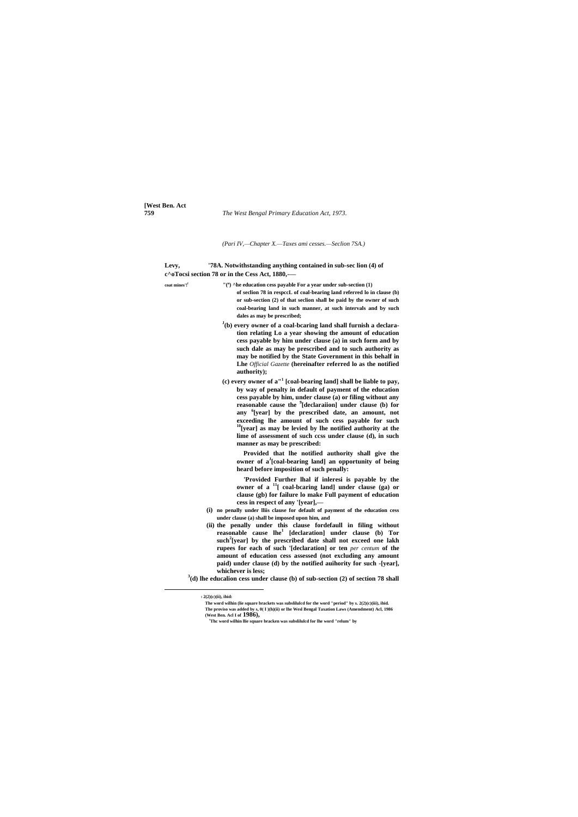**[West Ben. Act**

**759** *The West Bengal Primary Education Act, 1973.*

*(Pari IV,—Chapter X.—Taxes ami cesses.—Seclion 7SA.)*

| Levy, | '78A. Notwithstanding anything contained in sub-sec lion (4) of |
|-------|-----------------------------------------------------------------|
|       | $c^{\wedge}$ oTocsi section 78 or in the Cess Act, 1880,—       |

| coat mines'! <sup>f</sup> | $''$ ( <sup>a</sup> ) ^he education cess payable For a year under sub-section $(1)$                                                                                                                                                                                                                                                                                                                                                                                                                                                                                                                                                                                                                                                                                                                                    |
|---------------------------|------------------------------------------------------------------------------------------------------------------------------------------------------------------------------------------------------------------------------------------------------------------------------------------------------------------------------------------------------------------------------------------------------------------------------------------------------------------------------------------------------------------------------------------------------------------------------------------------------------------------------------------------------------------------------------------------------------------------------------------------------------------------------------------------------------------------|
|                           | of section 78 in respecL of coal-bearing land referred lo in clause (b)                                                                                                                                                                                                                                                                                                                                                                                                                                                                                                                                                                                                                                                                                                                                                |
|                           | or sub-section (2) of that seclion shall be paid by the owner of such                                                                                                                                                                                                                                                                                                                                                                                                                                                                                                                                                                                                                                                                                                                                                  |
|                           | coal-bearing land in such manner, at such intervals and by such<br>dales as may be prescribed;                                                                                                                                                                                                                                                                                                                                                                                                                                                                                                                                                                                                                                                                                                                         |
|                           | <sup>J</sup> (b) every owner of a coal-bcaring land shall furnish a declara-<br>tion relating Lo a year showing the amount of education<br>cess payable by him under clause (a) in such form and by<br>such dale as may be prescribed and to such authority as<br>may be notified by the State Government in this behalf in<br>Lhe Official Gazette (hereinafter referred lo as the notified<br>authority);                                                                                                                                                                                                                                                                                                                                                                                                            |
|                           | (c) every owner of $a''$ [coal-bearing land] shall be liable to pay,<br>by way of penalty in default of payment of the education<br>cess payable by him, under clause (a) or filing without any<br>reasonable cause the <sup>9</sup> [declaraiion] under clause (b) for<br>any '[year] by the prescribed date, an amount, not<br>exceeding lhe amount of such cess payable for such<br>$^{10}$ [year] as may be levied by lhe notified authority at the<br>lime of assessment of such ccss under clause (d), in such<br>manner as may be prescribed:                                                                                                                                                                                                                                                                   |
|                           | Provided that lhe notified authority shall give the<br>owner of a <sup>J</sup> [coal-bearing land] an opportunity of being<br>heard before imposition of such penally:                                                                                                                                                                                                                                                                                                                                                                                                                                                                                                                                                                                                                                                 |
|                           | 'Provided Further lhal if inleresi is payable by the<br>owner of a <sup>11</sup> [ coal-bcaring land] under clause (ga) or<br>clause (gb) for failure lo make Full payment of education<br>cess in respect of any '[year],—<br>(i) no penally under lliis clause for default of payment of the education cess<br>under clause (a) shall be imposed upon him, and<br>(ii) the penally under this clause fordefaull in filing without<br>reasonable cause lhe <sup>1</sup> [declaration] under clause (b) Tor<br>such <sup>2</sup> [year] by the prescribed date shall not exceed one lakh<br>rupees for each of such '[declaration] or ten per centum of the<br>amount of education cess assessed (not excluding any amount<br>paid) under clause (d) by the notified auihority for such -[year],<br>whichever is less; |
|                           | $3$ (d) lhe educalion cess under clause (b) of sub-section (2) of section 78 shall                                                                                                                                                                                                                                                                                                                                                                                                                                                                                                                                                                                                                                                                                                                                     |
|                           |                                                                                                                                                                                                                                                                                                                                                                                                                                                                                                                                                                                                                                                                                                                                                                                                                        |

**<sup>s</sup>Thc word wilhin llie square bracken was subslilulcd for lhe word "relum" by**

<sup>9</sup> **2(2)(c)(ii), ibid:**

**The word wilhin (lie square brackets was subslilulcd for the word "period" by s. 2(2)(c)(iii), ibid. The proviso was added by s, 0( I )(h)(ii) or lhe Wesl Bengal Taxation Laws (Amendment) Acl, 1986 (West Ben. Acl I of 1986),**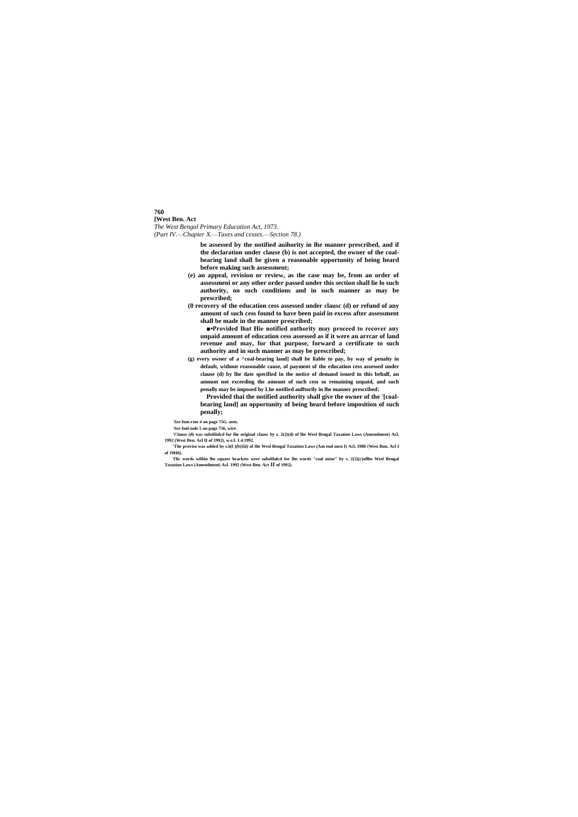**760 [West Ben. Act** *The West Bengal Primary Education Act, 1973. (Part IV.—Chapter X.—Taxes and cesses.—Section 78.)*

> **be assessed by the notified auihority in lhe manner prescribed, and if the declaration under clause (b) is not accepted, the owner of the coalbearing land shall be given a reasonable opportunity of being heard before making such assessment;**

- **(e) an appeal, revision or review, as the case may be, from an order of assessmeni or any other order passed under this section shall lie lo such authority, on such conditions and in such manner as may be prescribed;**
- **(0 recovery of the education cess assessed under clausc (d) or refund of any amount of such cess found to have been paid in excess after assessment shall be made in the manner prescribed;**

**■•Provided lhat Hie notified authority may proceed to recover any unpaid amount of education cess assessed as if it were an arrcar of land revenue and may, for that purpose, forward a certificate to such authority and in such manner as may be prescribed;**

**(g) every owner of a ^coal-bearing land] shall be liable to pay, by way of penalty in default, without reasonable cause, of payment of the education cess assessed under clause (d) by lhe date specified in the notice of demand issued in this behalf, an amount not exceeding the amount of such cess so remaining unpaid, and such penally may be imposed by Lhe notified aulftorily in lhe manner prescribed:**

**Provided thai the notified authority shall give the owner of the '[coalbearing land] an opportunity of being heard before imposition of such penally;**

*'See* **font-rote** *4* **on page 75G.** *ante,*

*'See* **fool-nole 5 on page 756, wire.**

**'Clause (d) was subslilulcd for lhe original clausc by s. 2(2)(d) of lhe Wesl Bengal Taxation Laws (Amendment) Acl, 1992 (West Ben. Acl II of 1992), w.e.f. 1.4.1992.**

**'The proviso was added by s.6(l )(b){iii) of lhe Wesl Bengal Taxation Laws (Am end men I) Acl, 1986 (Wesi Bun. Acl I of 19H6).**

**Tlic words wilhin lhe square brackets were subslilulcd for lhe words "coal mine" by s. 2(2)(c)oflhe Wesl Bengal Taxation Laws (Amendment) Acl. 1992 (West Ben. Act II of 1992).**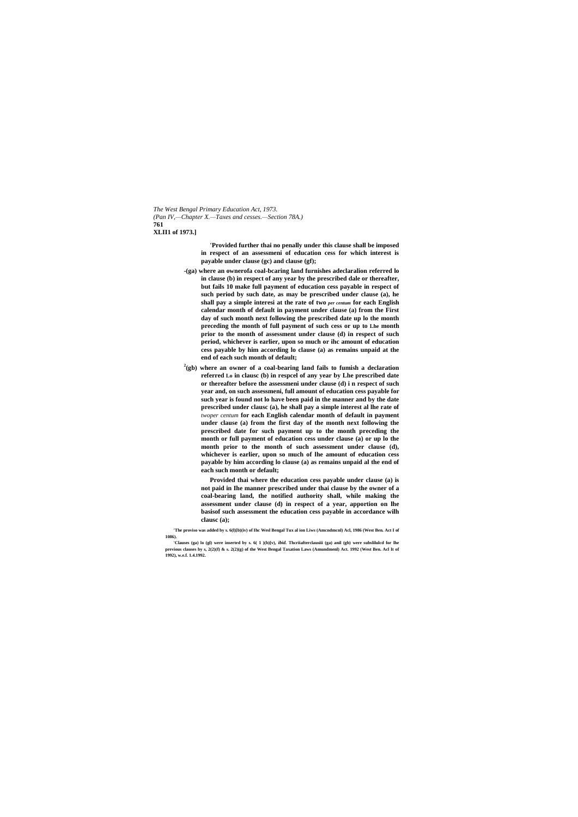*The West Bengal Primary Education Act, 1973. (Pan IV,—Chapter X.—Taxes and cesses.—Section 78A.)* **761 XLII1 of 1973.]**

> **'Provided further thai no penally under this clause shall be imposed in respect of an assessmeni of education cess for which interest is payable under clause (gc) and clause (gf);**

- **-(ga) where an ownerofa coal-bcaring land furnishes adeclaralion referred lo in clause (b) in respect of any year by the prescribed dale or thereafter, but fails 10 make full payment of education cess payable in respect of such period by such date, as may be prescribed under clause (a), he shall pay a simple interesi at the rate of two** *per centum* **for each English calendar month of default in payment under clause (a) from the First day of such month next following the prescribed date up lo the month preceding the month of full payment of such cess or up to Lhe month prior to the month of assessment under clause (d) in respect of such period, whichever is earlier, upon so much or ihc amount of education cess payable by him according lo clause (a) as remains unpaid at the end of each such month of default;**
- **2 (gb) where an owner of a coal-bearing land fails to fumish a declaration referred Lo in clausc (b) in respcel of any year by Lhe prescribed date or thereafter before the assessmeni under clause (d) i n respect of such year and, on such assessmeni, full amount of education cess payable for such year is found not lo have been paid in the manner and by the date prescribed under clausc (a), he shall pay a simple interest al lhe rate of**  *twoper centum* **for each English calendar month of default in payment under clause (a) from the first day of the month next following the prescribed date for such payment up to the month preceding the month or full payment of education cess under clause (a) or up lo the month prior to the month of such assessment under clause (d), whichever is earlier, upon so much of lhe amount of education cess payable by him according lo clause (a) as remains unpaid al the end of each such month or default;**

**Provided thai where the education cess payable under clause (a) is not paid in Ihe manner prescribed under thai clause by the owner of a coal-bearing land, the notified authority shall, while making the assessment under clause (d) in respect of a year, apportion on lhe basisof such assessment the education cess payable in accordance wilh clausc (a);**

**'The proviso was added by s. 6(l)[b)(iv) of Ihc Wesl Bengal Tux al ion Liws (Amcndmcnl) Acl, 1986 (West Ben. Act I of 1086).**

**<sup>&#</sup>x27;Clauses (ga) lo (gl) were inserted by s. 6( 1 )(b)[v),** *ibid.* **Thcriiafterclausiii (ga) anil (gb) were subslilulcd for lhe previous clauses by s, 2(2)(f) & s. 2(2)(g) of the West Bengal Taxation Laws (Amundmenl) Act. 1992 (West Ben. Acl It of 1992), w.e.f. 1.4.1992.**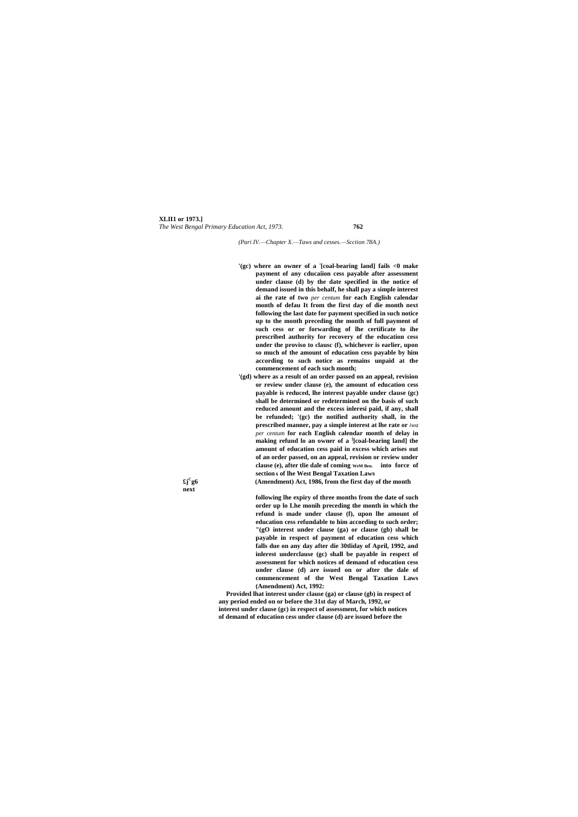#### **XLII1 or 1973.]** *The West Bengal Primary Education Act, 1973.* **762**

*(Pari IV.—Chapter X.—Taws and cesses.—Scction 78A.)*

- **'(gc) where an owner of a : [coal-bearing land] fails <0 make payment of any cducaiion cess payable after assessment under clause (d) by the date specified in the notice of demand issued in this behalf, he shall pay a simple interest ai the rate of two** *per centum* **for each English calendar month of defau It from the first day of die month next following the last date for payment specified in such notice up to the month preceding the month of full payment of such cess or or forwarding of lhe certificate to ihe prescribed authority for recovery of the education cess under the proviso to clausc (f), whichever is earlier, upon so much of the amount of education cess payable by him according to such notice as remains unpaid at the commencement of each such month;**
- **'(gd) where as a result of an order passed on an appeal, revision or review under clause (e), the amount of education cess payable is reduced, lhe interest payable under clause (gc) shall be determined or redetermined on the basis of such reduced amount and the excess inleresi paid, if any, shall be refunded; '(gc) the notified authority shall, in the prescribed manner, pay a simple interest at lhe rate or** *iwa per centum* **for each English calendar month of delay in making refund lo an owner of a ] [coal-bearing land] the amount of education cess paid in excess which arises out of an order passed, on an appeal, revision or review under clause (e), after tlie dale of coming WeM Ben. into force of section <sup>6</sup> of lhe West Bengal Taxation Laws**
	- **g6 (Amendment) Act, 1986, from the first day of the month**

**£j<sup>C</sup> next**

> **following lhe expiry of three months from the date of such order up lo Lhe monih preceding the month in which the refund is made under clause (f), upon lhe amount of education cess refundable to him according to such order; "(gO interest under clause (ga) or clause (gb) shall be payable in respect of payment of education cess which falls due on any day after die 30tliday of April, 1992, and inlerest underclause (gc) shall be payable in respect of assessment for which notices of demand of education cess under clause (d) are issued on or after the dale of commencement of the West Bengal Taxation Laws (Amendment) Act, 1992:**

**Provided lhat interest under clause (ga) or clause (gb) in respect of any period ended on or before the 31st day of March, 1992, or interest under clause (gc) in respect of assessment, for which notices of demand of education cess under clause (d) are issued before the**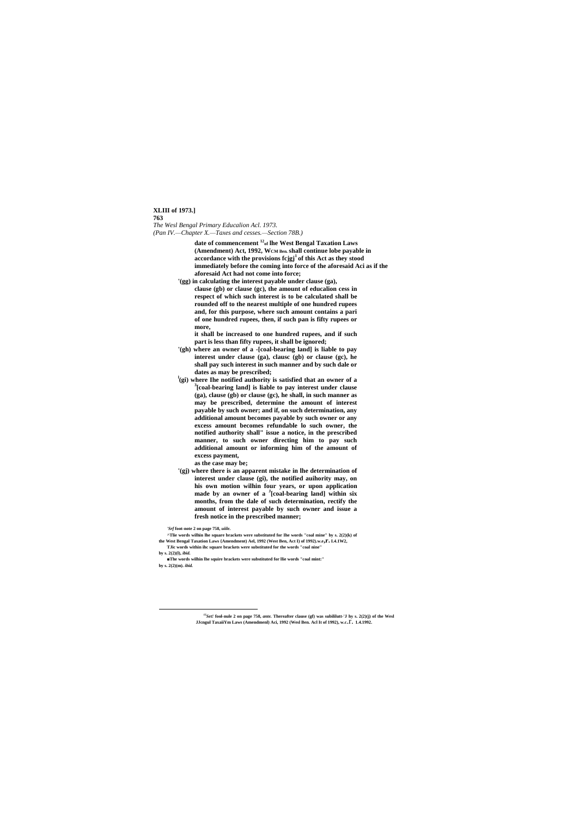#### **XLIII of 1973.] 763**

*The Wesl Bengal Primary Educalion Acl. 1973. (Pan IV.—Chapter X.—Taxes and cesses.—Section 78B.)*

> **date of commencement <sup>12</sup> of lhe West Bengal Taxation Laws (Amendment) Act, 1992, WCM Ben. shall continue lobe payable in accordance with the provisions fcjgj<sup>1</sup>of this Act as they stood immediately before the coming into force of the aforesaid Aci as if the aforesaid Act had not come into force;**

**'(gg) in calculating the interest payable under clause (ga), clause (gb) or clause (gc), the amount of educalion cess in respect of which such interest is to be calculated shall be rounded off to the nearest multiple of one hundred rupees and, for this purpose, where such amount contains a pari of one hundred rupees, then, if such pan is fifty rupees or more,**

**it shall be increased to one hundred rupees, and if such part is less than fifty rupees, it shall be ignored;**

- **'(gh) where an owner of a -[coal-bearing land] is liable to pay interest under clause (ga), clausc (gb) or clause (gc), he shall pay such interest in such manner and by such dale or dates as may be prescribed;**
- **l (gi) where Ihe notified authority is satisfied that an owner of a 3 [coal-bearing land] is liable to pay interest under clause (ga), clause (gb) or clause (gc), he shall, in such manner as may be prescribed, determine the amount of interest payable by such owner; and if, on such determination, any additional amount becomes payable by such owner or any excess amount becomes refundable lo such owner, the notified authority shall" issue a notice, in the prescribed manner, to such owner directing him to pay such additional amount or informing him of the amount of excess payment,**
	- **as the case may be;**
- **'(gj) where there is an apparent mistake in lhe determination of interest under clause (gi), the notified auihority may, on his own motion wilhin four years, or upon application made by an owner of a <sup>J</sup> [coal-bearing land] within six months, from the dale of such determination, rectify the amount of interest payable by such owner and issue a fresh notice in the prescribed manner;**

*'Srf* **foot-note 2 on page 758,** *uiile.*

<u>.</u>

- **^Tlie words wilhin lhe square brackets were substituted for Ihe words "coal mine" by s. 2(2)(k) of the West Bengal Taxation Laws {Amendment) Ael, 1992 (West Ben, Act I) of 1992).w.e,r. I.4.1W2,**
- **TJic words within ihc square brackets were substituted for the words "coal nine" by s. 2(2)(l),** *ibid.*
- **■The words wilhin lhe squire brackets were substituted for llie words "coal mint:" by s. 2(2)(m).** *ibid.*

JJcngul TaxaiiYm Laws (Amendmenl) Aci, 1992 (Wesl Ben. Acl It of 1992), w.c. $\Gamma$ . 1.4.1992.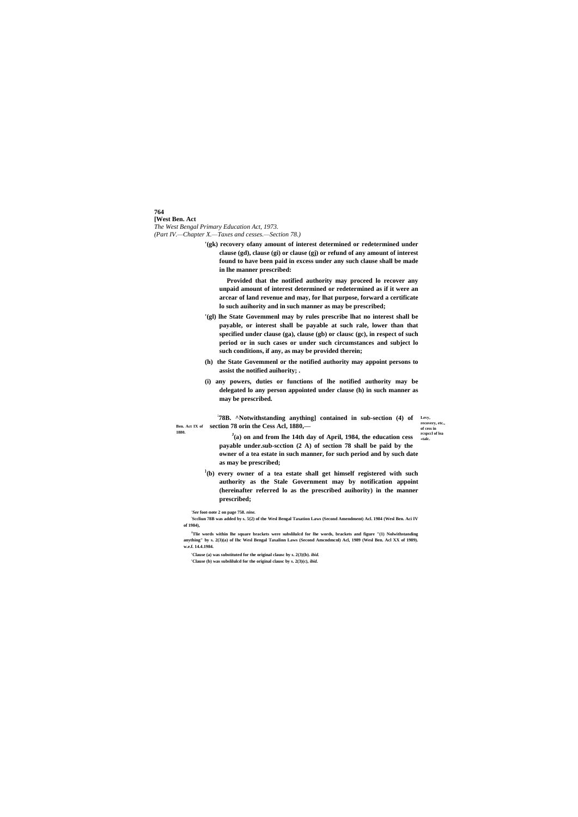## **764**

**[West Ben. Act** *The West Bengal Primary Education Act, 1973. (Part IV.—Chapter X.—Taxes and cesses.—Section 78.)*

> **78B.** ^Notwithstanding anything] contained in sub-section (4) of Levy, **Ben. Act IX of section 78 orin the Cess Acl, 1880,— 1880.**

**recovery, etc., of cess in rcspccl of lea «talc.**

**'(gk) recovery ofany amount of interest determined or redetermined under clause (gd), clause (gi) or clause (gj) or refund of any amount of interest found to have been paid in excess under any such clause shall be made in lhe manner prescribed:**

**Provided that the notified authority may proceed lo recover any unpaid amount of interest determined or redetermined as if it were an arcear of land revenue and may, for lhat purpose, forward a certificate lo such auihority and in such manner as may be prescribed;**

- **'(gl) lhe State Govemmenl may by rules prescribe lhat no interest shall be payable, or interest shall be payable at such rale, lower than that specified under clause (ga), clause (gb) or clausc (gc), in respect of such period or in such cases or under such circumstances and subject lo such conditions, if any, as may be provided therein;**
- **(h) the State Govemmenl or the notified authority may appoint persons to assist the notified auihority; .**
- **(i) any powers, duties or functions of lhe notified authority may be delegated lo any person appointed under clause (h) in such manner as may be prescribed.**

<sup>J</sup>Tlie words within lhe square brackets were subslilulcd for lhe words, brackets and figure "(1) Nolwithstanding **anything" by s. 2(3)(a) of Ihc Wesl Bengal Taxalinn Laws (Second Amcndmcnl) Acl, 1989 (Wesl Ben. Acl XX of 1989). w.e.f. 14.4.1984.**

**J (a) on and from lhe 14th day of April, 1984, the education cess payable under.sub-scction (2 A) of section 78 shall be paid by the owner of a tea estate in such manner, for such period and by such date as may be prescribed;**

**} (b) every owner of a tea estate shall get himself registered with such authority as the Stale Government may by notification appoint (hereinafter referred lo as the prescribed auihority) in the manner prescribed;**

*'See* **foot-note 2 on page 758.** *nine.*

**: Sccliun 78B was added by s. 5{2) of the Wesl Bengal Taxation Laws (Second Amendment) Acl. 1984 (Wesl Ben. Aci IV of 1984),**

**'Clause (a) was substituted for the original clausc by s. 2(3){b).** *ibid.*

**'Clause (b) was subslilulcd for the original clausc by s. 2(3)(c),** *ibid.*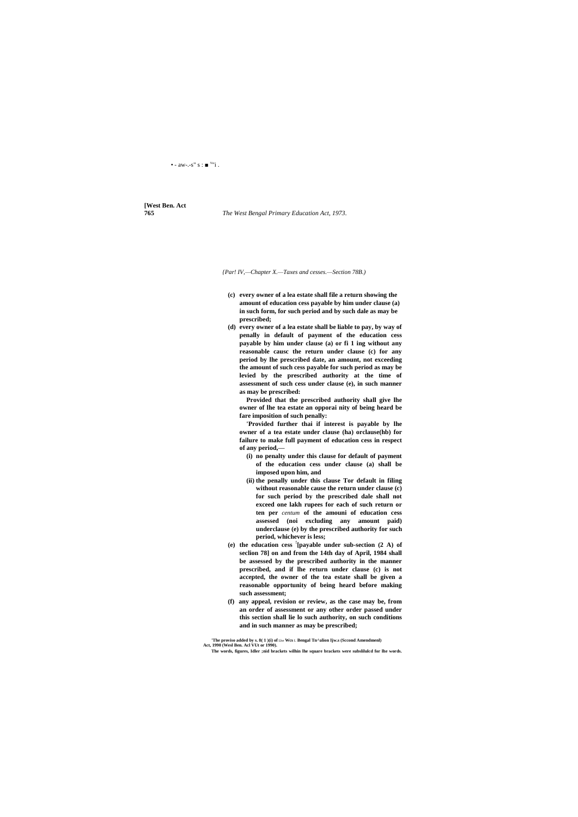#### • - aw-.-s" s :  $\blacksquare$ <sup>v</sup>"i.

# **[West Ben. Act**

#### **765** *The West Bengal Primary Education Act, 1973.*

*{Par! IV,—Chapter X.—Taxes and cesses.—Section 78B.)*

- **(c) every owner of a lea estate shall file a return showing the amount of education cess payable by him under clause (a) in such form, for such period and by such dale as may be prescribed;**
- **(d) every owner of a lea estate shall be liable to pay, by way of penally in default of payment of the education cess payable by him under clause (a) or fi 1 ing without any reasonable causc the return under clause (c) for any period by lhe prescribed date, an amount, not exceeding the amount of such cess payable for such period as may be levied by the prescribed authority at the time of assessment of such cess under clause (e), in such manner as may be prescribed:**

**Provided that the prescribed authority shall give lhe owner of lhe tea estate an opporai nity of being heard be fare imposition of such penally:**

**'Provided further thai if interest is payable by lhe owner of a tea estate under clause (ha) orclause(hb) for failure to make full payment of education cess in respect of any period,—**

- **(i) no penalty under this clause for default of payment of the education cess under clause (a) shall be imposed upon him, and**
- **(ii) the penally under this clause Tor default in filing without reasonable cause the return under clause (c) for such period by the prescribed dale shall not exceed one lakh rupees for each of such return or ten per** *centum* **of the amouni of education cess assessed (noi excluding any amount paid) underclause (e) by the prescribed authority for such period, whichever is less;**
- **(e) the education cess ! [payable under sub-section (2 A) of seclion 78] on and from the 14th day of April, 1984 shall be assessed by the prescribed authority in the manner prescribed, and if lhe return under clause (c) is not accepted, the owner of the tea estate shall be given a reasonable opportunity of being heard before making such assessment;**
- **(f) any appeal, revision or review, as the case may be, from an order of assessment or any other order passed under**

**this section shall lie lo such authority, on such conditions and in such manner as may be prescribed;**

**'The proviso added by s. 8( 1 )(i) of** Lhe **Wcs** L **Bengal Tn^alion Ijw.s (Sccond Amendmenl) Act, 1990 (Wesl Ben. Acl VUt or 1990).**

**The words, figures, Idler ;nid brackets wilhin lhe square brackets were subslilulcd for lhe words.**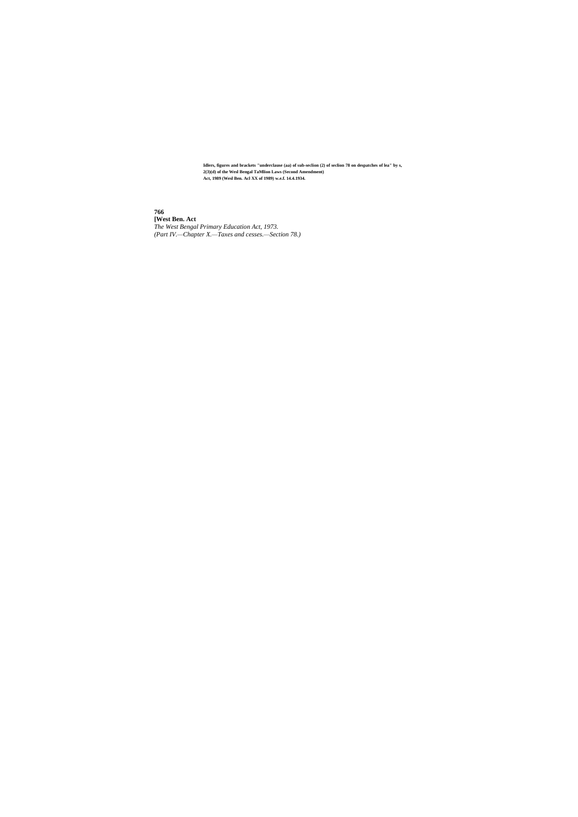**766**

**[West Ben. Act** *The West Bengal Primary Education Act, 1973. (Part IV.—Chapter X.—Taxes and cesses.—Section 78.)*

**Idlers, figures and brackets "underclause (aa) of sub-seclion (2) of seclion 78 on despatches of lea" by s, 2(3)(d) of the Wesl Bengal TaMlion Laws (Second Amendment) Act, 1989 (Wesl Ben. Acl XX of 1989) w.e.f. 14.4.1934.**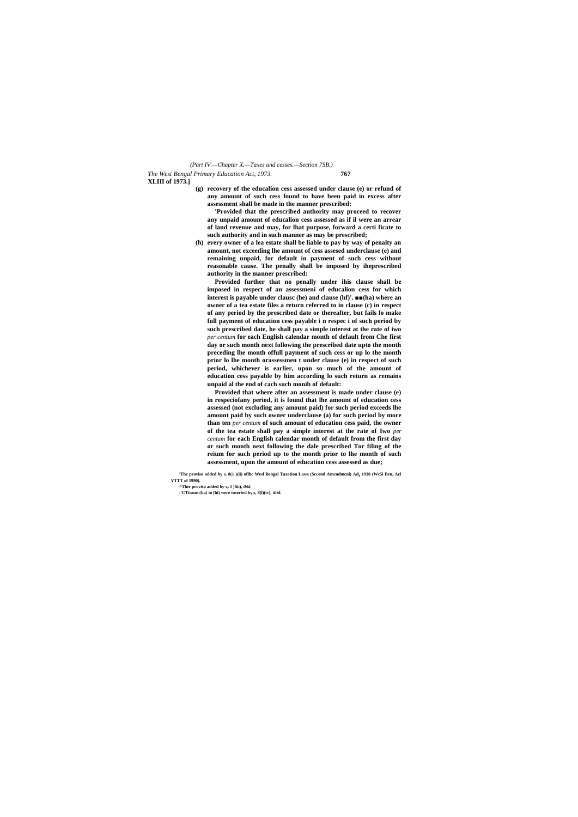*The West Bengal Primary Education Act, 1973.* **767 XLIII of 1973.]** *(Part IV.—Chapter X.—Taxes and cesses.—Section 7SB.)*

**(g) recovery of the educalion cess assessed under clause (e) or refund of any amount of such cess found to have been paid in excess after assessment shall be made in the manner prescribed:**

**'Provided that the prescribed authority may proceed to recover any unpaid amount of educalion cess assessed as if il were an arrear of land revenue and may, for lhat purpose, forward a certi ficate to such authority and in such manner as may be prescribed;**

**(h) every owner of a lea estate shall be liable to pay by way of penalty an amount, not exceeding lhe amount of cess assesed underclause (e) and remaining unpaid, for default in payment of such cess without reasonable cause. The penally shall be imposed by iheprescribed authority in the manner prescribed:**

**Provided further that no penally under ihis clause shall be imposed in respect of an assessmeni of educalion cess for which interest is payable under clausc (he) and clause (hf)'. ■■(ha) where an owner of a tea estate files a return referred to in clause (c) in respect of any period by the prescribed date or thereafter, but fails lo make full payment of education cess payable i n respec i of such period by such prescribed date, he shall pay a simple interest at the rate of iwo** *per centum* **for each English calendar month of default from Che first day or such month next following the prescribed date upto the month preceding lhe month offull payment of such cess or up lo the month prior lo lhe month orassessmen t under clause (e) in respect of such period, whichever is earlier, upon so much of the amount of education cess payable by him according lo such return as remains unpaid al the end of cach such monih of default:**

**Provided that where after an assessment is made under clause (e) in respeciofany period, it is found that lhe amount of education cess assessed (not excluding any amount paid) for such period exceeds lhe amount paid by such owner underclause (a) for such period by more than ten** *per centum* **of such amount of education cess paid, the owner of the tea estate shall pay a simple interest at the rate of Iwo** *per centum* **for each English calendar month of default from the first day or such month next following the dale prescribed Tor filing of the reium for such period up to the month prior to lhe month of such assessment, upon the amount of education cess assessed as due;**

**'The proviso added by s. 8(1 )(ii) oflhc Wesl Bengal Taxation Laws (Sccond Amcndmcnl) Ad<sup>h</sup> 1930 (Wc5i Ben, Acl VTTT of 1990).**

**-'CTiiusm (ha) to (hi) were inserted by s, 8(l)(iv),** *ibid.*

**<sup>^</sup>Thtr proviso added hy s<sup>P</sup> I )fiii),** *ibid.*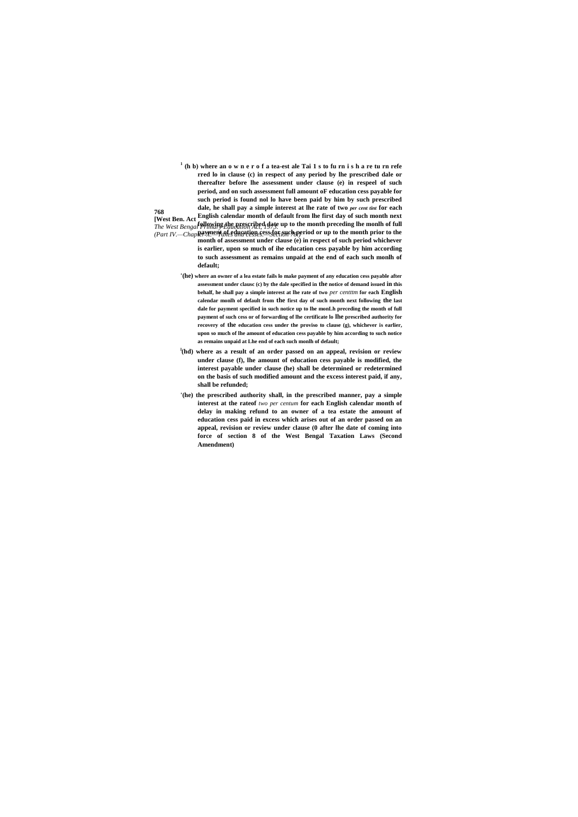**768 [West Ben. Act English calendar month of default from lhe first day of such month next**  *The West Bengal Primary Education Act, 1974.* up to the month preceding lhe monih of full  $The West Benga$  Primary Education Act, 1975. *(Part IV.—ChapPeryment of education cess for such operiod or up to the month prior to the* **1 (h b) where an o w n e r o f a tea-est ale Tai 1 s to fu rn i s h a re tu rn refe rred lo in clause (c) in respect of any period by lhe prescribed dale or thereafter before lhe assessment under clause (e) in respeel of such period, and on such assessment full amount oF education cess payable for such period is found nol lo have been paid by him by such prescribed dale, he shall pay a simple interest at lhe rate of two** *per cent tint* **for each month of assessment under clause (e) in respect of such period whichever is earlier, upon so much of ihe education cess payable by him according to such assessment as remains unpaid at the end of each such monlh of** 

**default;**

- **'(he) where an owner of a lea estate fails lo make payment of any education cess payable after assessment under clausc (c) by the dale specified in the notice of demand issued in this behalf, he shall pay a simple interest at lhe rate of two** *per centttm* **for each English calendar monlh of default from the first day of such month next following the last dale for payment specified in such notice up to lhe monLh preceding the month of full payment of such cess or of forwarding of lhe certificate lo lhe prescribed authority for recovery of the education cess under the proviso to clause (g), whichever is earlier, upon so much of lhe amount of education cess payable by him according to such notice as remains unpaid at Lhe end of each such monlh of default;**
- **l (hd) where as a result of an order passed on an appeal, revision or review under clause (f), lhe amount of education cess payable is modified, the interest payable under clause (he) shall be determined or redetermined on the basis of such modified amount and the excess interest paid, if any, shall be refunded;**
- **'(he) the prescribed authority shall, in the prescribed manner, pay a simple interest at the rateof** *two per centum* **for each English calendar month of delay in making refund to an owner of a tea estate the amount of education cess paid in excess which arises out of an order passed on an appeal, revision or review under clause (0 after lhe date of coming into force of section 8 of the West Bengal Taxation Laws (Second Amendment)**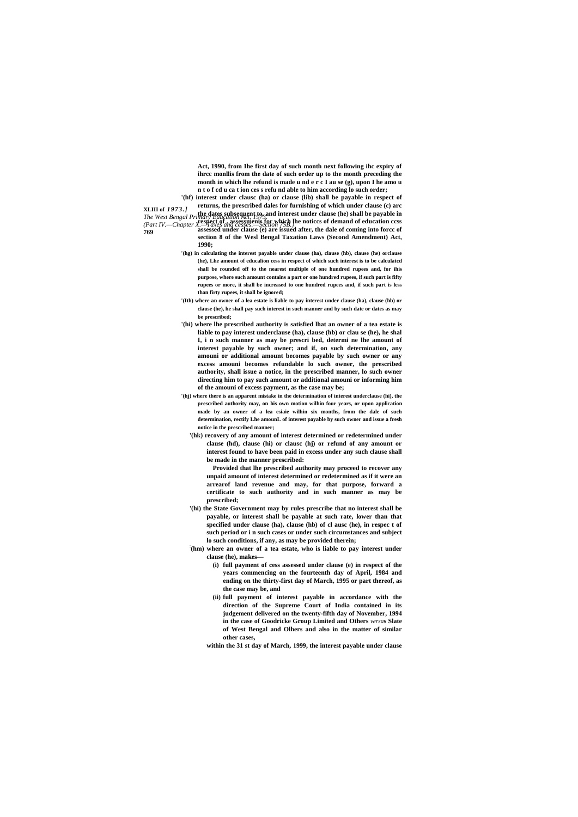**769**

**Act, 1990, from Ihe first day of such month next following ihc expiry of ihrcc monllis from the date of such order up to the month preceding the month in which lhe refund is made u nd e r c I au se (g), upon I he amo u n t o f cd u ca t ion ces s refu nd able to him according lo such order;**

**XLIII of** *1973.] The West Bengal Primary Education Act, 1973.* **the dates subsequent to, and interest under clause (he) shall be payable in**  *(Part IV.—Chapter X.—Taxes and cesses.—Section 7SB.}* **respect of . assessmenis for which lhe noticcs of demand of education ccss '(hf) interest under clausc (ha) or clause (lib) shall be payable in respect of returns, the prescribed dales for furnishing of which under clause (c) arc assessed under clause (e) are issued after, the dale of coming into forcc of section 8 of the Wesl Bengal Taxation Laws (Second Amendment) Act, 1990;**

- **'(hg) in calculating the interest payable under clause (ha), clause (hb), clause (he) orclause (he), Lhe amount of educalion cess in respect of which such interest is to be calculatcd shall be rounded off to the nearest multiple of one hundred rupees and, for ihis purpose, where such amount contains a part or one hundred rupees, if such part is fifty rupees or more, it shall be increased to one hundred rupees and, if such part is less than firty rupees, it shall be ignored;**
- **'(Ith) where an owner of a lea estate is liable to pay interest under clause (ha), clause (hb) or clause (he), he shall pay such interest in such manner and by such date or dates as may be prescribed;**
- **'(hi) where lhe prescribed authority is satisfied lhat an owner of a tea estate is liable to pay interest underclause (ha), clause (hb) or clau se (he), he shal I, i n such manner as may be prescri bed, determi ne lhe amount of interest payable by such owner; and if, on such determination, any amouni or additional amount becomes payable by such owner or any excess amouni becomes refundable lo such owner, the prescribed authority, shall issue a notice, in the prescribed manner, lo such owner directing him to pay such amount or additional amouni or informing him of the amouni of excess payment, as the case may be;**
- **'(hj) where there is an apparent mistake in the determination of interest underclause (hi), the prescribed authority may, on his own motion wilhin four years, or upon application made by an owner of a lea esiaie wilhin six months, from the dale of such determination, rectify Lhe amounL of interest payable by such owner and issue a fresh notice in the prescribed manner;**
	- **'(hk) recovery of any amount of interest determined or redetermined under clause (hd), clause (hi) or clausc (hj) or refund of any amount or interest found to have been paid in excess under any such clause shall be made in the manner prescribed:**

**Provided that lhe prescribed authority may proceed to recover any unpaid amount of interest determined or redetermined as if it were an arrearof land revenue and may, for that purpose, forward a certificate to such authority and in such manner as may be prescribed;**

- **'(hi) the State Government may by rules prescribe that no interest shall be payable, or interest shall be payable at such rate, lower than that specified under clause (ha), clause (hb) of cl ausc (he), in respec t of such period or i n such cases or under such circumstances and subject lo such conditions, if any, as may be provided therein;**
- **: (hm) where an owner of a tea estate, who is liable to pay interest under clause (he), makes—**
	- **(i) full payment of cess assessed under clause (e) in respect of the years commencing on the fourteenth day of April, 1984 and ending on the thirty-first day of March, 1995 or part thereof, as the case may be, and**
	- **(ii) full payment of interest payable in accordance with the direction of the Supreme Court of India contained in its judgement delivered on the twenty-fifth day of November, 1994**

**in the case of Goodricke Group Limited and Others** *versa***s Slate of West Bengal and Olhers and also in the matter of similar other cases,**

**within the 31 st day of March, 1999, the interest payable under clause**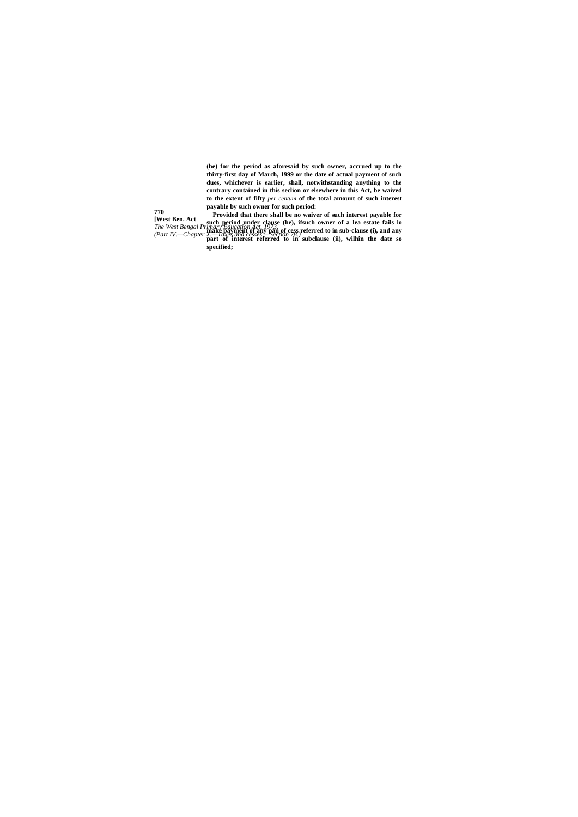**(he) for the period as aforesaid by such owner, accrued up to the thirty-first day of March, 1999 or the date of actual payment of such dues, whichever is earlier, shall, notwithstanding anything to the contrary contained in this seclion or elsewhere in this Act, be waived to the extent of fifty** *per centum* **of the total amount of such interest payable by such owner for such period:**

**770 [West Ben. Act** *The West Bengal Primary Education Act, 1973. (Part IV.—Chapter X.—Taxes and cesses.—Section 78.)* **Provided that there shall be no waiver of such interest payable for such period under clause (he), ifsuch owner of a lea estate fails lo make payment of any pan of cess referred to in sub-clause (i), and any part of interest referred to in subclause (ii), wilhin the date so specified;**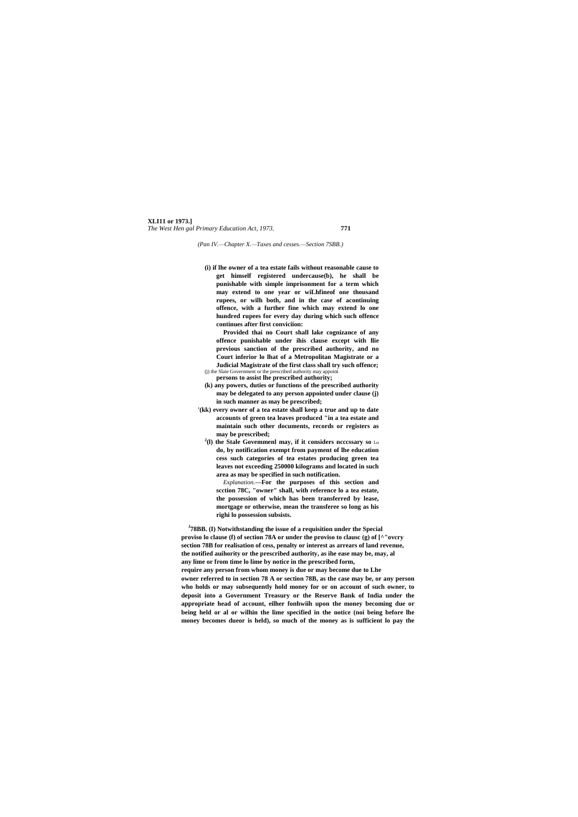#### **XLI11 or 1973.]** *The West Hen gal Primary Education Act, 1973.* **771**

*(Pan IV.—Chapter X.—Taxes and cesses.—Section 7SBB.)*

**(i) if lhe owner of a tea estate fails without reasonable cause to get himself registered undercause(b), he shall be punishable with simple imprisonment for a term which may extend to one year or wiLhfineof one thousand rupees, or wilh both, and in the case of acontinuing offence, with a further fine which may extend lo one hundred rupees for every day during which such offence continues after first conviciion:**

**Provided thai no Court shall lake cognizance of any offence punishable under ihis clause except with llie previous sanction of the prescribed authority, and no Court inferior lo lhat of a Metropolitan Magistrate or a Judicial Magistrate of the first class shall try such offence;** (j) the Slaie Government or the prescribed authority may appoint

- **persons to assist lhe prescribed authority; (k) any powers, duties or functions of the prescribed authority**
- **may be delegated to any person appointed under clause (j) in such manner as may be prescribed;**
- **'(kk) every owner of a tea estate shall keep a true and up to date accounts of green tea leaves produced "in a tea estate and maintain such other documents, records or registers as may be prescribed;**
	- **2 (l) the Stale Govemmenl may, if it considers ncccssary so** Lo **do, by notification exempt from payment of lhe education cess such categories of tea estates producing green tea leaves not exceeding 250000 kilograms and located in such area as may be specified in such notification.**

*Explanation.***—For the purposes of this section and scction 78C, "owner" shall, with reference lo a tea estate, the possession of which has been transferred by lease, mortgage or otherwise, mean the transferee so long as his righi lo possession subsists.**

**J 78BB. (I) Notwithstanding the issue of a requisition under the Special proviso lo clause (f) of section 78A or under the proviso to clausc (g) of [^"ovcry section 78B for realisation of cess, penalty or interest as arrears of land revenue, the notified auihority or the prescribed authority, as ihe ease may be, may, al any lime or from time lo lime by notice in the prescribed form, require any person from whom money is due or may become due to Lhe owner referred to in section 78 A or section 78B, as the case may be, or any person who holds or may subsequently hold money for or on account of such owner, to deposit into a Government Treasury or the Reserve Bank of India under the appropriate head of account, eilher fonhwiih upon the money becoming due or being held or al or wilhin the lime specified in the notice (noi being before lhe** 

**money becomes dueor is held), so much of the money as is sufficient lo pay the**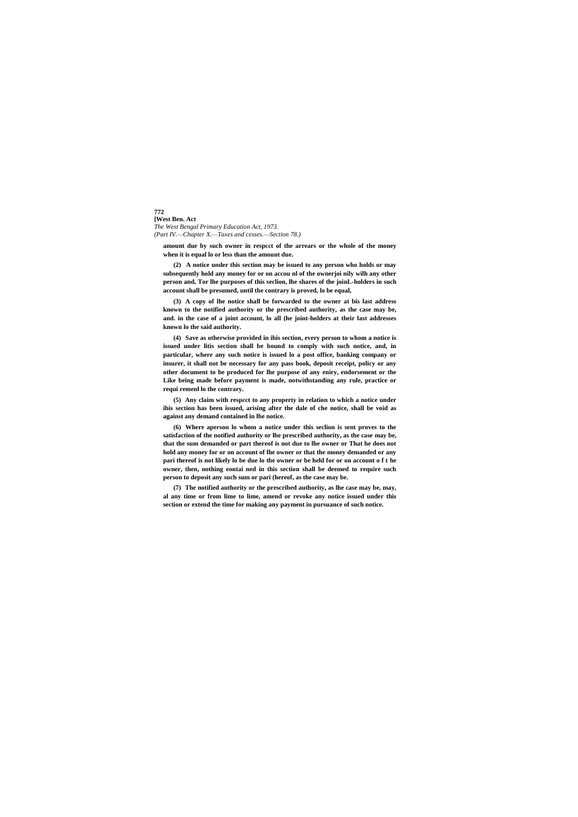**772 [West Ben. Act** *The West Bengal Primary Education Act, 1973. (Part IV.—Chapter X.—Taxes and cesses.—Section 78.)*

**amount due by such owner in respcct of the arrears or the whole of the money when it is equal lo or less than the amount due.**

**(2) A notice under this section may be issued to any person who holds or may subsequently hold any money for or on accou nl of the ownerjoi nily wilh any other person and, Tor lhe purposes of this seclion, lhe shares of the joinL-holders in such account shall be presumed, until the contrary is proved, lo be equal,**

**(3) A copy of lhe notice shall be forwarded to the owner at bis last address known to the notified authority or the prescribed authority, as the case may be, and. in the case of a joint account, lo all (he joint-holders at their last addresses known lo the said authority.**

**(4) Save as otherwise provided in ihis section, every person to whom a notice is issued under litis section shall be bound to comply with such notice, and, in particular, where any such notice is issued lo a post office, banking company or insurer, it shall not be necessary for any pass book, deposit receipt, policy or any other document to be produced for lhe purpose of any eniry, endorsement or the Like being made before payment is made, notwithstanding any rule, practice or requi remenl lo the contrary.**

**(5) Any claim with respcct to any property in relation to which a notice under ihis section has been issued, arising after the dale of che notice, shall be void as against any demand contained in lhe notice.**

**(6) Where aperson lo whom a notice under this seclion is sent proves to the satisfaction of the notified authority or lhe prescribed authority, as the case may be, that the sum demanded or part thereof is not due to lhe owner or That he does not hold any money for or on account of lhe owner or that the money demanded or any pari thereof is not likely lo be due lo the owner or be held for or on account o f t he owner, then, nothing eontai ned in this section shall be deemed to require such person to deposit any such sum or pari (hereof, as the case may be.**

**(7) The notified authority or the prescribed authority, as lhe case may be, may, al any time or from lime to lime, amend or revoke any notice issued under this section or extend the time for making any payment in pursuance of such notice.**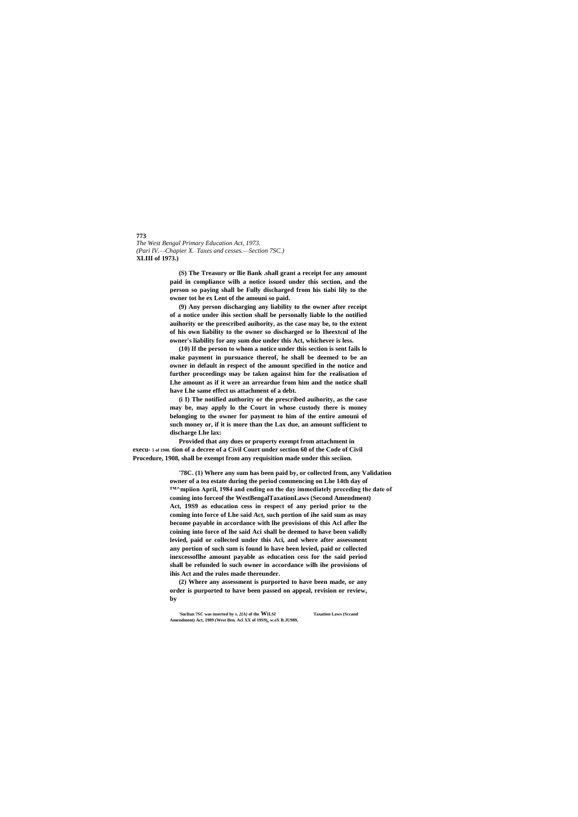**773** *The West Bengal Primary Education Act, 1973. (Pari IV.—Chapier X.*—*Taxes and cesses.—Section 7SC.)* **XLIII of 1973.)**

> **(S) The Treasury or llie Bank .shall grant a receipt for any amount paid in compliance wilh a notice issued under this section, and the person so paying shall be Fully discharged from his tiabi lily to the owner tot he ex Lent of the amouni so paid.**

> **(9) Any person discharging any liability to the owner after receipt of a notice under ihis section shall be personally liable lo the notified auihority or the prescribed auihority, as the case may be, to the extent of his own liability to the owner so discharged or lo Iheextcnl of lhe owner's liability for any sum due under this Act, whichever is less.**

> **(10) If the person to whom a notice under this section is sent fails lo make payment in pursuance thereof, he shall be deemed to be an owner in default in respect of the amount specified in the notice and further proceedings may be taken against him for the realisation of Lhe amount as if it were an arreardue from him and the notice shall have Lhe same effect us attachment of a debt.**

> **(i I) The notified authority or the prescribed auihority, as the case may be, may apply lo the Court in whose custody there is money belonging to the owner for payment to him of the entire amouni of such money or, if it is more than the Lax due, an amount sufficient to discharge Lhe lax:**

**Provided that any dues or property exempt from attachment in execu- 5 of 1908. tion of a decree of a Civil Court under section 60 of the Code of Civil Procedure, 1908, shall be exempt from any requisition made under this seciion.**

> **'78C. (1) Where any sum has been paid by, or collected from, any Validation owner of a tea estate during the period commencing on Lhe 14th day of ™^mpiion April, 1984 and ending on the day immediately preceding the date of coming into forceof the WestBengalTaxationLaws (Second Amendment) Act, 19S9 as education cess in respect of any period prior to the coming into force of Lhe said Act, such portion of ihe said sum as may become payable in accordance with lhe provisions of this Acl afler lhe coining into force of lhe said Aci shall be deemed to have been validly levied, paid or collected under this Aci, and where after assessment any portion of such sum is found lo have been levied, paid or collected inexcessoflhe amount payable as education cess for the said period shall be refunded lo such owner in accordance wilh ihe provisions of ihis Act and the rules made thereunder.**

**(2) Where any assessment is purported to have been made, or any order is purported to have been passed on appeal, revision or review, by**

**'Sucliun 7SC was inserted by s.** *2{A)* **of the WILSI Taxation Laws (Sccand**

**Amendment) Act, 1989 (West Ben. Acl XX of 19S9)<sup>h</sup> w.eX B.JU989,**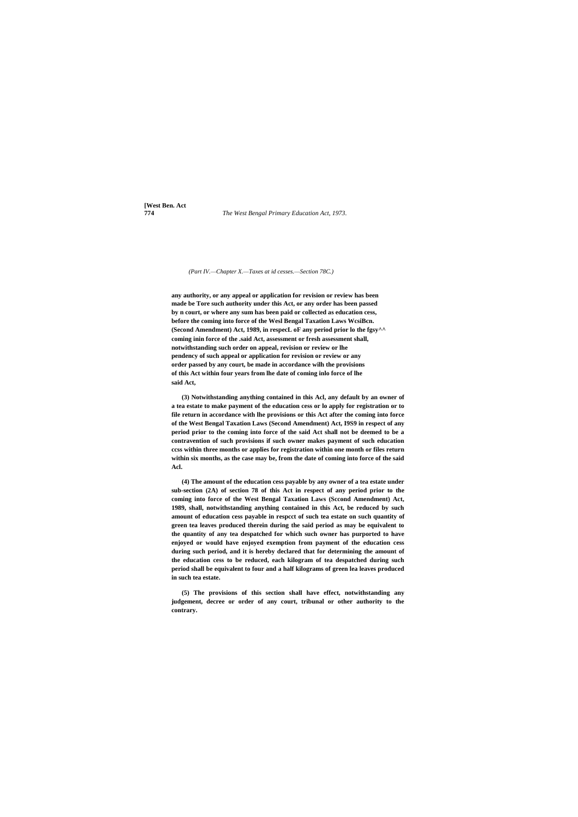**[West Ben. Act**

**774** *The West Bengal Primary Education Act, 1973.*

#### *(Part IV.—Chapter X.—Taxes at id cesses.—Section 78C.)*

**any authority, or any appeal or application for revision or review has been made be Tore such authority under this Act, or any order has been passed by n court, or where any sum has been paid or collected as education cess, before the coming into force of the Wesl Bengal Taxation Laws WcsiBcn. (Second Amendment) Act, 1989, in respecL oF any period prior lo the fgsy^^ coming inin force of the .said Act, assessment or fresh assessment shall, notwithstanding such order on appeal, revision or review or lhe pendency of such appeal or application for revision or review or any order passed by any court, be made in accordance wilh the provisions of this Act within four years from lhe date of coming inlo force of lhe said Act,**

**(3) Notwithstanding anything contained in this Acl, any default by an owner of a tea estate to make payment of the education cess or lo apply for registration or to file return in accordance with lhe provisions or this Act after the coming into force of the West Bengal Taxation Laws (Second Amendment) Act, I9S9 in respect of any period prior to the coming into force of the said Act shall not be deemed to be a contravention of such provisions if such owner makes payment of such education ccss within three months or applies for registration within one month or files return within six months, as the case may be, from the date of coming into force of the said Acl.**

**(4) The amount of the education cess payable by any owner of a tea estate under sub-section (2A) of section 78 of this Act in respect of any period prior to the coming into force of the West Bengal Taxation Laws (Sccond Amendment) Act, 1989, shall, notwithstanding anything contained in this Act, be reduced by such amount of education cess payable in respcct of such tea estate on such quantity of green tea leaves produced therein during the said period as may be equivalent to the quantity of any tea despatched for which such owner has purported to have enjoyed or would have enjoyed exemption from payment of the education cess during such period, and it is hereby declared that for determining the amount of the education cess to be reduced, each kilogram of tea despatched during such period shall be equivalent to four and a half kilograms of green lea leaves produced in such tea estate.**

**(5) The provisions of this section shall have effect, notwithstanding any judgement, decree or order of any court, tribunal or other authority to the contrary.**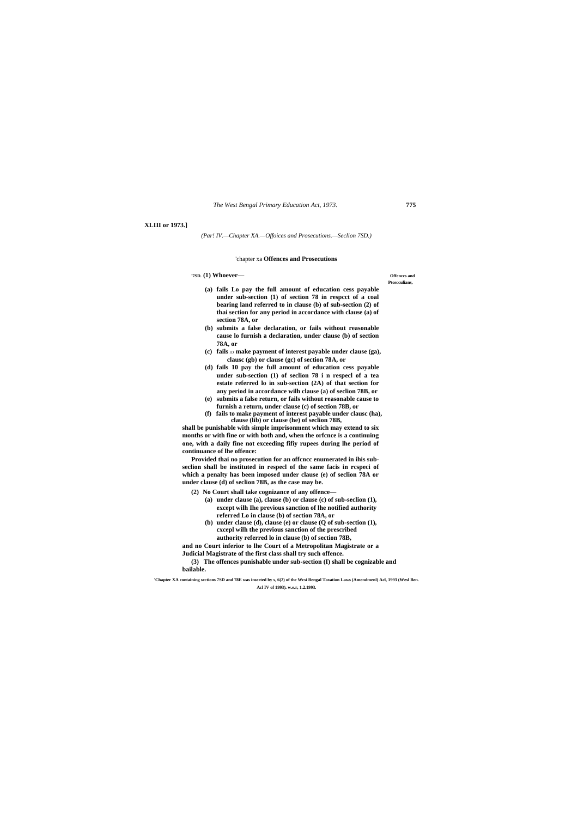### **XLIII or 1973.]**

*(Par! IV.—Chapter XA.—Offoices and Prosecutions.—Seclion 7SD.)*

#### 'chapter xa **Offences and Prosecutions**

#### **'7SD. (1) Whoever— Offcnccs and**

# **Ptoscculians,**

- **(a) fails Lo pay the full amount of education cess payable under sub-section (1) of section 78 in respcct of a coal bearing land referred to in clause (b) of sub-section (2) of thai section for any period in accordance with clause (a) of section 78A, or**
- **(b) submits a false declaration, or fails without reasonable cause lo furnish a declaration, under clause (b) of section 78A, or**
- **(c) fails** ID **make payment of interest payable under clause (ga), clausc (gb) or clause (gc) of section 78A, or**
- **(d) fails 10 pay the full amount of education cess payable under sub-section (1) of seclion 78 i n respecl of a tea estate referred lo in sub-section (2A) of that section for any period in accordance wilh clause (a) of seclion 78B, or**
- **(e) submits a false return, or fails without reasonable cause to furnish a return, under clause (c) of section 78B, or**
- **(f) fails to make payment of interest payable under clausc (ha), clause (lib) or clause (he) of seclion 78B,**

**shall be punishable with simple imprisonment which may extend to six months or with fine or with both and, when the orfcnce is a continuing one, with a daily fine not exceeding fifiy rupees during lhe period of continuance of lhe offence:**

**Provided thai no prosecution for an offcncc enumerated in ihis subseclion shall be instituted in respecl of the same facis in rcspeci of which a penalty has been imposed under clause (e) of seclion 78A or under clause (d) of seclion 78B, as the case may be.**

**(2) No Court shall take cognizance of any offence—**

- **(a) under clause (a), clause (b) or clause (c) of sub-seclion (1), except wilh Ihe previous sanction of lhe notified authority referred Lo in clause (b) of section 78A, or**
- **(b) under clause (d), clause (e) or clause (Q of sub-section (1), cxcepl wilh the previous sanction of the prescribed authority referred lo in clause (b) of section 78B,**

**and no Court inferior to lhe Court of a Metropolitan Magistrate or a Judicial Magistrate of the first class shall try such offence.**

**(3) The offences punishable under sub-section (I) shall be cognizable and bailable.**

**'Chapter XA containing sections 7SD and 78E was inserted by s, 6(2) of the Wcsi Bengal Taxation Laws (Amendmenl) Acl, 1993 (Wesl Ben. Acl IV of 1993). w.e.r, 1.2.1993.**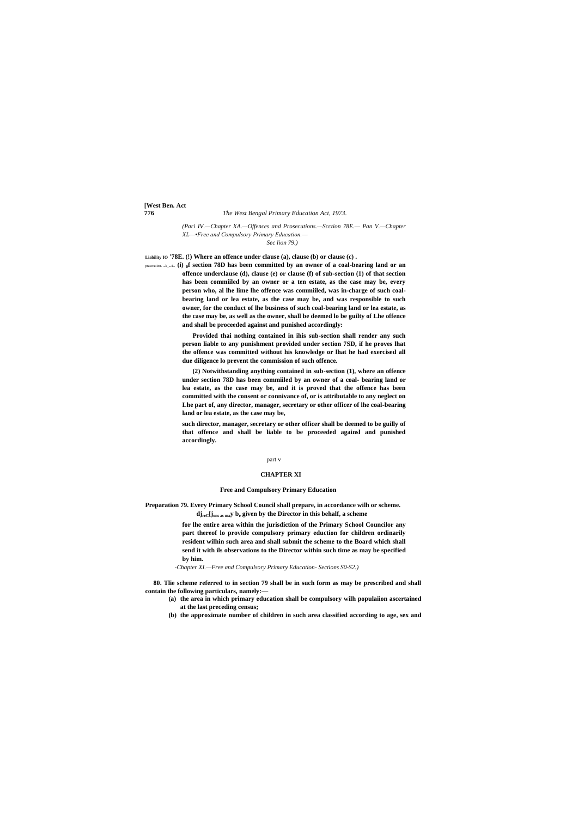**[West Ben. Act**

#### **776** *The West Bengal Primary Education Act, 1973.*

*(Pari IV.—Chapter XA.—Offences and Prosecutions.—Scction 78E.— Pan V.—Chapter XL—•Free and Compulsory Primary Education.—*

*Sec lion 79.)*

**Liability IO '78E. (!) Where an offence under clause (a), clause (b) or clause (c) .**

prasccuiion. suk\_seclion **(i) 0f section 78D has been committed by an owner of a coal-bearing land or an offence underclause (d), clause (e) or clause (f) of sub-section (1) of that section has been commiiled by an owner or a ten estate, as the case may be, every person who, al lhe lime lhe offence was commiiled, was in-charge of such coalbearing land or lea estate, as the case may be, and was responsible to such owner, for the conduct of lhe business of such coal-bearing land or lea estate, as the case may be, as well as the owner, shall be deemed lo be guilty of Lhe offence and shall be proceeded against and punished accordingly:**

> **Provided thai nothing contained in ihis sub-section shall render any such person liable to any punishment provided under section 7SD, if he proves lhat the offence was committed without his knowledge or lhat he had exercised all due diligence lo prevent the commission of such offence.**

> **(2) Notwithstanding anything contained in sub-section (1), where an offence under section 78D has been commiiled by an owner of a coal- bearing land or lea estate, as the case may be, and it is proved that the offence has been committed with the consent or connivance of, or is attributable to any neglect on Lhe part of, any director, manager, secretary or other officer of lhe coal-bearing land or lea estate, as the case may be,**

> **such director, manager, secretary or other officer shall be deemed to be guilly of that offence and shall be liable to be proceeded againsl and punished accordingly.**

#### part v

#### **CHAPTER XI**

## **Free and Compulsory Primary Education**

**Preparation 79. Every Primary School Council shall prepare, in accordance wilh or scheme. djreC[jons as may b<sup>e</sup> given by the Director in this behalf, a scheme**

> **for lhe entire area within the jurisdiction of the Primary School Councilor any part thereof lo provide compulsory primary eduction for children ordinarily resident wilhin such area and shall submit the scheme to the Board which shall send it with ils observations to the Director within such time as may be specified by him.**

*-Chapter XI.—Free and Compulsory Primary Education- Sections S0-S2.)*

**80. Tlie scheme referred to in section 79 shall be in such form as may be prescribed and shall contain the following particulars, namely:—**

- **(a) the area in which primary education shall be compulsory wilh populaiion ascertained at the last preceding census;**
	- **(b) the approximate number of children in such area classified according to age, sex and**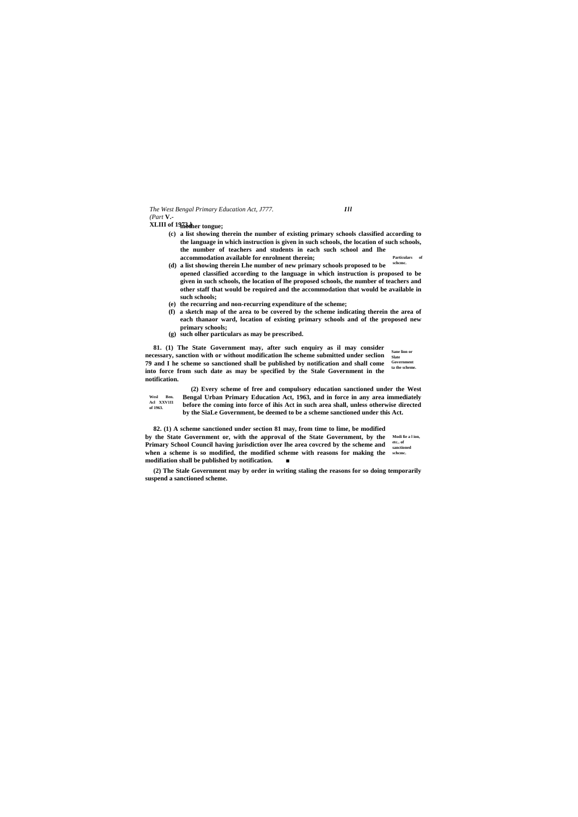*The West Bengal Primary Education Act, J777. Ill (Part* **V.-**

**XLIII of 1973.] mother tongue;**

- **Particulars of (c) a list showing therein the number of existing primary schools classified according to the language in which instruction is given in such schools, the location of such schools, the number of teachers and students in each such school and Ihe accommodation available for enrolment therein;**
- **schcmc. (d) a list showing therein Lhe number of new primary schools proposed to be opened classified according to the language in which instruction is proposed to be given in such schools, the location of lhe proposed schools, the number of teachers and other staff that would be required and the accommodation that would be available in such schools;**
- **(e) the recurring and non-recurring expenditure of the scheme;**
- **(f) a sketch map of the area to be covered by the scheme indicating therein the area of each thanaor ward, location of existing primary schools and of the proposed new primary schools;**
- **(g) such olher particulars as may be prescribed.**

**Sane lion or necessary, sanction with or without modification lhe scheme submitted under seclion** Slate **Government 79 and I he scheme so sanctioned shall be published by notification and shall come ta the scheme. 81. (1) The State Government may, after such enquiry as il may consider into force from such date as may be specified by the Stale Government in the notification.**

**Wesl Ben. Acl XXV1I1 of 1963. (2) Every scheme of free and compulsory education sanctioned under the West Bengal Urban Primary Education Act, 1963, and in force in any area immediately before the coming into force of ihis Act in such area shall, unless otherwise directed by the SiaLe Government, be deemed to be a scheme sanctioned under this Act.**

**Modi fie a l ion, etc.. of sanctioned schcmc. 82. (1) A scheme sanctioned under section 81 may, from time to lime, be modified by the State Government or, with the approval of the State Government, by the Primary School Council having jurisdiction over lhe area covcred by the scheme and when a scheme is so modified, the modified scheme with reasons for making the modifiation shall be published by notification. ■**

**(2) The Stale Government may by order in writing staling the reasons for so doing temporarily suspend a sanctioned scheme.**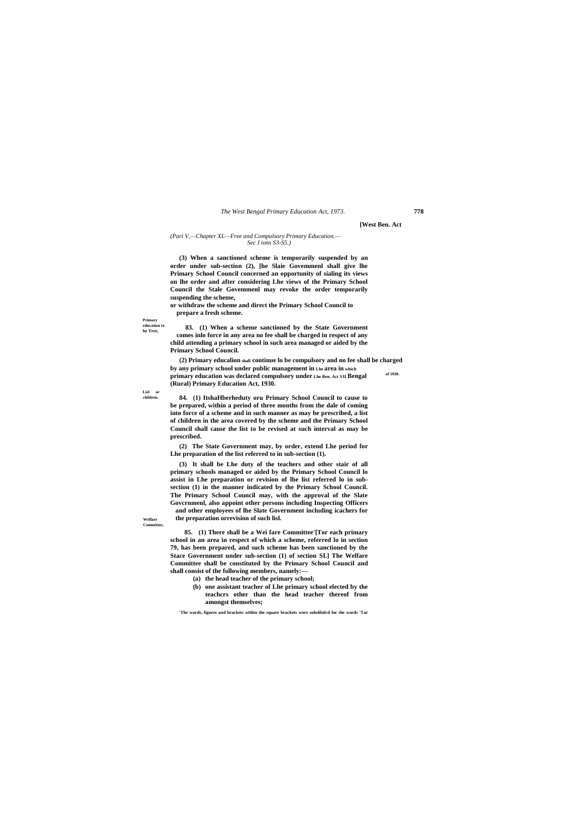**Primary education to be Tree,**

**Lisl or children.**

**Welfare Committee,**

#### **[West Ben. Act**

#### *(Pari V,—Chapter XL—Free and Compulsory Primary Education.— Sec I ions S3-S5.)*

**(3) When a sanctioned scheme is temporarily suspended by an order under sub-section (2), [he Slaie Govemmenl shall give lhe Primary School Council concerned an opportunity of sialing its views on lhe order and after considering Lhe views of the Primary School Council the Stale Govemmenl may revoke the order temporarily suspending the scheme,**

**of 1930. (2) Primary educalion shall continue lo be compulsory and no fee shall be charged by any primary school under public management in Lhe area in which primary education was declared compulsory under Lhe Ben. Act VII Bengal (Rural) Primary Education Act, 1930.**

**or withdraw the scheme and direct the Primary School Council to prepare a fresh scheme.**

**83. (1) When a scheme sanctioned by the State Government comes inlo force in any area no fee shall be charged in respect of any child attending a primary school in such area managed or aided by the Primary School Council.**

**84. (1) ItshaHberheduty oru Primary School Council to cause to be prepared, within a period of three months from the dale of coming into force of a scheme and in such manner as may be prescribed, a list of children in the area covered by the scheme and the Primary School Council shall cause the list to be revised at such interval as may be prescribed.**

**(2) The State Government may, by order, extend Lhe period for Lhe preparation of the list referred to in sub-section (1).**

**(3) It shall be Lhe duty of the teachers and other stair of all primary schools managed or aided by the Primary School Council lo assist in Lhe preparation or revision of lhe list referred lo in subsection (1) in the manner indicated by the Primary School Council. The Primary School Council may, with the approval of the Slate Govcrnmenl, also appoint other persons including Inspecting Officers and other employees of lhe Slate Government including icachers for the preparation orrevision of such lisl.**

**85. (1) There shall be a Wei fare Committee'[Tor each primary school in an area in respect of which a scheme, referred lo in section 79, has been prepared, and such scheme has been sanctioned by the Stace Government under sub-section (1) of section SI.] The Welfare Committee shall be constituted by the Primary School Council and shall consist of the following members, namely:—**

- **(a) the head teacher of the primary school;**
- **(b) one assistant teacher of Lhe primary school elected by the teachcrs other than the head teacher thereof from amongst themselves;**

**'The words, figures and brackets within the square brackets wore subslilulcd for the words 'Tar**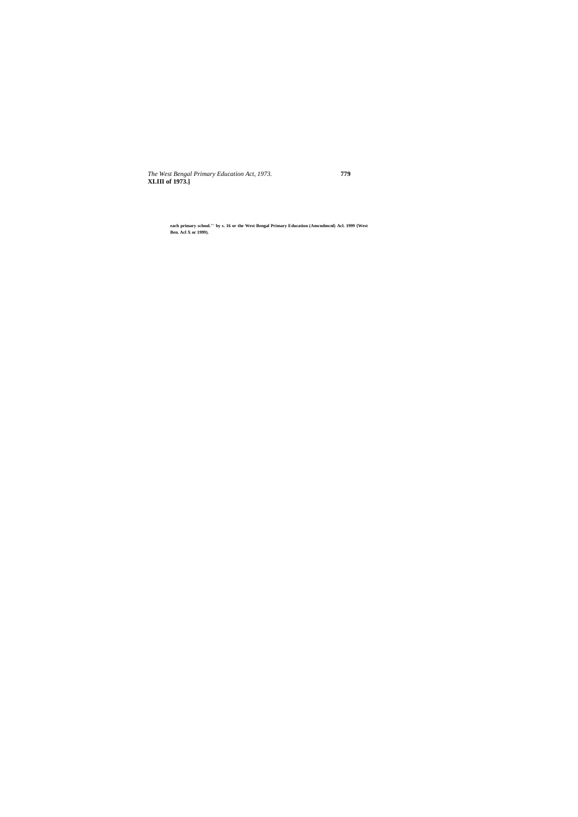*The West Bengal Primary Education Act, 1973.* **779 XLIII of 1973.]**

**each primary school."' by s. 16 or the West Bengal Primary Education (Amcndmcnl) Acl. 1999 {West Ben. Acl X or 1999).**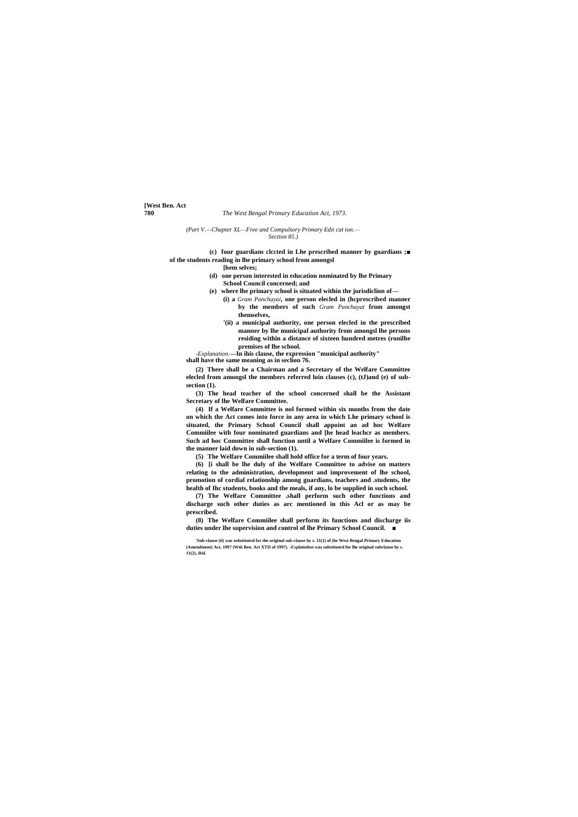**[West Ben. Act**

### **780** *The West Bengal Primary Education Act, 1973.*

*(Part V.—Chapter XL—Free and Compulsory Primary Edit cat ion.— Section 85.)*

**(c) four guardians clccted in Lhe prescribed manner by guardians ;■ of the students reading in lhe primary school from amongsl**

**[hem selves;**

- **(d) one person interested in education nominated by lhe Primary School Council concerned; and**
- **(e) where lhe primary school is situated within the jurisdiclion of—**
	- **(i) a** *Gram Panchayai***, one person elecled in (hcprescribed manner by the members of such** *Gram Panchayat* **from amongst themselves,**
	- **'(ii) a municipal authority, one person elecled in the prescribed manner by lhe municipal authority from amongsl lhe persons residing within a distance of sixteen hundred metres (ronilhe premises of lhe school.**

*-Explanation.***—In ihis clause, the expression "municipal authority" shall have the same meaning as in seclion 76.**

**(2) There shall be a Chairman and a Secretary of the Welfare Committee elecled from amongsl the members referred loin clauses (c), (tJ)and (e) of subsection (1).**

**(3) The head teacher of the school concerned shall be the Assistant Secretary of lhe Welfare Committee.**

**(4) If a Welfare Committee is nol formed within six months from the date on which the Act comes into force in any area in which Lhe primary school is situated, the Primary School Council shall appoint an ad hoc Welfare Commiilee with four nominated guardians and [he head leachcr as members. Such ad hoc Committee shall function until a Welfare Commiilee is formed in the manner laid down in sub-section (1).**

**(5) The Welfare Commiilee shall hold office for a term of four years.**

**(6) [i shall be lhe duly of ihe Welfare Committee to advise on matters relating to the administration, development and improvement of lhe school, promotion of cordial relationship among guardians, teachers and .students, the health of Ihc students, books and the meals, if any, lo be supplied in such school.**

**(7) The Welfare Committee .shall perform such other functions and discharge such other duties as arc mentioned in this Acl or as may be prescribed.**

**(8) The Welfare Commiilee shall perform its functions and discharge iis duties under lhe supervision and control of lhe Primary School Council. ■**

**<sup>&#</sup>x27;Sub-clause (ii) was substituted for the original sub-clause by s. 11(1) of (he West Bengal Primary Education (Amendment) Act, 1997 (Wtii Ben. Act XTII of 1997).** *-Explatialion* **was substituted for lhe original subclause by s. 11(2),** *ibid.*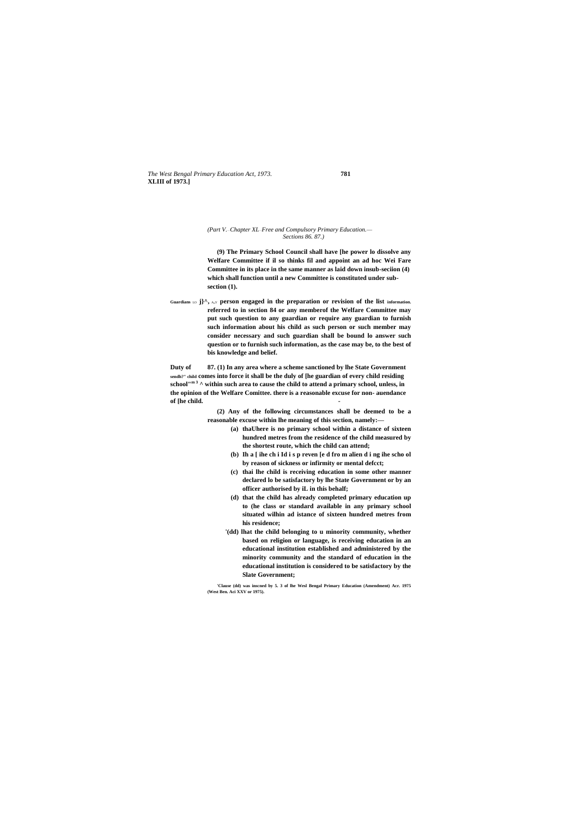*The West Bengal Primary Education Act, 1973.* **781 XLIII of 1973.]**

### *(Part V.*—*Chapter XL*—*Free and Compulsory Primary Education.— Sections 86. 87.)*

**(9) The Primary School Council shall have [he power lo dissolve any Welfare Committee if il so thinks fil and appoint an ad hoc Wei Fare Committee in its place in the same manner as laid down insub-seciion (4) which shall function until a new Committee is constituted under subsection (1).**

Guardians LO  $j$ <sup> $\wedge$ </sup>, ANY **person engaged in the preparation or revision of the list information. referred to in section 84 or any memberof the Welfare Committee may put such question to any guardian or require any guardian to furnish such information about his child as such person or such member may consider necessary and such guardian shall be bound lo answer such question or to furnish such information, as the case may be, to the best of bis knowledge and belief.**

**Duty of 87. (1) In any area where a scheme sanctioned by lhe State Government sendh?" child comes into force it shall be the duly of [he guardian of every child residing school"m 3 ^ within such area to cause the child to attend a primary school, unless, in the opinion of the Welfare Comittee. there is a reasonable excuse for non- auendance of [he child. -**

> **(2) Any of the following circumstances shall be deemed to be a reasonable excuse within lhe meaning of this section, namely:—**

- **(a) thaUhere is no primary school within a distance of sixteen hundred metres from the residence of the child measured by the shortest route, which the child can attend;**
- **(b) Ih a [ ihe ch i Id i s p reven [e d fro m alien d i ng ihe scho ol by reason of sickness or infirmity or mental defcct;**
- **(c) thai lhe child is receiving education in some other manner declared lo be satisfactory by lhe State Government or by an officer authorised by iL in this behalf;**
- **(d) that the child has already completed primary education up to (he class or standard available in any primary school situated wilhin ad istance of sixteen hundred metres from his residence;**
- **'(dd) lhat the child belonging to u minority community, whether based on religion or language, is receiving education in an educational institution established and administered by the minority community and the standard of education in the educational institution is considered to be satisfactory by the Slate Government;**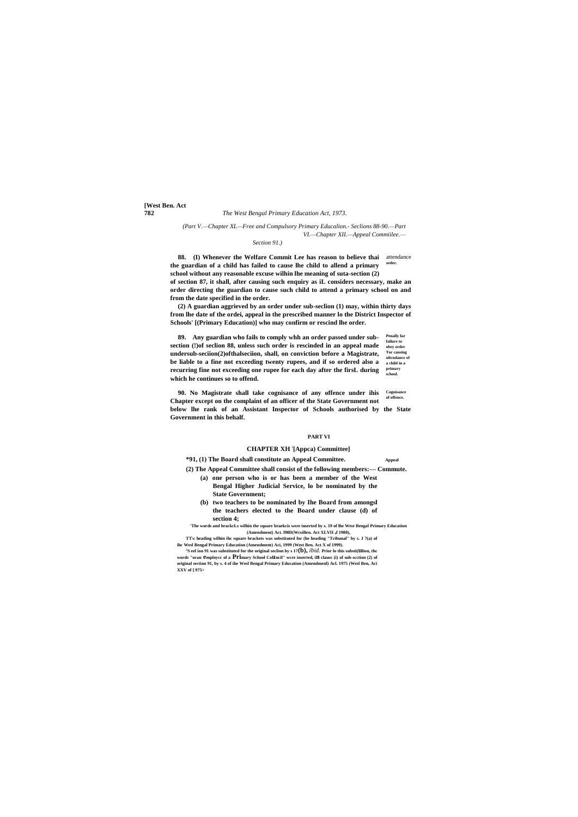**[West Ben. Act**

### **782** *The West Bengal Primary Education Act, 1973.*

*(Part V.—Chapter XL—Free and Compulsory Primary Educalion.- Seclions 88-90.—Part VI.—Chapter XII.—Appeal Commiilee.—*

#### *Section 91.)*

**88.** (I) Whenever the Welfare Commit Lee has reason to believe thai attendance **order. the guardian of a child has failed to cause lhe child to allend a primary school without any reasonable excuse wilhin lhe meaning of suta-section (2) of section 87, it shall, after causing such enquiry as iL considers necessary, make an order directing the guardian to cause such child to attend a primary school on and from the date specified in the order.**

**Penally far failure to obey order Tor causing ultcndance of a child in a primary school. 89. Any guardian who fails to comply whh an order passed under subsection (!)of seclion 88, unless such order is rescinded in an appeal made undersub-seciion(2)ofthalseciion, shall, on conviction before a Magistrate, be liable to a fine not exceeding twenty rupees, and if so ordered also a recurring fine not exceeding one rupee for each day after the firsL during which he continues so to offend.**

**(2) A guardian aggrieved by an order under sub-seclion (1) may, within thirty days from lhe date of the ordei, appeal in the prescribed manner lo the District Inspector of Schools' [(Primary Education)] who may confirm or rescind lhe order.**

**Cognisance of offence. 90. No Magistrate shall take cognisance of any offence under ihis Chapter except on the complaint of an officer of the State Government not below lhe rank of an Assistant Inspector of Schools authorised by the State Government in this behalf.**

**'The words and brackcLs wilhin the square braekcis were inserted by s. 19 of lhe West Bengal Primary Education**  (Amendment) Act. 198D(WcsiBen. Act XLVII <sup>0</sup><sup>f</sup> 1980),

 $^{\text{\tiny{\text{J}}}}$ S eel ion 91 was substituted for the original seclion by s 17 $(\bf b),$   $ibid.$  Prior lo this substi $(\bf u$ lion, the **words "oran employcc of a Primary School Council" wcre inserted, in clausc (i) of sub-scction (2) of original section 91, by s. 4 of ihe Wesl Bengal Primary Education (Amendmenl) Acl. 1975 (Wesl Ben, Aci XXV of ] 975>**

#### **PART VI**

## **CHAPTER XH ; [Appca) Committee]**

**\*91, (1) The Board shall constitute an Appeal Committee.** Appeal

**(2) The Appeal Committee shall consist of the following members:— Commute.**

- **(a) one person who is or has been a member of the West Bengal Higher Judicial Service, lo be nominated by the State Government;**
- **(b) two teachers to be nominated by Ihe Board from amongsl the teachers elected to the Board under clause (d) of section 4;**

**TT\c heading wilhin ihc square brackets was substituted for (he heading "Tribunal" by s. J 7(a) of ihc Wesl Bengal Primary Education (Amendment) Aci, 1999 (West Ben. Act X of 1999).**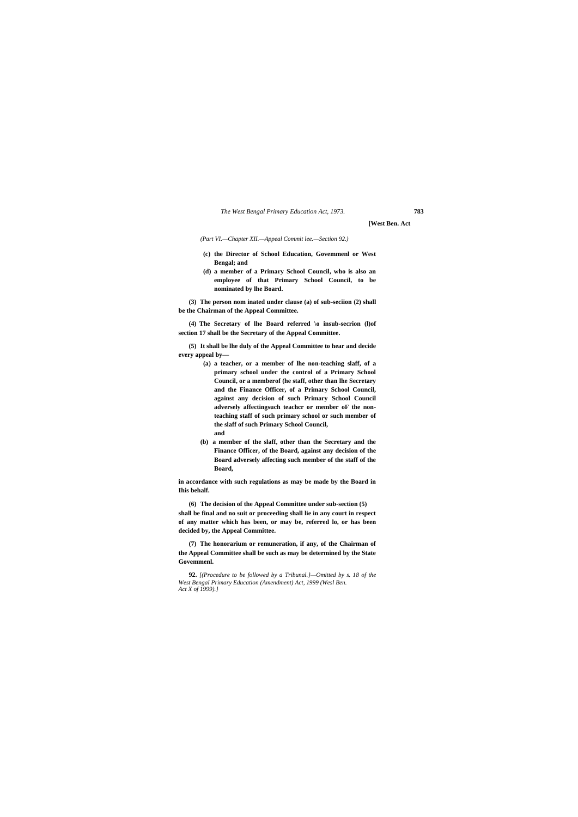**[West Ben. Act**

*(Part VI.—Chapter XII.—Appeal Commit lee.—Section 92.)*

- **(c) the Director of School Education, Govemmenl or West Bengal; and**
- **(d) a member of a Primary School Council, who is also an employee of that Primary School Council, to be nominated by lhe Board.**

**(3) The person nom inated under clause (a) of sub-seciion (2) shall be the Chairman of the Appeal Committee.**

**(4) The Secretary of lhe Board referred \o insub-secrion (l)of section 17 shall be the Secretary of the Appeal Committee.**

**(5) It shall be lhe duly of the Appeal Committee to hear and decide every appeal by—**

- **(a) a teacher, or a member of lhe non-teaching slaff, of a primary school under the control of a Primary School Council, or a memberof (he staff, other than lhe Secretary and the Finance Officer, of a Primary School Council, against any decision of such Primary School Council adversely affectingsuch teachcr or member oF the nonteaching staff of such primary school or such member of the slaff of such Primary School Council, and**
- **(b) a member of the slaff, other than the Secretary and the Finance Officer, of the Board, against any decision of the Board adversely affecting such member of the staff of the Board,**

**in accordance with such regulations as may be made by the Board in Ihis behalf.**

**(6) The decision of the Appeal Committee under sub-section (5) shall be final and no suit or proceeding shall lie in any court in respect of any matter which has been, or may be, referred lo, or has been decided by, the Appeal Committee.**

**(7) The honorarium or remuneration, if any, of the Chairman of the Appeal Committee shall be such as may be determined by the State Govemmenl.**

**92.** *[(Procedure to be followed by a Tribunal.}—Omitted by s. 18 of the West Bengal Primary Education (Amendment) Act, 1999 (Wesl Ben. Act X of 1999).}*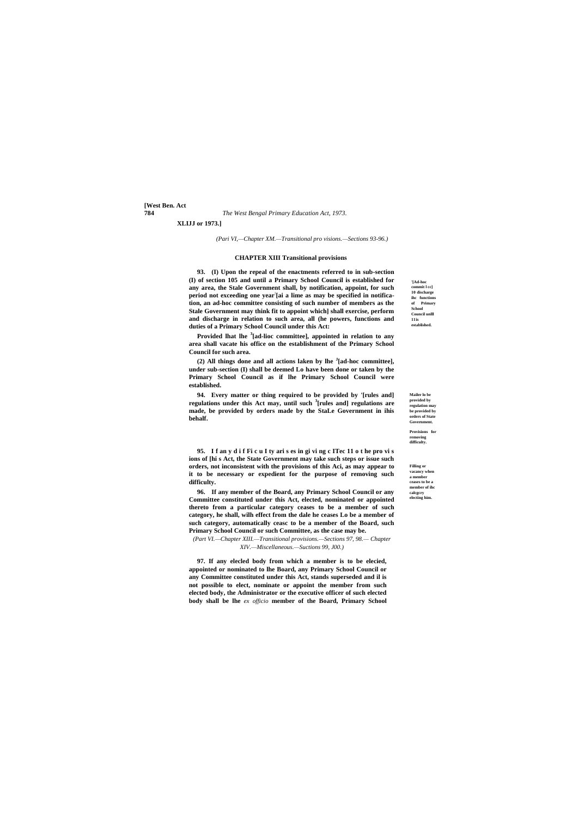**[West Ben. Act**

### **784** *The West Bengal Primary Education Act, 1973.*

**'[Ad-hoc commit l cc] 10 discharge ihc functions of Primary School Council unlll 11is established.**

**Mailer lo be provided by regulation may be provided by orders of State Government.**

**Provisions for removing difficulty.**

**Filling or vacancy when a member ceases to be a member of ihc calcgcry electing him.**

**XLIJJ or 1973.]**

*(Pari VI,—Chapter XM.—Transitional pro visions.—Sections 93-96.)*

# **CHAPTER XIII Transitional provisions**

**93. (I) Upon the repeal of the enactments referred to in sub-section (I) of section 105 and until a Primary School Council is established for any area, the Stale Government shall, by notification, appoint, for such period not exceeding one year: [ai a lime as may be specified in notification, an ad-hoc committee consisting of such number of members as the Stale Government may think fit to appoint which] shall exercise, perform and discharge in relation to such area, all (he powers, functions and duties of a Primary School Council under this Act:**

**Provided lhat lhe <sup>3</sup> [ad-lioc committee], appointed in relation to any area shall vacate his office on the establishment of the Primary School Council for such area.**

**(2) All things done and all actions laken by lhe <sup>J</sup> [ad-hoc committee], under sub-section (I) shall be deemed Lo have been done or taken by the Primary School Council as if lhe Primary School Council were established.**

**94. Every matter or thing required to be provided by '[rules and] regulations under this Act may, until such <sup>3</sup> [rules and] regulations are made, be provided by orders made by the StaLe Government in ihis behalf.**

**95. I f an y d i f Fi c u I ty ari s es in gi vi ng c ITec 11 o t he pro vi s ions of [hi s Act, the State Government may take such steps or issue such orders, not inconsistent with the provisions of this Aci, as may appear to it to be necessary or expedient for the purpose of removing such difficulty.**

**96. If any member of the Board, any Primary School Council or any Committee constituted under this Act, elected, nominated or appointed thereto from a particular category ceases to be a member of such category, he shall, wilh effect from the dale he ceases Lo be a member of such category, automatically ceasc to be a member of the Board, such Primary School Council or such Committee, as the case may be.**

*(Part VI.—Chapter XIII.—Transitional provisions.—Sections 97, 98.— Chapter XIV.—Miscellaneous.—Suctions 99, J00.)*

**97. If any elecled body from which a member is to be elecied, appointed or nominated to lhe Board, any Primary School Council or any Committee constituted under this Act, stands superseded and il is not possible to elect, nominate or appoint the member from such elected body, the Administrator or the executive officer of such elected body shall be lhe** *ex officio* **member of the Board, Primary School**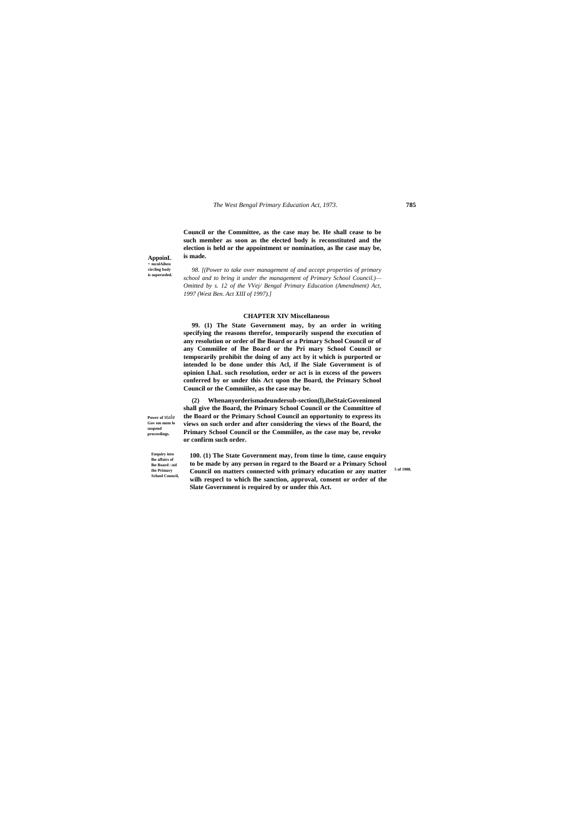**AppoinL - mcnlAihen circling body is superseded.**

**Power of** stale **Gov em mem lo suspend proceedings.**

> **Enquiry into lhe affairs of lhe Board □nd ihe Primary School Council,**

**5 of 1908.**

**Council or the Committee, as the case may be. He shall cease to be such member as soon as the elected body is reconstituted and the election is held or the appointment or nomination, as lhe case may be, is made.**

*98. [(Power to take over management of and accept properties of primary school and to bring it under the management of Primary School Council.)— Omitted by s. 12 of the VVej/ Bengal Primary Education (Amendment) Act, 1997 (West Ben. Act XIII of 1997).]*

### **CHAPTER XIV Miscellaneous**

**99. (1) The State Government may, by an order in writing specifying the reasons therefor, temporarily suspend the execution of any resolution or order of lhe Board or a Primary School Council or of any Commiilee of lhe Board or the Pri mary School Council or temporarily prohibit the doing of any act by it which is purported or intended lo be done under this Acl, if lhe Siale Government is of opinion LhaL such resolution, order or act is in excess of the powers conferred by or under this Act upon the Board, the Primary School Council or the Commiilee, as the case may be.**

**(2) Whenanyorderismadeundersub-section(l),iheStaicGovenimenl shall give the Board, the Primary School Council or the Committee of the Board or the Primary School Council an opportunity to express its views on such order and after considering the views of the Board, the Primary School Council or the Commiilee, as the case may be, revoke or confirm such order.**

**100. (1) The State Government may, from time lo time, cause enquiry to be made by any person in regard to the Board or a Primary School Council on matters connected with primary education or any matter wilh respecl to which lhe sanction, approval, consent or order of the Slate Government is required by or under this Act.**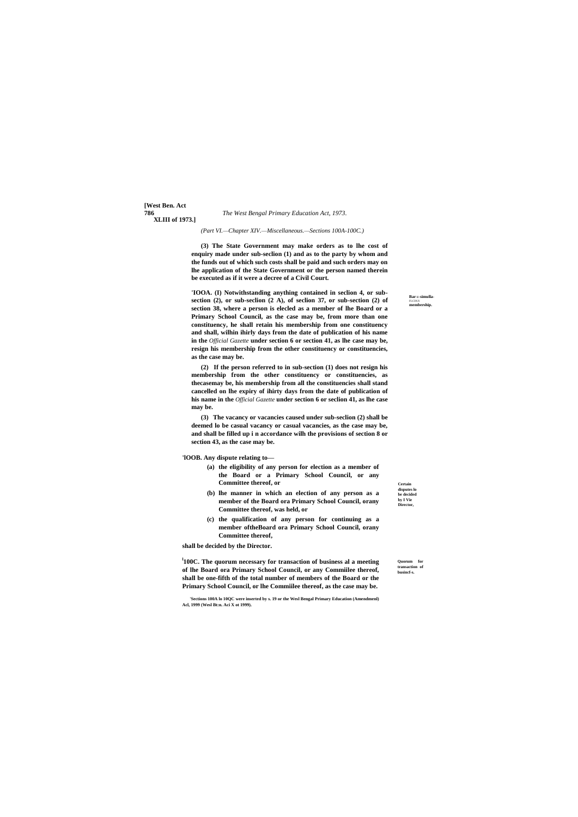**Bar** ID **simulla-**FLCDUS **membership.**

**[West Ben. Act XLIII of 1973.]**

> **Certain disputes lo be decided by I Vie Director,**

**Quorum for transaction of busincf-s.**

*(Part VI.—Chapter XIV.—Miscellaneous.—Sections 100A-100C.)*

**(3) The State Government may make orders as to lhe cost of enquiry made under sub-seclion (1) and as to the party by whom and the funds out of which such costs shall be paid and such orders may on lhe application of the State Government or the person named therein be executed as if it were a decree of a Civil Court.**

**'IOOA. (I) Notwithstanding anything contained in seclion 4, or subsection (2), or sub-seclion (2 A), of seclion 37, or sub-section (2) of section 38, where a person is elecled as a member of lhe Board or a Primary School Council, as the case may be, from more than one constituency, he shall retain his membership from one constituency and shall, wilhin ihirly days from the date of publication of his name in the** *Official Gazette* **under section 6 or section 41, as lhe case may be, resign his membership from the other constituency or constituencies, as the case may be.**

**(2) If the person referred to in sub-section (1) does not resign his membership from the other constituency or constituencies, as thecasemay be, his membership from all the constituencies shall stand cancelled on lhe expiry of ihirty days from the date of publication of his name in the** *Official Gazette* **under section 6 or seclion 41, as lhe case may be.**

**(3) The vacancy or vacancies caused under sub-seclion (2) shall be deemed lo be casual vacancy or casual vacancies, as the case may be, and shall be filled up i n accordance wilh the provisions of section 8 or section 43, as the case may be.**

**'lOOB. Any dispute relating to—**

- **(a) the eligibility of any person for election as a member of the Board or a Primary School Council, or any Committee thereof, or**
- **(b) lhe manner in which an election of any person as a member of the Board ora Primary School Council, orany Committee thereof, was held, or**
- **(c) the qualification of any person for continuing as a member oftheBoard ora Primary School Council, orany Committee thereof,**

**shall be decided by the Director.**

**l 100C. The quorum necessary for transaction of business al a meeting of lhe Board ora Primary School Council, or any Commiilee thereof, shall be one-fifth of the total number of members of the Board or the Primary School Council, or lhe Commiilee thereof, as the case may be.**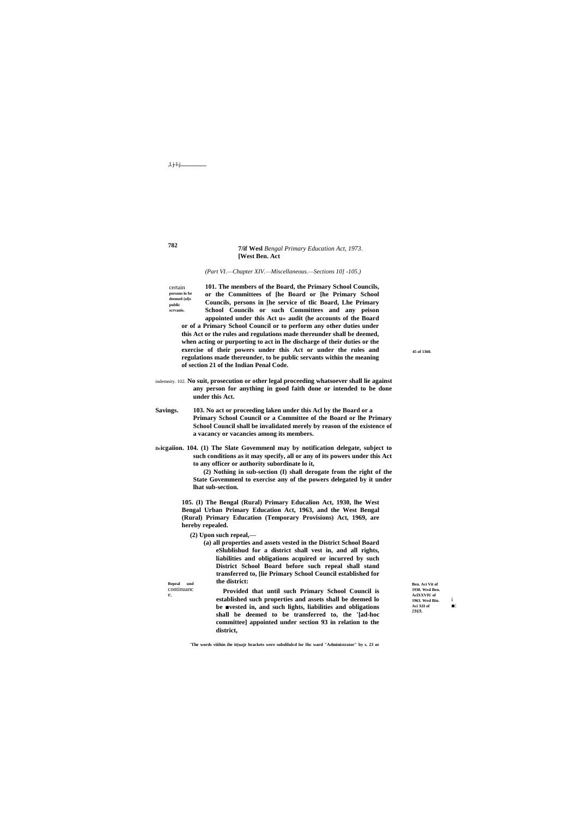,1.j-i-j........

### 7/if Wesl Bengal Primary Education Act, 1973. [West Ben. Act

(Part VI.-Chapter XIV.--Miscellaneous.--Sections 10] -105.)

101. The members of the Board, the Primary School Councils, certain  $\, {\rm persons}$ lo be or the Committees of [he Board or [he Primary School deemed (ol)c Councils, persons in [he service of tlic Board, Lhe Primary public scrvanis. School Councils or such Committees and any peison appointed under this Act u» audit (he accounts of the Board or of a Primary School Council or to perform any other duties under this Act or the rules and regulations made thereunder shall be deemed, when acting or purporting to act in Ihe discharge of their duties or the exercise of their powers under this Act or under the rules and regulations made thereunder, to be public servants within the meaning of section 21 of the Indian Penal Code.

indemnity. 102. No suit, prosecution or other legal proceeding whatsoever shall lie against any person for anything in good faith done or intended to be done under this Act.

103. No act or proceeding laken under this Acl by the Board or a Savings. Primary School Council or a Committee of the Board or lhe Primary School Council shall be invalidated merely by reason of the existence of a vacancy or vacancies among its members.

Deicgaiion. 104. (1) The Slate Governmenl may by notification delegate, subject to such conditions as it may specify, all or any of its powers under this Act to any officer or authority subordinate lo it,

> (2) Nothing in sub-section (I) shall derogate from the right of the State Governmenl to exercise any of the powers delegated by it under lhat sub-section.

105. (I) The Bengal (Rural) Primary Educalion Act, 1930, lhe West Bengal Urban Primary Education Act, 1963, and the West Bengal (Rural) Primary Education (Temporary Provisions) Act, 1969, are hereby repealed.

(2) Upon such repeal,—

Repeal und

continuanc

e.

(a) all properties and assets vested in the District School Board eSlublishud for a district shall vest in, and all rights, liabilities and obligations acquired or incurred by such District School Board before such repeal shall stand transferred to, [lie Primary School Council established for the district:

Provided that until such Primary School Council is established such properties and assets shall be deemed lo be wested in, and such lights, liabilities and obligations shall be deemed to be transferred to, the '[ad-hoc committee] appointed under section 93 in relation to the district,

Ben. Aci Vit of 1930 West Ren AclXXVIU of 1963. Wesl Bin. Aci XII of  $\blacksquare$ 1969.

45 of 1360.

782

'The words viiihin ihe it(uajr brackets were subsliluled lor Ihe ward "Administrator" by s. 23 or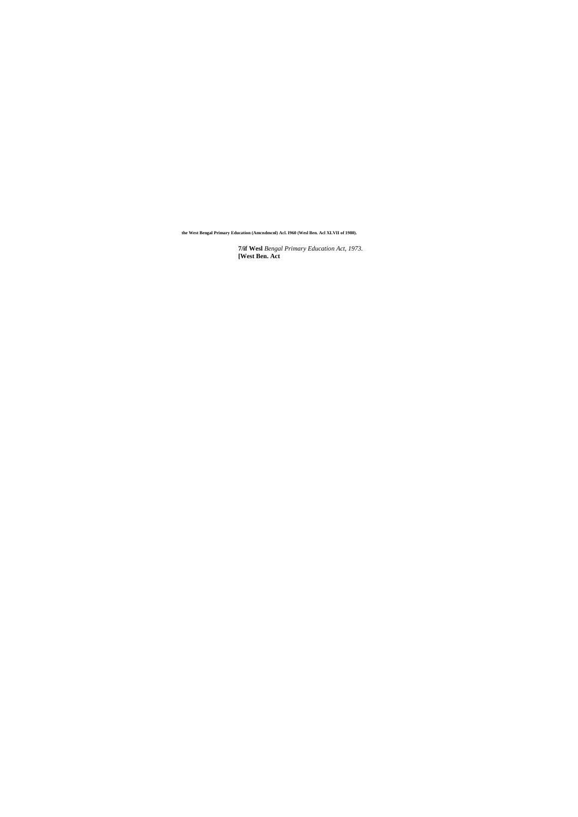**7/if Wesl** *Bengal Primary Education Act, 1973.* **[West Ben. Act**

**the West Bengal Primary Education (Amcndmcnl) Acl. I960 (Wesl Ben. Acl XLVII of 1980).**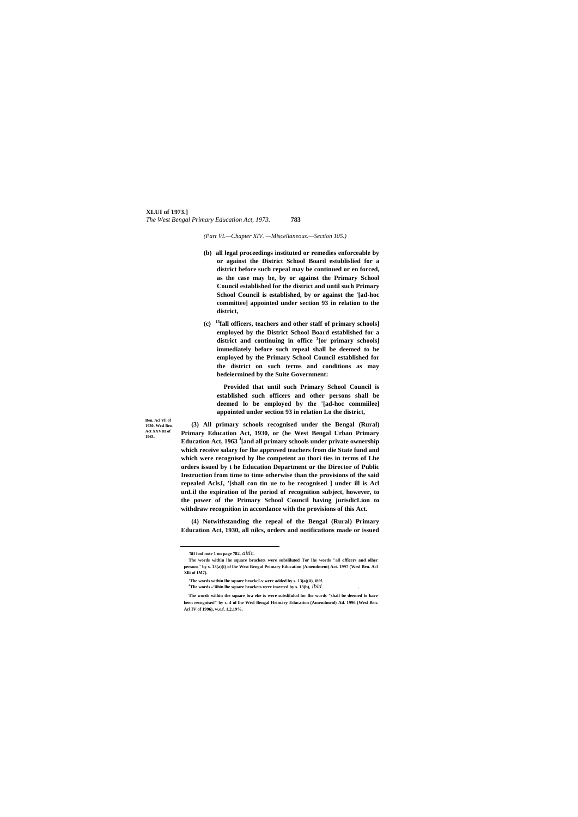## **XLUI of 1973.]** *The West Bengal Primary Education Act, 1973.* **783**

**Ben. Acl Vll of 1930. Wesl Ben. Act XXVIIt of 1963.**

*(Part VI.—Chapter XIV. —Miscellaneous.—Section 105.)*

- **(b) all legal proceedings instituted or remedies enforceable by or against the District School Board estublislied for a district before such repeal may be continued or en forced, as the case may be, by or against the Primary School Council established for the district and until such Primary School Council is established, by or against the '[ad-hoc committee] appointed under section 93 in relation to the district,**
- **(c) <sup>13</sup>fall officers, teachers and other staff of primary schools] employed by the District School Board established for a district and continuing in office <sup>3</sup> [or primary schools] immediately before such repeal shall be deemed to be employed by the Primary School Council established for the district on such terms and conditions as may bedeiermined by the Suite Government:**

**Provided that until such Primary School Council is established such officers and other persons shall be deemed lo be employed by the '[ad-hoc commiilee] appointed under section 93 in relation Lo the district,**

**(3) All primary schools recognised under the Bengal (Rural) Primary Education Act, 1930, or (he West Bengal Urban Primary Education Act, 1963 <sup>J</sup> [and all primary schools under private ownership which receive salary for lhe approved teachers from die State fund and which were recognised by lhe competent au thori ties in terms of Lhe orders issued by t he Education Department or the Director of Public Instruction from time to time otherwise than the provisions of the said repealed AclsJ, '[shall con tin ue to be recognised ] under ill is Acl unLil the expiration of lhe period of recognition subject, however, to the power of the Primary School Council having jurisdicLion to withdraw recognition in accordance with the provisions of this Act.**

**(4) Notwithstanding the repeal of the Bengal (Rural) Primary Education Act, 1930, all nilcs, orders and notifications made or issued** 

<u>.</u>

**<sup>&#</sup>x27;5ff fool note 1 on page 782,** *aitlc.*

**The words within lhe square brackets were subsliluted Tor lhe words "all officers and olher persons" by s. 13(a)(i) of lhe West Bengul Primary Education (Amendment) Act. 1997 (Wesl Ben. Acl Xlli of IM7).**

**<sup>&#</sup>x27;The words within lhe square brackcLv were added by s. 13(a)(ii),** *ibid.*

**<sup>4</sup>Tlie words** <sup>W</sup>**'iihin lhe square brackets were inserted by s. 13(b),** *ibid. .*

**The words wilhin the square bra eke is were subslilulcd for lhe words "shall be deemed lo have been recognised" by s. 4 of lhe Wesl Bengal Hrim.iry Education (Amendmenl) Ad. 1996 (Wesl Ben. Acl IV of 1996), w.e.f. 1.2.19%.**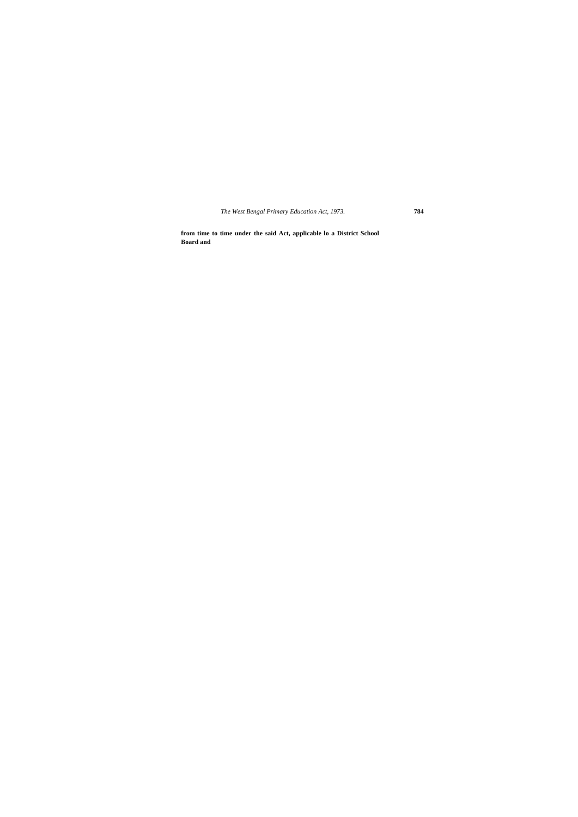**from time to time under the said Act, applicable lo a District School Board and**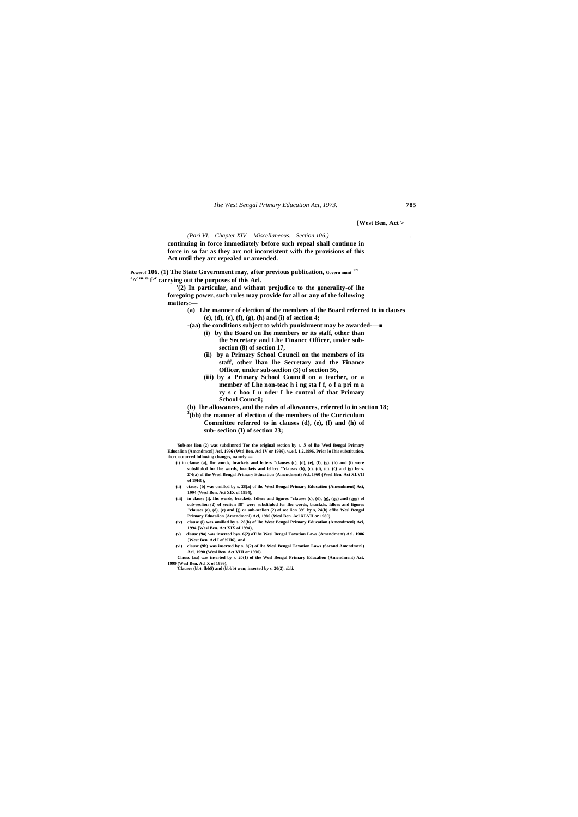**[West Ben, Act >**

### *(Pari VI.—Chapter XIV.—Miscellaneous.—Section 106.) .*

**continuing in force immediately before such repeal shall continue in force in so far as they arc not inconsistent with the provisions of this Act until they arc repealed or amended.**

**Powerof 106. (1) The State Government may, after previous publication, Govern muni 171 a ^ c ru' es f°<sup>r</sup> carrying out the purposes of this Acl.**

> **'(2) In particular, and without prejudice to the generality-of lhe foregoing power, such rules may provide for all or any of the following matters:—**

- **(a) Lhe manner of election of the members of the Board referred to in clauses (c), (d), (e), (f), (g), (h) and (i) of section 4;**
- **-(aa) the conditions subject to which punishment may be awarded-—■**
	- **(i) by the Board on lhe members or its staff, other than the Secretary and Lhe Financc Officer, under subsection (8) of section 17,**
	- **(ii) by a Primary School Council on the members of its staff, other lhan lhe Secretary and the Finance Officer, under sub-seclion (3) of section 56,**
	- **(iii) by a Primary School Council on a teacher, or a member of Lhe non-teac h i ng sta f f, o f a pri m a ry s c hoo I u nder I he control of that Primary School Council;**
- **(b) lhe allowances, and the rales of allowances, referred lo in section 18;**
- **3 (bb) the manner of election of the members of the Curriculum**

**Committee referred to in clauses (d), (e), (f) and (h) of sub- seclion (I) of section 23;**

**'Sub-see lion (2) was subslimrcd Tor the original section by s.** *5* **of lhe Wesl Bengal Primary Educalion (Amcndmcnl) Acl, 1996 (Wttl Ben. Acl IV or 1996), w.e.f. 1.2.1996. Prior lo Ihis substitution, ihcrc occurred following changes, namely:—**

- **(i) in clause (a), Ihc words, brackets and letters "clauses (c), (d), (e), (f), (g). (h) and (i) were**  subslilulcd for Ihe words, brackets and lellcrs "'clauscs (b), (c). (d), (c). (Q and (g) by s. **2>l(a) of the Wesl Bengal Primary Education (Amendment) Acl. I960 (Wesl Ben. Aci XLVII of 19H0),**
- **(ii) ctausc (b) was omillcd by s. 28(a) of ihc Wesl Bengal Primary Education (Amendment) Aci, 1994 (Wesl Ben. Aci XIX of 1994),**
- **(iii) in clause (i). Ihc words, brackets. Idlers and figures "clauses (c), (d), (g), (gg) and (ggg) of sub-seclion (2) of seciion 38" were subslilulcd for Ihc words, brackcls. Idlers and figures "clauses (e), (d), (e) and {() or sub-seclion (2) of see lion 39" by s, 24(b) oflhe Wesl Bengal Primary Educalion {Amcndmcnl) Acl, 1980 (Wesl Ben. Acl XLVII or 1980).**
- **(iv) clause (i) was omilled by s. 28(b) of lhe West Bengal Primary Education (Amendmeni) Aci, 1994 {Wesl Ben. Act XIX of 1994),**
- **(v) clausc (9a) was inserted bys. 6(2) oTihe Wesi Bengal Taxation Laws (Amendment) Acl. 1986 {West Ben. Acl I of !9H6), and**
- **(vi) clausc (9b) was inserted by s. 8(2) of lhe Wesl Bengal Taxation Laws (Second Amcndmcnl) Acl, 1990 (Wesl Ben. Act VIII or 1990).**
- **:Clausc (aa) was inserted by s. 20(1) of the Wesl Bengal Primary Educalion (Amendment) Act, 1999 (Wesl Ben. Acl X of 1999), 'Clauses (bb). fbbS) and (bbbb) wen; inserted by s. 20(2).** *ibid.*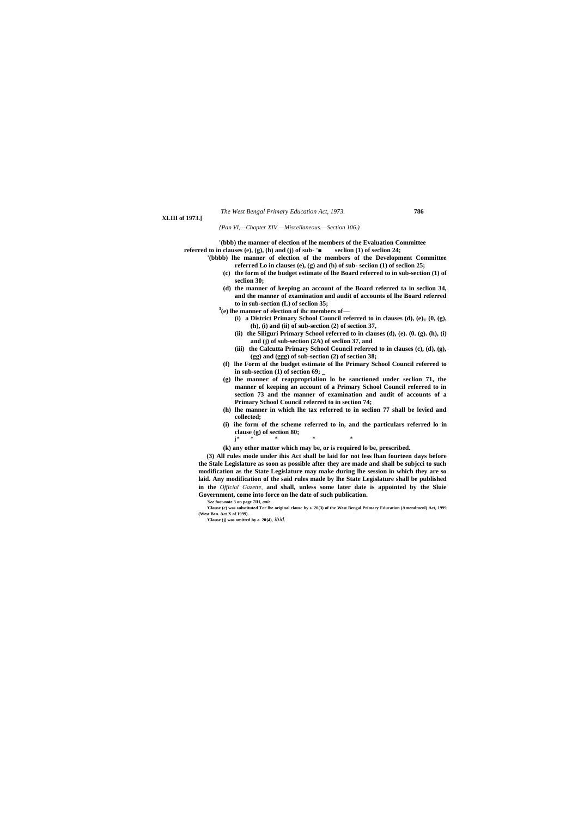**XLIII of 1973.]**

*{Pan VI,—Chapter XIV.—Miscellaneous.—Section 106.)*

**'(bbb) the manner of election of lhe members of the Evaluation Committee referred to in clauses (e), (g), (h) and (j) of sub- '■ seclion (1) of seclion 24;**

- **'(bbbb) lhe manner of election of the members of the Development Committee referred Lo in clauses (e), (g) and (h) of sub- seciion (1) of seclion 25;**
	- **(c) the form of the budget estimate of lhe Board referred to in sub-section (1) of seclion 30;**
	- **(d) the manner of keeping an account of the Board referred ta in seclion 34, and the manner of examination and audit of accounts of lhe Board referred to in sub-section (L) of seclion 35;**
	- **3 (e) lhe manner of election of ihc members of—**
		- **(i) a District Primary School Council referred to in clauses (d),**  $(e)$ **<sub>T</sub>**  $(0, (g)$ **, (h), (i) and (ii) of sub-section (2) of section 37,**
		- **(ii) the Siliguri Primary School referred to in clauses (d), (e). (0. (g). (h), (i) and (j) of sub-section (2A) of seclion 37, and**
		- **(iii) the Calcutta Primary School Council referred to in clauses (c), (d), (g), (gg) and (ggg) of sub-section (2) of section 38;**
	- **(f) lhe Form of the budget estimate of lhe Primary School Council referred to in sub-section (1) of section 69; \_**
	- **(g) lhe manner of reapproprialion lo be sanctioned under seclion 71, the manner of keeping an account of a Primary School Council referred to in section 73 and the manner of examination and audit of accounts of a Primary School Council referred to in section 74;**
	- **(h) lhe manner in which lhe tax referred to in seclion 77 shall be levied and collected;**
	- **(i) ihe form of the scheme referred to in, and the particulars referred lo in clause (g) of section 80;**
	- **(k) any other matter which may be, or is required lo be, prescribed.**

j\* \* \* \* \*

**(3) All rules mode under ihis Act shall be laid for not less lhan fourteen days before the Stale Legislature as soon as possible after they are made and shall be subjcci to such modification as the State Legislature may make during lhe session in which they are so laid. Any modification of the said rules made by lhe State Legislature shall be published in the** *Official Gazette,* **and shall, unless some later date is appointed by the Sluie Government, come into force on lhe date of such publication.**

*'See* **foot-note 3 on page 7IH,** *anie.*

**'Clause (c) was substituted Tor lhe original clausc by s. 20(3) of the West Bengal Primary Education (Amendmenl) Act, 1999 (West Ben. Act X of 1999).**

**'Clause (j) was omitted by a. 20{4),** *ibid.*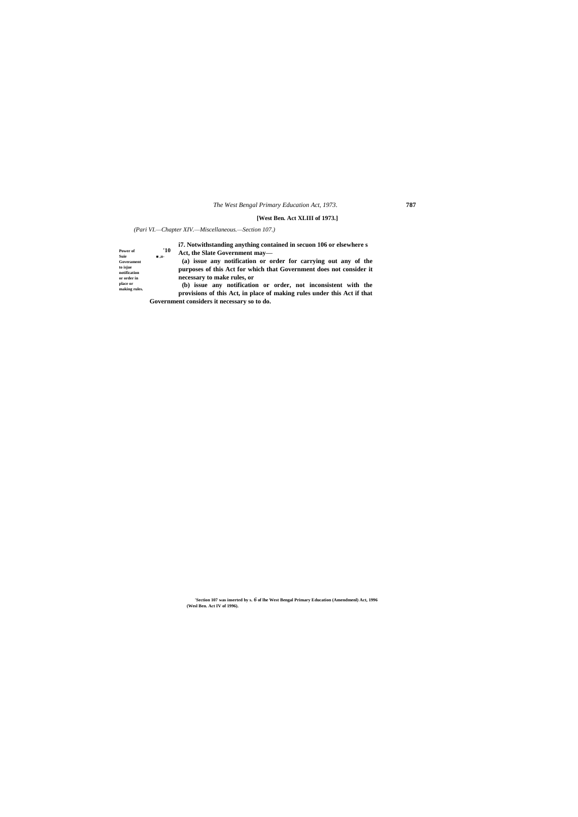## **[West Ben. Act XLIII of 1973.]**

# *(Pari VI.—Chapter XIV.—Miscellaneous.—Section 107.)*

**Power of the suite of the suite of the suite of the suite of the suite of the suite of the suite of the suite of the suite of the suite of the suite of the suite of the suite of the suite of the suite of the suite of t place or making rules. i7. Notwithstanding anything contained in secuon 106 or elsewhere s Act, the Slate Government may— (a) issue any notification or order for carrying out any of the purposes of this Act for which that Government does not consider it necessary to make rules, or (b) issue any notification or order, not inconsistent with the provisions of this Act, in place of making rules under this Act if that** 

**Government considers it necessary so to do.**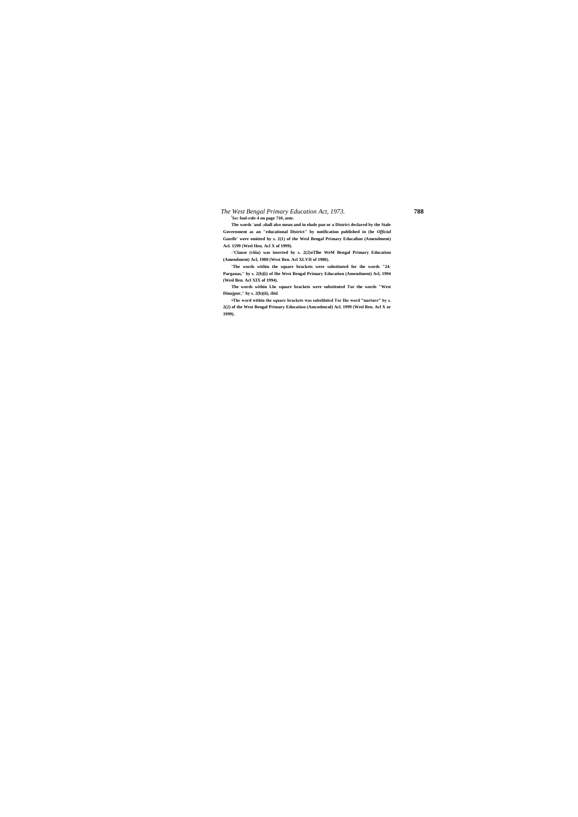#### *The West Bengal Primary Education Act, 1973.* **788** *l Sec* **fool-role 4 on page 710,** *ante.*

**The words 'and .shall also mean and in elude pan or a District declared by the Stale Government as an "educational District" by notification published in (he** *Official Gazelle'* **were omitted by s. 2(1) of the Wesl Bengal Primary Educalion (Amendment)** 

**Acl. 1599 (Wesl Hen. Acl X of 1999). -'Clause (viiia) was inserted by s. 2(2)oTlhe WeM Bengal Primary Education (Amendment) Acl, 1980 (West Ben. Acl XLVII of 1980).**

**'The words within the square brackets were substituted for ihe words "24- Parganas," by s. 2(b)[i) of Ihe West Bengal Primary Education (Amendment) Acl, 1994 (Wesl Ben. Acl XIX of 1994).**

**The words within Lhc square brackets were substituted Tor the words "West Dinajpur," by s. 2(b)(ii),** *ibid.*

**•The word within the square brackets was subsliluled Tor Ihe word "nurture" by s. 2(2) of the West Bengal Primary Education (Amcndmcnl) Acl. 1999 (Wesl Ben. Acl X or 1999).**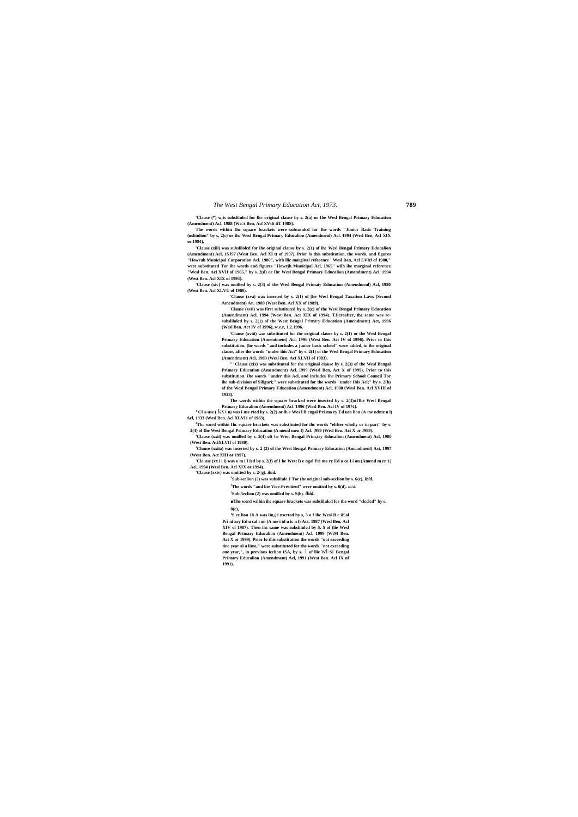**'Clause (\*) w;is subsliluled for lh« original clause by s. 2(a) or Ihe Wesl Bengal Primary Education (Amendment) Acl, 1988 (We.\t Ben, Acl XVtlt tiT 198S).**

**The words within Ihc square brackets were subsuiulcd for Ihe words "Junior Basic Training (nsliiulion" by s, 2(c) or ihc Wesl Bengal Primary Educalion (Amendmenl) Acl. 1994 (Wesl Ben, Acl XIX or 1994),**

**'Clause (xiii) was subslilolcd for ihe original clause by s. 2(1) of ihc Wesl Bengal Primary Educalion (Amendment) Acl, 1SJ97 (West Ben. Acl XI tt of 1997). Prior lo this substitution, the words, and figures "Howrah Municipal Corporation Acl. 1980", with llic marginal reference "Wesl Ben, Acl LVItl of 1980," were substituted Tor ihe words and figures "Howrjh Municipal Acl, 1965" wilh ihe marginal reference "Wesl Ben. Acl XVII of 1965." by s. 2(d) or Ihc Wesl Bengal Primary Educalion (Amendment) Acl. 1994 (West Ben. Acl XIX of 1994).**

**'Clause (xiv) was omilled by s. 2(3) of the Wesl Bengal Primaiy Education (Amendmcnl) Acl, 1980 (West Ben. Acl XLVU of 1980). -**

**'Clause (xva) wax inserted by s. 2(1) of [he Wesl Bengal Taxation Laws (Second Amendment) An. 1989 (West Ben. Acl XX of 1989).**

**:Clause (xvii) was first substituted by s. 2(c) of the Wesl Bengal Primary Education (Amendment) Acl, 1994 (West Ben. Act XIX of 1994). TJicreafter, the same was rcsubslilulcd hy s. 2(1) of the West Bengal** Primary **Education (Amendment) Act, 1996 (Wesl Ben. Act IV of 1996), w.e.r, 1.2.1996.**

**'Clause (xviii) was substituted for the original clause by s. 2(1) or the Wesl Bengal Primary Education (Amendment) Acl, 1996 (West Ben. Act IV of 1996). Prior to Ihis substitution, (he words "and includes a junior basic school" were added, in ihe original clause, afler ihe words "under ihis Act" by s. 2(1) of the Wesl Bengal Primary Education (Amendment) Acl, 1983 (Wesl Ben. Act XLVII of 1983).**

**""Clause (xix) was substituted for the original clause by s. 2(3) of the Wesl Bengal Primary Education (Amendment) Acl. [999 (Wesl Ben, Act X of 1999). Prior to this substitution. Ihe words "under this Acl, and includes Ihe Primary School Council Tor ihe sub-division of Siliguri;" were substituted for the words "under Ihis Acl;" by s. 2(b) of the Wesl Bengal Primary Education (Amendment) Acl, 1988 (Wesl Ben. Acl XVIII of 1938).**

**The words within the square bracked were inserted by s. 2(3)oTlhe Wesl Bengal Primary Educalion (Amendment) Acl. 1996 (Wesl Ben. Acl IV of 19%).**

**<sup>1</sup> CI a use (** kx **i n) was i nse rted by s. 2(2) or lh e Wes l B cngal Pri ma ry Ed uca lion (A me ndme n l) Acl, 1933 (Wesl Ben. Acl XLVI1 of 1983).**

**<sup>3</sup>Thc word within Ihc square brackets was substituted for ihc words "elifter wholly or in part" by s. 2(4) of Ihe Wesl Bengal Primary Education (A mend men I) Acl. [999 (Wesl Ben. Act X or J999).**

**'Clause (xxii) was omilled by s. 2(4) oft he West Bengal Prim,try Educalion (Amendment) Acl, 1980 (West Ben. AclXLVIf of 1980).**

**<sup>3</sup>Cluuse (xxiia) was inserted by s. 2 (2) of ihe West Bengal Primary Education (Amcndmenl) Act, 1997 (West Ben. Act XIII or 1997).**

**'Cla use (xx i i i) was o m i I led by s. 2(f) of I he West B e ngal Pri ma ry Ed u ca I i on (Amend m en 1) Aei, 1994 (Wesl Ben. Acl XIX or 1994).**

**'Clause (xxiv) was omitted by s. 2<g).** *ibid.*

**5 Sub-scclion (2) was subslilule J Tor (he original sub-scclion by s. 6(c),** *ibid.*

**<sup>J</sup>The words "and lite Vice-Presiiienl" were omiticd by s. 6(d).** *ibid.*

**7 Sub-5eclion (2) was omillcd by s. S(b).** *ibid.*

**■The word wilhin ihc square brackets was subslilulcd for the word "clcclcd" by s. 8(c),**

**1 S ec lion 18 A was lin,( i nscrted hy s, 3 o f ihc Wesl B c ii£al Pri ni ary Ed u cal i on (A me i id u ic n l) Act, 1987 (Wesl Ben, Acl XIV of 1987). Then ihc same was subslilulcd by 5. 5 of (lie Wesl Bengal Primary Educalion (Amendment) Acl, 1999 (WtM Ben. Act X or 1999). Prior lo this substitution the words "not exceeding tine year al a lime," were substituted for the words "not exceeding one year,", in previous icelion ISA, by s.** 1 **of llie** Wl-si **Bengal Primary Educalion (Amendment) Acl, 1991 (West Ben. Acl IX nf 1991).**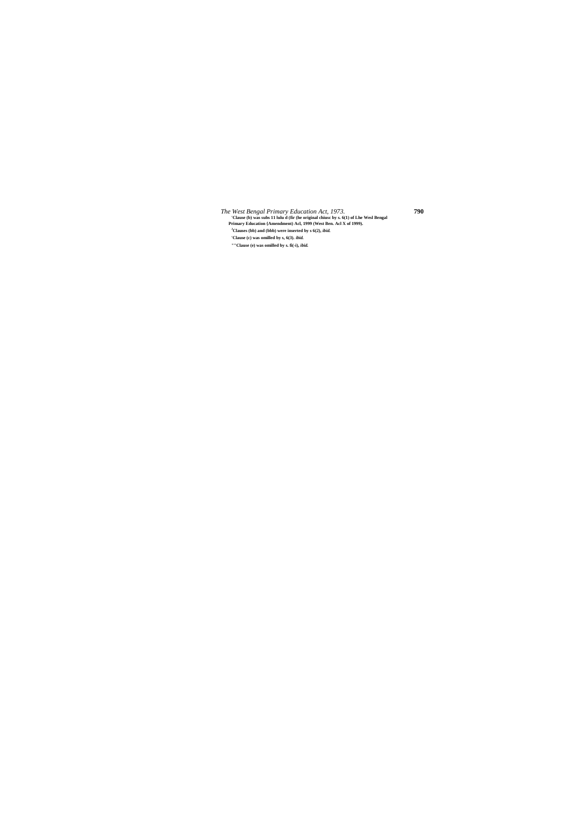*The West Bengal Primary Education Act, 1973.* **790 'Clause (b) was subs 11 lulu d (fir (he original chiusc by s. 6(1) of Lhe Wesl Bengal Primary Education {Amendment) Acl, 1999 (West Ben. Acl X of 1999). <sup>J</sup>Clauses (bb) and (bbb) were inserted by s 6(2),** *ibid.* **'Clause (c) was omilled by s, 6(3).** *ibid.*

**""Clause (e) was omilled by s. fi(-i),** *ibid.*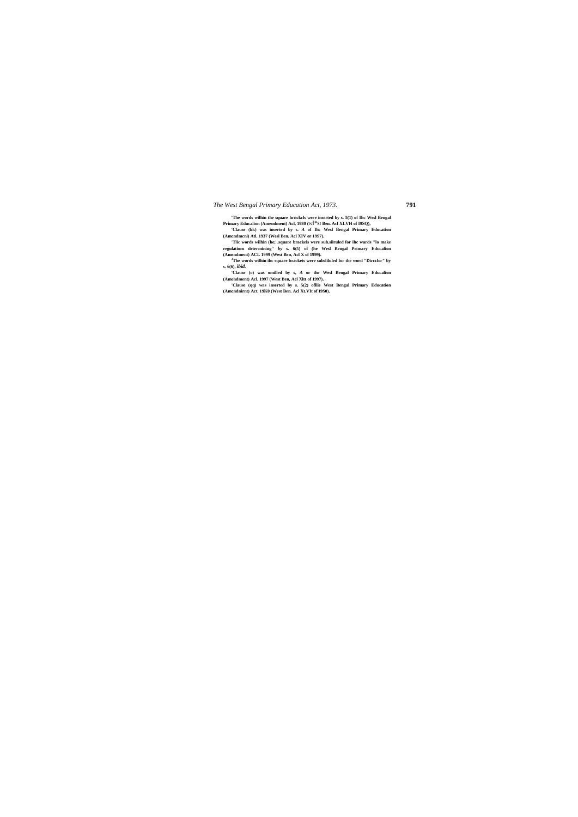**'The words wilhin the square hrnckcls were inserted by s. 5(1) of Ihc Wesl Bengal Primary Educalion (Amendment) Acl, 1980 (**Wl\*s<sup>I</sup> **Ben. Acl XLVH of I9SQ), 'Clause (kk) was inserted by s.** *A* **of Ihc Wesl Bengal Primary Education** 

**(Amcndmcnl) Atl. 1937 (Wesl Ben. Acl XIV or 19S7).**

**'Tlic words wilhin (he; .square brackels were suh.siiruled for ihc wards "lo make regulations determining"** *by* **s. 6(5) of (he Wesl Bengal Primary Educalion (Amendment) ACL 1999 (West Ben, Acl X of 1999).**

**<sup>J</sup>The words wilhin ihc square brackets were subsliluled for the word "Dircclor" by s. 6(6),** *ibid.*

**'Clause (o) was omilled by s,** *A* **or the Wesl Bengal Primary Educalion (Amendment) Acl. 1997 (West Ben, Acl Xltt of 1997).**

**'Clause (qq) was inserted by s. 5(2) ofllie West Bengal Primary Education (Amcndnirnt) Act. 19K0 (West Ben. Acl Xt.VIt of I9S0).**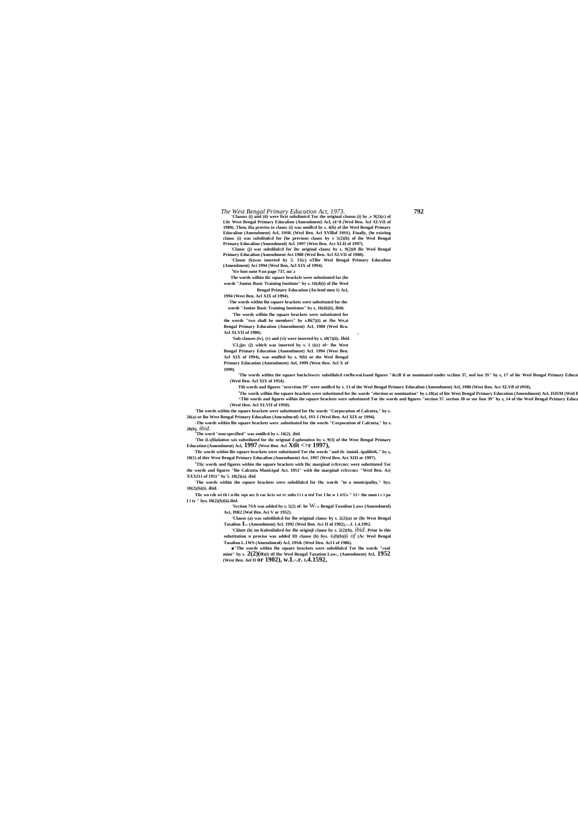*The West Bengal Primary Education Act, 1973.*<br>
'Clauses (i) and (ii) were first subslimicd Tor the original cluusu (i) by ,v 9(2)(c) of

**Llic West Bengal Primary Educalion (Amendment) Acl, (4^0 (Wesl Ben. Acl XLVII of 1980). Then, ilia proviso to clausc (i) was omillcd by s. 4(b) of (he Wesl Bengal Primary Educalion (Amendment) Acl, 19SK (Wesl Ben. Acl XVlllof 19SS). Finally, (he existing clausc (i) was subslitulcd for [he previous clausc by v 5(2)(h) of ihe Wesl Bengal Primary Educalion (Amendmenl) Acl. 1997 (West Ben. Act XLH of 1997). :Clausc (j) was subslilulcd for ihc original clausc hy s. 9(2)(0 llic Wesl Bengal** 

**Primary Educalion (Amendment Act 1980 (Wesl Ben. Acl XLVII of 1980).**

**'Clause (k)was inserted by 5. 15(c) oTlhe Wesl Bengal Primary Educalion (Amendment) Aci 1994 (Wesl Ben, Acl XIX of 1994).**

**i Si, e foot-note 9 on page 737, nn'.c**

**The words wilhin tlic square brackcls were substituted far (he words "Junior Basic Training Institute" by s. 16(d)(i) of Ihe Wesl Bengal Primary Education (An lend men 1) Acl,**

'The words within the square bnckclswcrc subslilulcd rorlhcwoiJsand figures "dccR'd or nominated under scclinn 37, seel ion 3S" by s, 17 of ihc Wesl Bengal Primary Educa **(Wesl Ben. Acl XIX of 1954).**

**1994 (West Ben. Acl XIX of 1994).**

**-The words within lhe square brackets were substituted for the words "Junior Basic Training Institutes" by s, 16(d}(ii),** *ihitt.*

**'The words wilhin lhe square brackets were substituted for** 

<sup>J</sup>Thc worik wilhin Ihe square brackets were substituted for ihc words "election or nomination" by s.18(a) of lite West Bengal Primary Education (Amendment) Acl, ISISM (Weil I <sup>^Thii</sup> words and figures wilhin ihe square brackets were substituted Tor ihc words and figures "section 37. section 38 or see lion 39" hy s, 14 of the Wesl Bengal Primary Educa **(Wesl Hen. Acl XLVII of 19S0).**

**the words "two shall be members" by s.l0(7)(i) or Ihe We,si Bengal Primary Education (Amendment) Acl, 1980 (Wesl Bcu. Acl XLVII of 1980). ,**

**'Sub-clauses (iv), (v) and (vi) were inserted by s. t0(7)(ii).** *Ibid.* **'CI.jju: (]) which was inserted by s. I (i(c) ol~ lhe West Bengal Primary Education (Amendment) Acl. 1994 (West Ben. Acl XIX of 1994), was omilled by s. 9(b) or the Wesl Bengal Primary Education (Amendment) Ael, 1999 (West Ben. Acl X of 1999).**

<sup>1</sup>**TIic words and figures within the square brackets with Ihc marginal rcfcrence were substituted Tor the words and figures "lhe Calcutta Municipal Act. 1951" with the marginal rcfcrcncc "Wesl Ben. Ac( XXXI11 of 1951" by 5. 10(2)(a).** *ibid.*

> **'Scction 7SA was added by s. 5(2) of**<sub>I</sub> he  $W_{CM}$  Bengal Toxnlion Laws {Amendmenl) **Act, I9R2 [Wol Btn. Aci V or 1952).**

**Tilt words and figures "orscction 39" were omillcd by s. 13 of the Wesl Bengal Primary Educalion (Amendment) Acl, 1980 (West Ben. Act XLVfl of t9S0),**

**'The words within the square brackets were substituted for Ihc words "Corporation of Calcutta," by s.** 

**26(a) or lhe West Bengal Primary Educalion (Amcndmcnl) Acl, 193-1 (Wesl Ben. Acl XIX or 1994). -The words within llie square brackets were .substituted for the words "Corporation of Calcutta," by s.** 

**26(b).** *ibid.*

**<sup>J</sup>The word "non-specified" was omillcd by s. 16(2).** *ibid.* **'The** *iLxfilaiiation* **wis substiluted for ihc original** *Explanation* **by s. 9(3) of the West Bengal Primary Education (Amendment) Acl, 1997 (West Ben. Acl Xtlt <>r 1997),**

**Tlic words within llie square brackets were substituted Tor the words "and th- iminiL-ipalilieK," by s, 10(1) of thtr West Bengal Primary Educalion (Amendment) Act. 1997 (Wesl Ben. Act XIII or 1997).**

**'The words within the square brackets were subslilulcd for Ihc words "in a municipality," bys. 10{2)(b)(i).** *ibid.*

**Tlic wo rds wi th i n ihc squ arc b rac kcts we rc subs l i t u ted Tor I he w 1 irUs " 11> the mun i c i pa I i ty " bys. I0(2)(b)(ii***).ibid.*

> **'Clause (a) was subslilulcd for lhe original clausc by s. 2(2)(a) or (lie West Bengal Taxalion I**jws **(Amendment) Acl. 1992 (Wesl Ben. Act II nl 1992),** w.c**.f. 1.4.1992.**

> **'Cliiutt (h) im Kubstilulird for llie originjl clause by s. 2(2)(b),** *ibid.* **Prior lo this substitution n proviso was added ID clause (b) bys. G(l)(b)(i}** *of* **(Ac Wesl Bengal**

**Tasalion L.1WS (Amendmenl) Acl, 19S& (Wesl Den. Acl I of 1986). ■"The words within lhe square brackets were subslilulcd Tor lhe words "coal** 

**mine" by s. 2(2)(o)(i) tif Ihe Wesl Bengal Taxation Law:, (Amendment) Acl, 1952 (West Ben. Ael II or 1902), w.L-.r. <sup>1</sup>.4.1592,**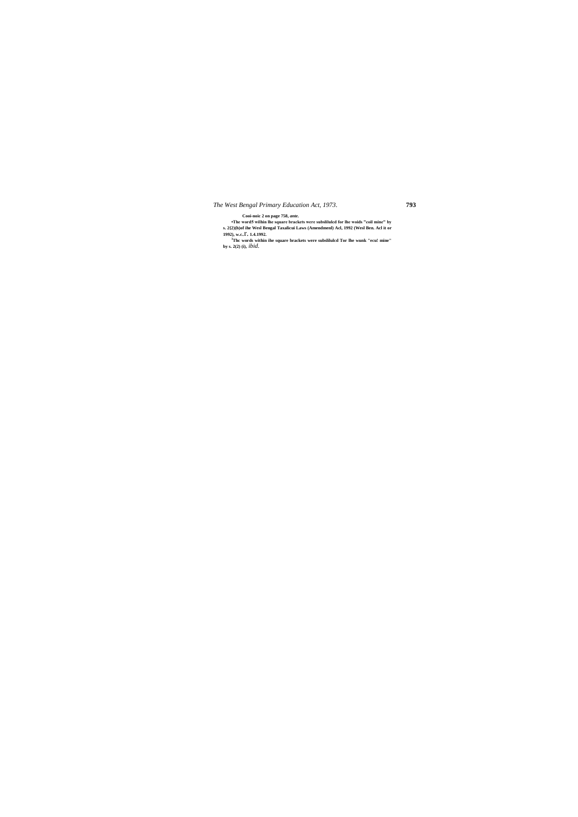**•The word5 wilhin lhe square brackets were subslilulcd for lhe woids "coil mine" by**  s. 2(2)(h)of ihe Wesl Bengal Taxalicui Laws (Amendmenl) Acl, 1992 (Wesl Ben. Acl it or 1992), w.c.  $\Gamma$ . 1.4.1992.<br><sup>3</sup>The words within ihe square brackets were subslituted Tor lhe wunk "ecu! mine" by s. 2(2) (i), *ibid.* 

**Cooi-noic 2 on page 758,** *ante.*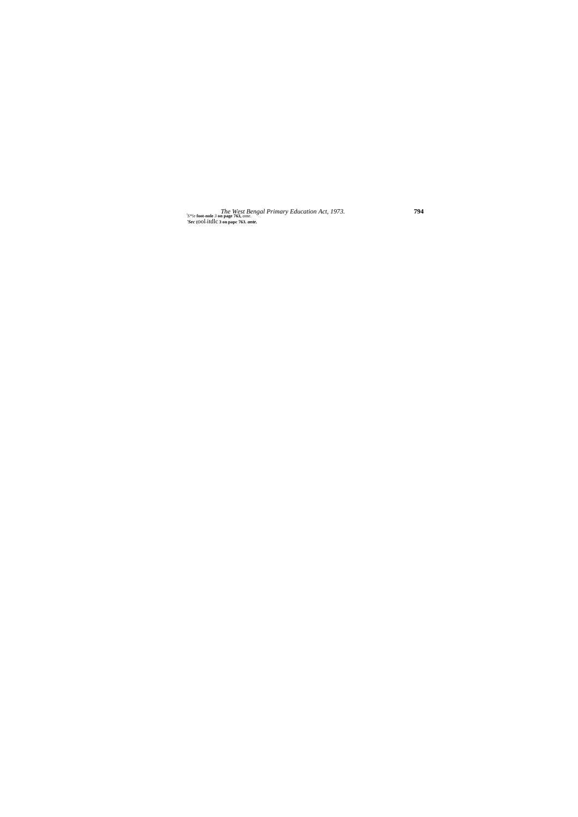$\label{thm:2} The \textit{West Bengal Primary Education Act, 1973.} The \textit{West Bengal Primary Education Act, 1973.}$ 'S#:e foot-nole 3 on page 763, ante.

794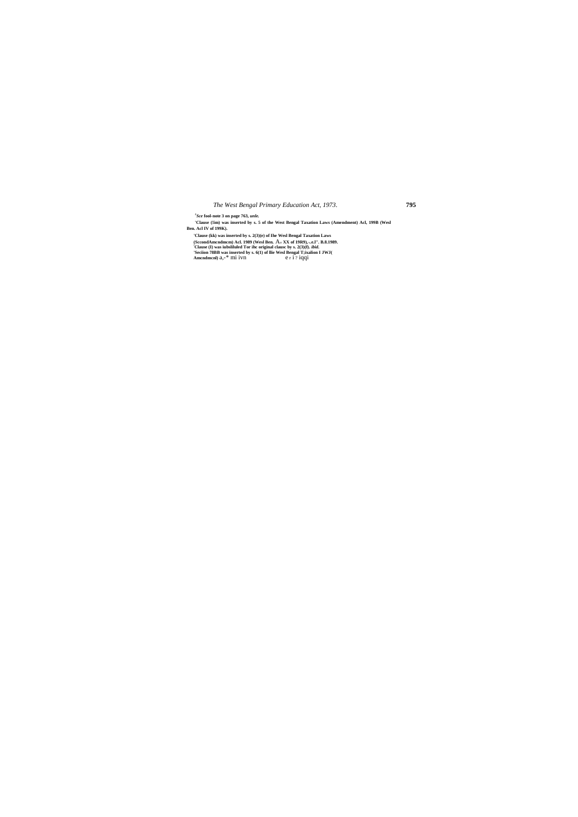$^{\prime}Sce$  fool-note 3 on page 763, unle.<br>
'Clause (!im) was inserted by s. 5 of the West Bengal Taxation Laws (Amendment) Acl, 199B (Wesl Ben. Acl IV of 199K).

en. Act IV of 199K).<br>
'Clause (kk) was inserted by s. 2(3)(e) of Ihe Wesl Bengal Taxation Laws<br>
(SccondAmendmem) Act. 1989 (Wesl Ben. A.« XX of 19R9), w.e.l". B.8.1989.<br>
'Clause (I) was inseliuded Tor ihe original clause

795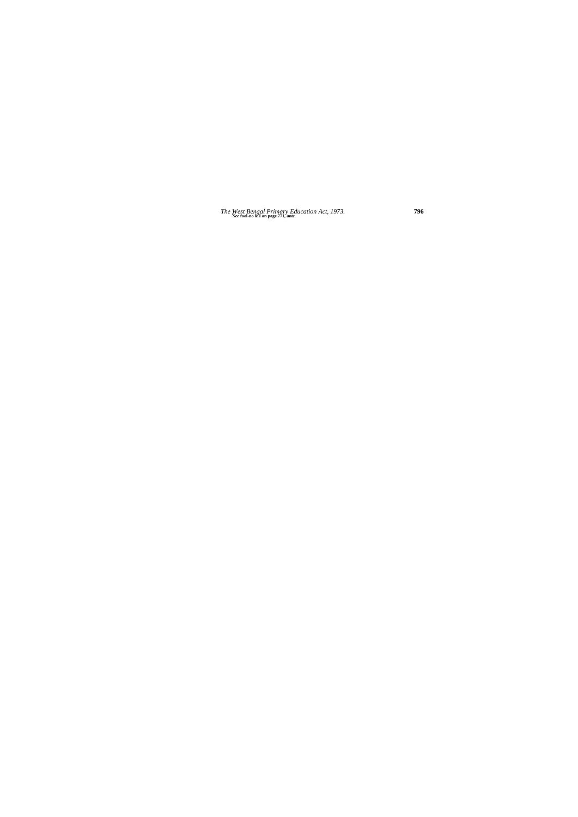The West Bengal Primary Education Act, 1973.<br>See fool-no le I on page 771, ante.

796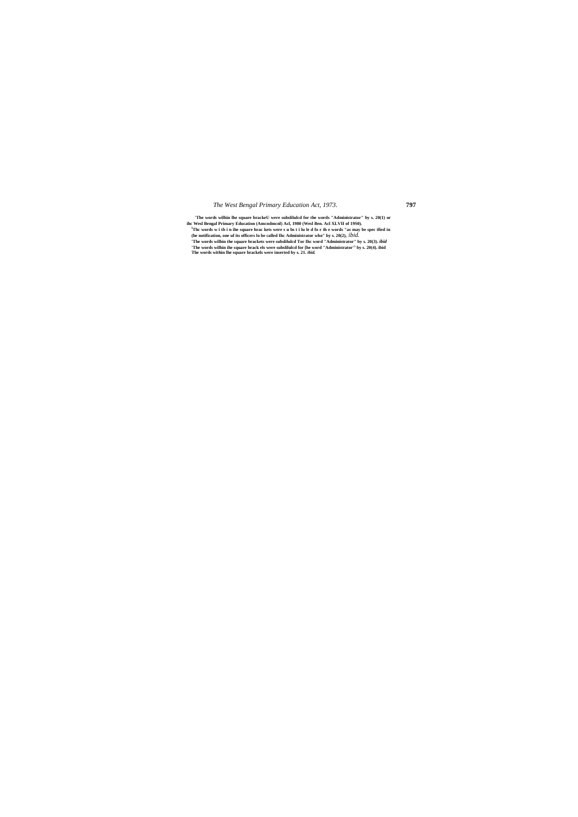**'The words wilhin lhe square brackeU were subslilulcd for the words "Administrator" by s. 20(1) or**  ihc Wesl Bengal Primary Education (Amendmenl) Acl, 1980 (Wesl Ben. Acl XLVII of 1950).<br><sup>1</sup>The words w i tb i n ihe square hrac kets were s u bs t i lu le d fo r th e words "as may be spec ified in (he notification, one uf **'The words wilhin the square brackets were subslilulcd Tor Ihc word "Administrator" by s. 20(3).** *ibid* **'The words wilhin ihe square brack els were subslilulcd for [he word "Administrator'<sup>1</sup> by s. 20(4). ibid The words within lhe square brackels were inserted by s. 21.** *ibid.*